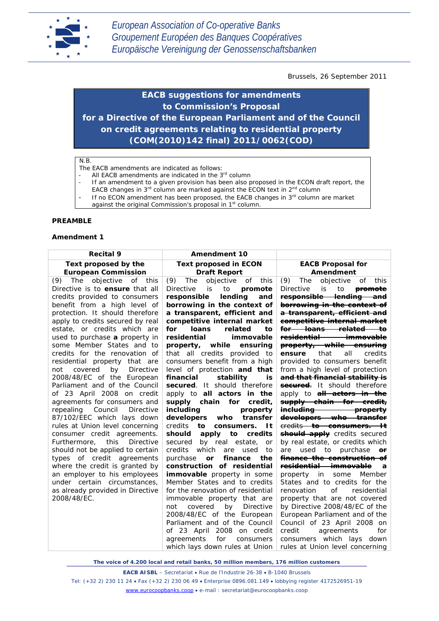

Brussels, 26 September 2011

*EACB suggestions for amendments to Commission's Proposal for a Directive of the European Parliament and of the Council on credit agreements relating to residential property (COM(2010)142 final) 2011/0062(COD)*

#### N.B.

The EACB amendments are indicated as follows:

- All EACB amendments are indicated in the  $3<sup>rd</sup>$  column
- If an amendment to a given provision has been also proposed in the ECON draft report, the EACB changes in  $3^{rd}$  column are marked against the ECON text in  $2^{nd}$  column
- If no ECON amendment has been proposed, the EACB changes in 3rd column are market against the original Commission's proposal in 1<sup>st</sup> column.

#### **PREAMBLE**

#### **Amendment 1**

| <b>Recital 9</b>                                                                                                                                                                                                                                                                                                                                                                                                                                                                 | Amendment 10                                                                                                                                                                                                                                                                                                                                                                                                                                                                    |                                                                                                                                                                                                                                                                                                                                                                                                                                                                                         |
|----------------------------------------------------------------------------------------------------------------------------------------------------------------------------------------------------------------------------------------------------------------------------------------------------------------------------------------------------------------------------------------------------------------------------------------------------------------------------------|---------------------------------------------------------------------------------------------------------------------------------------------------------------------------------------------------------------------------------------------------------------------------------------------------------------------------------------------------------------------------------------------------------------------------------------------------------------------------------|-----------------------------------------------------------------------------------------------------------------------------------------------------------------------------------------------------------------------------------------------------------------------------------------------------------------------------------------------------------------------------------------------------------------------------------------------------------------------------------------|
| Text proposed by the<br><b>European Commission</b>                                                                                                                                                                                                                                                                                                                                                                                                                               | <b>Text proposed in ECON</b><br><b>Draft Report</b>                                                                                                                                                                                                                                                                                                                                                                                                                             | <b>EACB Proposal for</b><br>Amendment                                                                                                                                                                                                                                                                                                                                                                                                                                                   |
| (9) The objective of this<br>Directive is to <b>ensure</b> that all<br>credits provided to consumers<br>benefit from a high level of<br>protection. It should therefore<br>apply to credits secured by real<br>estate, or credits which are<br>used to purchase a property in<br>some Member States and to<br>credits for the renovation of<br>residential property that are<br>covered<br>by<br>Directive<br>not<br>2008/48/EC of the European<br>Parliament and of the Council | (9)<br>The<br>objective<br>of<br>this<br>Directive<br>to<br>is<br>promote<br>responsible<br>lending<br>and<br>borrowing in the context of<br>a transparent, efficient and<br>competitive internal market<br>for<br><b>loans</b><br>related<br>to<br>residential<br>immovable<br>while<br>ensuring<br>property,<br>that all credits provided to<br>consumers benefit from a high<br>level of protection and that<br>stability<br>financial<br>is<br>secured. It should therefore | (9)<br>The<br>objective<br>of<br>this<br><b>Directive</b><br>is<br>to<br>promote<br>responsible lending and<br>borrowing in the context of<br>a transparent, efficient and<br>competitive internal market<br><del>for loans related to</del><br><del>residential immovable</del><br>property, while ensuring<br>that<br>all<br>credits<br>ensure<br>provided to consumers benefit<br>from a high level of protection<br>and that financial stability is<br>secured. It should therefore |
| of 23 April 2008 on credit                                                                                                                                                                                                                                                                                                                                                                                                                                                       | apply to all actors in the                                                                                                                                                                                                                                                                                                                                                                                                                                                      | apply to <b>all actors in the</b>                                                                                                                                                                                                                                                                                                                                                                                                                                                       |
| agreements for consumers and<br>Council<br><b>Directive</b>                                                                                                                                                                                                                                                                                                                                                                                                                      | supply chain for<br>credit,<br>including                                                                                                                                                                                                                                                                                                                                                                                                                                        | supply chain for credit,                                                                                                                                                                                                                                                                                                                                                                                                                                                                |
| repealing<br>87/102/EEC which lays down<br>rules at Union level concerning<br>consumer credit agreements.                                                                                                                                                                                                                                                                                                                                                                        | property<br>developers<br>transfer<br>who<br>credits<br>consumers.<br>1t<br>to<br>credits<br>should<br>apply<br>to                                                                                                                                                                                                                                                                                                                                                              | <del>including property</del><br>developers who transfer<br>eredits to consumers. It<br><b>should apply</b> credits secured                                                                                                                                                                                                                                                                                                                                                             |
| this<br>Directive<br>Furthermore,<br>should not be applied to certain                                                                                                                                                                                                                                                                                                                                                                                                            | secured<br>by real estate,<br>or<br>credits<br>which<br>are<br>used<br>to                                                                                                                                                                                                                                                                                                                                                                                                       | by real estate, or credits which<br>used to purchase<br>are<br>$\theta$ r                                                                                                                                                                                                                                                                                                                                                                                                               |
| types of credit agreements                                                                                                                                                                                                                                                                                                                                                                                                                                                       | finance<br>the<br>purchase<br>or                                                                                                                                                                                                                                                                                                                                                                                                                                                | finance the construction of                                                                                                                                                                                                                                                                                                                                                                                                                                                             |
| where the credit is granted by<br>an employer to his employees<br>under certain circumstances,<br>as already provided in Directive<br>2008/48/EC.                                                                                                                                                                                                                                                                                                                                | construction of residential<br><i>immovable</i> property in some<br>Member States and to credits<br>for the renovation of residential<br>immovable property that are<br>Directive<br>not<br>covered<br>by<br>2008/48/EC of the European<br>Parliament and of the Council<br>of 23 April 2008 on credit<br>agreements<br>for<br>consumers<br>which lays down rules at Union                                                                                                      | residential immovable<br>a<br>property in<br>some<br>Member<br>States and to credits for the<br>renovation<br>οf<br>residential<br>property that are not covered<br>by Directive 2008/48/EC of the<br>European Parliament and of the<br>Council of 23 April 2008 on<br>credit<br>agreements<br>for<br>consumers which lays down<br>rules at Union level concerning                                                                                                                      |

*The voice of 4.200 local and retail banks, 50 million members, 176 million customers*

**EACB AISBL** – Secretariat • Rue de l'Industrie 26-38 • B-1040 Brussels Tel: (+32 2) 230 11 24 • Fax (+32 2) 230 06 49 • Enterprise 0896.081.149 • lobbying register 4172526951-19 [www.eurocoopbanks.coop](http://www.eurocoopbanks.coop/) • e-mail : secretariat@eurocoopbanks.coop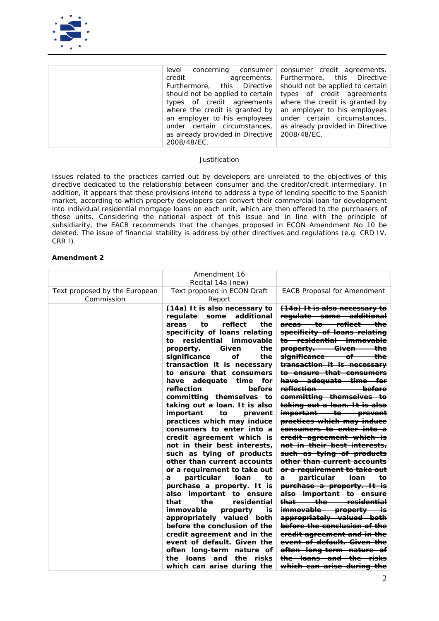

| level concerning consumer        | consumer credit agreements.      |
|----------------------------------|----------------------------------|
| credit<br>agreements.            | Furthermore, this Directive      |
| Furthermore, this Directive      | should not be applied to certain |
| should not be applied to certain | types of credit agreements       |
| types of credit agreements       | where the credit is granted by   |
| where the credit is granted by   | an employer to his employees     |
| an employer to his employees     | under certain circumstances,     |
| under certain circumstances,     | as already provided in Directive |
| as already provided in Directive | 2008/48/EC.                      |
| 2008/48/EC.                      |                                  |

*Issues related to the practices carried out by developers are unrelated to the objectives of this directive dedicated to the relationship between consumer and the creditor/credit intermediary. In addition, it appears that these provisions intend to address a type of lending specific to the Spanish market, according to which property developers can convert their commercial loan for development into individual residential mortgage loans on each unit, which are then offered to the purchasers of those units. Considering the national aspect of this issue and in line with the principle of subsidiarity, the EACB recommends that the changes proposed in ECON Amendment No 10 be deleted. The issue of financial stability is address by other directives and regulations (e.g. CRD IV, CRR I).*

|                                             | Amendment 16<br>Recital 14a (new)                                                                                                                                                                                                                                                                                                                                                                                                                                                                                                                                                                                                                                                                                                                                                                                                                                                                                                                                                                                                |                                                                                                                                                                                                                                                                                                                                                                                                                                                                                                                                                                                                                                                                                                                                                                                                                                                                                                                                                                                                                                                                                                                                                                                                                                                            |
|---------------------------------------------|----------------------------------------------------------------------------------------------------------------------------------------------------------------------------------------------------------------------------------------------------------------------------------------------------------------------------------------------------------------------------------------------------------------------------------------------------------------------------------------------------------------------------------------------------------------------------------------------------------------------------------------------------------------------------------------------------------------------------------------------------------------------------------------------------------------------------------------------------------------------------------------------------------------------------------------------------------------------------------------------------------------------------------|------------------------------------------------------------------------------------------------------------------------------------------------------------------------------------------------------------------------------------------------------------------------------------------------------------------------------------------------------------------------------------------------------------------------------------------------------------------------------------------------------------------------------------------------------------------------------------------------------------------------------------------------------------------------------------------------------------------------------------------------------------------------------------------------------------------------------------------------------------------------------------------------------------------------------------------------------------------------------------------------------------------------------------------------------------------------------------------------------------------------------------------------------------------------------------------------------------------------------------------------------------|
| Text proposed by the European<br>Commission | Text proposed in ECON Draft<br>Report                                                                                                                                                                                                                                                                                                                                                                                                                                                                                                                                                                                                                                                                                                                                                                                                                                                                                                                                                                                            | <b>EACB Proposal for Amendment</b>                                                                                                                                                                                                                                                                                                                                                                                                                                                                                                                                                                                                                                                                                                                                                                                                                                                                                                                                                                                                                                                                                                                                                                                                                         |
|                                             | (14a) It is also necessary to<br>additional<br>some<br>regulate<br>areas<br>to<br>reflect<br>the<br>specificity of loans relating<br>residential<br>immovable<br>to<br>property.<br>Given<br>the<br>significance<br>οf<br>the<br>transaction it is necessary<br>to ensure that consumers<br>adequate<br>have<br>time<br>for<br>reflection<br>before<br>committing themselves to<br>taking out a loan. It is also<br>important<br>prevent<br>to<br>practices which may induce<br>consumers to enter into a<br>credit agreement which is<br>not in their best interests,<br>such as tying of products<br>other than current accounts<br>or a requirement to take out<br>particular<br>loan<br>а<br>tο<br>purchase a property. It is<br><i>important to ensure</i><br>also<br>the<br>that<br>residential<br>immovable<br>property<br>İS<br>appropriately valued both<br>before the conclusion of the<br>credit agreement and in the<br>event of default. Given the<br>often long-term nature of<br>the<br>risks<br>the<br>loans and | <del>(14a) It is also necessary to</del><br>regulate some additional<br><del>areas to reflect the</del><br>specificity of loans relating<br><del>to residential immovable</del><br><del>the</del><br><del>-Given-</del><br><del>property. _</del><br>significance<br>the<br>−of<br>transaction it is necessary<br><del>to ensure that consumers</del><br>have adequate time for<br><del>reflection-</del><br><del>before</del><br><del>committing themselves to</del><br><del>taking out a loan. It is also</del><br>important to prevent<br>practices which may induce<br>consumers to enter into a<br>eredit agreement which is<br><del>not in their best interests,</del><br>such as tying of products<br>other than current accounts<br><del>or a requirement to take out</del><br><del>a particular loan to</del><br><del>purchase a property. It is</del><br>also important to ensure<br><del>residential</del><br><del>that -</del><br><del>-the</del><br><del>immovable-</del><br><del>property is</del><br>appropriately valued both<br><del>before the conclusion of the</del><br><del>credit agreement and in the</del><br><del>event of default. Given the</del><br><del>often long-term nature of</del><br><del>the loans and the risks</del> |
|                                             | which can arise during the                                                                                                                                                                                                                                                                                                                                                                                                                                                                                                                                                                                                                                                                                                                                                                                                                                                                                                                                                                                                       | <del>which can arise during the</del>                                                                                                                                                                                                                                                                                                                                                                                                                                                                                                                                                                                                                                                                                                                                                                                                                                                                                                                                                                                                                                                                                                                                                                                                                      |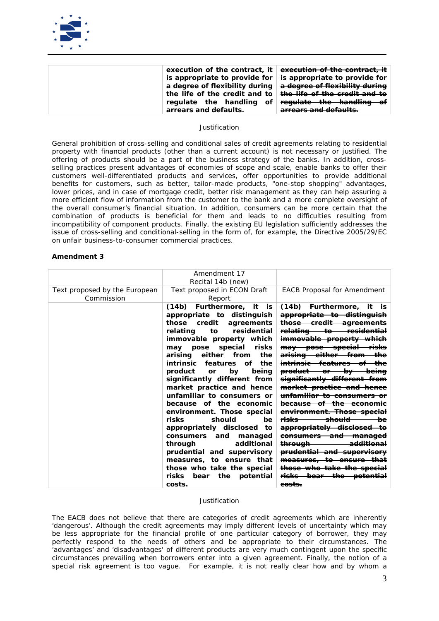

| execution of the contract, it  | execution of the contract, it            |
|--------------------------------|------------------------------------------|
| is appropriate to provide for  | is appropriate to provide for            |
| a degree of flexibility during | a degree of flexibility during           |
| the life of the credit and to  | <del>the life of the credit and to</del> |
| regulate the handling of       | regulate the handling of                 |
| arrears and defaults.          | arragec and dafaulte                     |
|                                |                                          |

*General prohibition of cross-selling and conditional sales of credit agreements relating to residential property with financial products (other than a current account) is not necessary or justified. The offering of products should be a part of the business strategy of the banks. In addition, crossselling practices present advantages of economies of scope and scale, enable banks to offer their customers well-differentiated products and services, offer opportunities to provide additional benefits for customers, such as better, tailor-made products, "one-stop shopping" advantages, lower prices, and in case of mortgage credit, better risk management as they can help assuring a more efficient flow of information from the customer to the bank and a more complete oversight of the overall consumer's financial situation. In addition, consumers can be more certain that the combination of products is beneficial for them and leads to no difficulties resulting from incompatibility of component products. Finally, the existing EU legislation sufficiently addresses the issue of cross-selling and conditional-selling in the form of, for example, the Directive 2005/29/EC on unfair business-to-consumer commercial practices.*

#### **Amendment 3**

|                               | Amendment 17                              |                                                                    |
|-------------------------------|-------------------------------------------|--------------------------------------------------------------------|
|                               | Recital 14b (new)                         |                                                                    |
| Text proposed by the European | Text proposed in ECON Draft               | <b>EACB Proposal for Amendment</b>                                 |
| Commission                    | Report                                    |                                                                    |
|                               | Furthermore, it<br>(14b)<br>is:           | <del>(14b) Furthermore.</del><br>—it—                              |
|                               |                                           |                                                                    |
|                               | appropriate to distinguish                | <del>distinauish</del><br><del>appropriate to</del>                |
|                               | those<br>credit<br>agreements             | <del>those credit</del><br><del>agreements</del>                   |
|                               | residential<br>relating<br>to             | <del>relating to residential</del>                                 |
|                               | immovable property which                  | immovable property                                                 |
|                               | risks<br>special<br>may pose              | may pose special<br><del>risks</del>                               |
|                               | the<br>arising<br>either from             | arising either from<br><del>the</del>                              |
|                               | <i>intrinsic</i><br>the<br>features<br>оf | <del>features</del><br><del>intrinsic -</del>                      |
|                               | product<br>being<br>by<br>or              | <del>product or by</del><br><del>beina</del>                       |
|                               | significantly different from              | significantly different from                                       |
|                               | market practice and hence                 | market practice and hence                                          |
|                               | unfamiliar to consumers or                | unfamiliar to consumers                                            |
|                               | because of the economic                   | −of<br><del>the</del><br><del>because</del><br><del>economic</del> |
|                               | environment. Those special                | environment. Those special                                         |
|                               | should<br>risks<br>be                     | <del>should</del><br><del>risks</del><br>bе                        |
|                               | appropriately disclosed<br>to             | appropriately disclosed                                            |
|                               | consumers<br>and<br>managed               | <del>consumers and</del><br><del>-manaqed</del>                    |
|                               | additional<br>through                     | <del>throuah</del><br><del>additional</del>                        |
|                               | prudential and supervisory                | <del>prudential and supervisory</del>                              |
|                               | measures, to ensure that                  | measures, to ensure that                                           |
|                               | those who take the special                | those who take the special                                         |
|                               | bear<br>the potential<br>risks            | <del>risks bear the potential</del>                                |
|                               | costs.                                    | <del>costs.</del>                                                  |

#### *Justification*

*The EACB does not believe that there are categories of credit agreements which are inherently*  'dangerous'. Although the credit agreements may imply different levels of uncertainty which may be less appropriate for the financial profile of one particular category of borrower, they may *perfectly respond to the needs of others and be appropriate to their circumstances. The 'advantages' and 'disadvantages' of different products are very much contingent upon the specific circumstances prevailing when borrowers enter into a given agreement. Finally, the notion of a special risk agreement is too vague. For example, it is not really clear how and by whom a*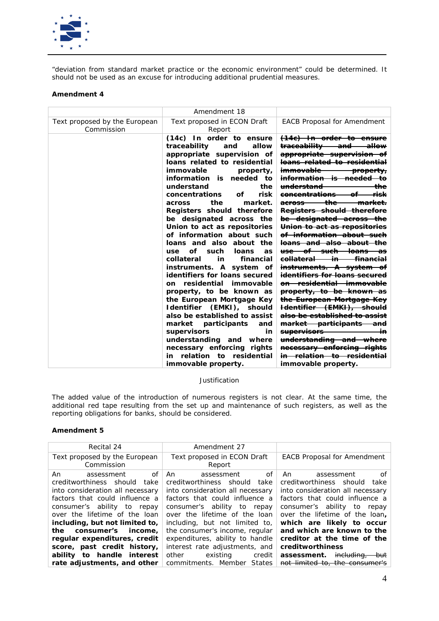

*"deviation from standard market practice or the economic environment" could be determined. It should not be used as an excuse for introducing additional prudential measures.* 

## **Amendment 4**

|                                             | Amendment 18                                                                                                                                                                                                                                                                                                                                                                                                                                                                                                                                                                                                                                                                                                                                                                                                                                                           |                                                                                                                                                                                                                                                                                                                                                                                                                                                                                                                                                                                                                                                                                                                                                                                                                                                                                                                                                                                                       |
|---------------------------------------------|------------------------------------------------------------------------------------------------------------------------------------------------------------------------------------------------------------------------------------------------------------------------------------------------------------------------------------------------------------------------------------------------------------------------------------------------------------------------------------------------------------------------------------------------------------------------------------------------------------------------------------------------------------------------------------------------------------------------------------------------------------------------------------------------------------------------------------------------------------------------|-------------------------------------------------------------------------------------------------------------------------------------------------------------------------------------------------------------------------------------------------------------------------------------------------------------------------------------------------------------------------------------------------------------------------------------------------------------------------------------------------------------------------------------------------------------------------------------------------------------------------------------------------------------------------------------------------------------------------------------------------------------------------------------------------------------------------------------------------------------------------------------------------------------------------------------------------------------------------------------------------------|
| Text proposed by the European<br>Commission | Text proposed in ECON Draft<br>Report                                                                                                                                                                                                                                                                                                                                                                                                                                                                                                                                                                                                                                                                                                                                                                                                                                  | <b>EACB Proposal for Amendment</b>                                                                                                                                                                                                                                                                                                                                                                                                                                                                                                                                                                                                                                                                                                                                                                                                                                                                                                                                                                    |
|                                             | (14c) In order to ensure<br>traceability<br>allow<br>and<br>appropriate supervision of<br>loans related to residential<br>immovable<br>property,<br>information is needed to<br>understand<br>the<br>risk<br>concentrations<br>of<br>the<br>market.<br>across<br>Registers should therefore<br>be designated across the<br>Union to act as repositories<br>of information about such<br>loans and also about the<br>of such<br>loans<br>use<br>as<br>in<br>financial<br>collateral<br>instruments. A system of<br>identifiers for loans secured<br>on residential immovable<br>property, to be known as<br>the European Mortgage Key<br>Identifier (EMKI), should<br>also be established to assist<br>market participants<br>and<br>supervisors<br>in<br>understanding and where<br>necessary enforcing rights<br>relation to residential<br>in<br>immovable property. | (14e) In order to ensure<br><del>traceability and allow</del><br>appropriate supervision of<br><del>loans related to residential</del><br>immovable property,<br><del>information is needed to</del><br><del>understand</del><br><del>the</del><br><del>concentrations of risk</del><br>across the market.<br>Registers should therefore<br><del>be designated across the</del><br>Union to act as repositories<br>of information about such<br><del>loans and also about the</del><br><del>use of such loans as</del><br>eollateral in financial<br>instruments. A system of<br><del>identifiers for loans secured</del><br>on residential immovable<br>property, to be known as<br>the European Mortgage Key<br>Hdentifier (EMKI), should<br>also be established to assist<br><del>market participants and</del><br><del>supervisors _______</del><br><del>in</del><br>understanding and where<br>necessary enforcing rights<br><del>in relation to residential</del><br><i>immovable property.</i> |

### *Justification*

*The added value of the introduction of numerous registers is not clear. At the same time, the additional red tape resulting from the set up and maintenance of such registers, as well as the reporting obligations for banks, should be considered.*

| Recital 24                                                                                                                                                      | Amendment 27                                                                                                                                                       |                                                                                                                                                                |  |  |
|-----------------------------------------------------------------------------------------------------------------------------------------------------------------|--------------------------------------------------------------------------------------------------------------------------------------------------------------------|----------------------------------------------------------------------------------------------------------------------------------------------------------------|--|--|
| Text proposed by the European                                                                                                                                   | Text proposed in ECON Draft                                                                                                                                        | <b>EACB Proposal for Amendment</b>                                                                                                                             |  |  |
| Commission                                                                                                                                                      | Report                                                                                                                                                             |                                                                                                                                                                |  |  |
| of<br>An.<br>assessment<br>creditworthiness should take<br>into consideration all necessary<br>factors that could influence a<br>consumer's ability to<br>repay | of<br>An.<br>assessment<br>creditworthiness should<br>take<br>into consideration all necessary<br>factors that could influence a<br>consumer's ability to<br>repay | nf<br>An<br>assessment<br>creditworthiness should take<br>into consideration all necessary<br>factors that could influence a<br>consumer's ability to<br>repay |  |  |
| over the lifetime of the loan                                                                                                                                   | over the lifetime of the loan                                                                                                                                      | over the lifetime of the loan,                                                                                                                                 |  |  |
| including, but not limited to,                                                                                                                                  | including, but not limited to,                                                                                                                                     | which are likely to occur                                                                                                                                      |  |  |
| consumer's<br>income.<br>the                                                                                                                                    | the consumer's income, regular                                                                                                                                     | and which are known to the                                                                                                                                     |  |  |
| regular expenditures, credit                                                                                                                                    | expenditures, ability to handle                                                                                                                                    | creditor at the time of the                                                                                                                                    |  |  |
| score, past credit history,                                                                                                                                     | interest rate adjustments, and                                                                                                                                     | creditworthiness                                                                                                                                               |  |  |
| ability to handle interest                                                                                                                                      | existing<br>other<br>credit                                                                                                                                        | <del>including,</del><br>assessment.<br><del>but</del>                                                                                                         |  |  |
| rate adjustments, and other                                                                                                                                     | commitments. Member States                                                                                                                                         | not limited to, the consumer's                                                                                                                                 |  |  |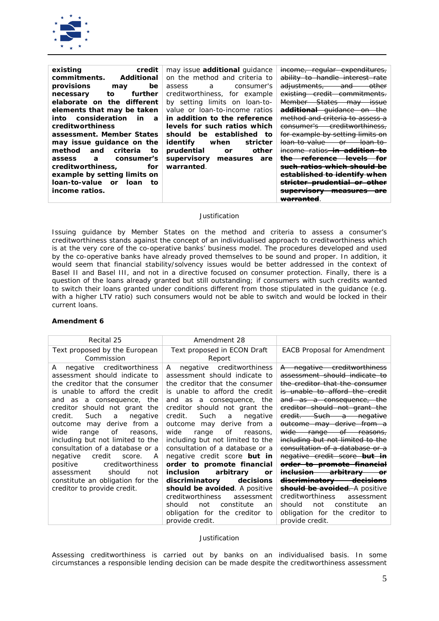

| existing<br>credit                                | may issue <b>additional</b> quidance | income, regular expenditures,                                            |
|---------------------------------------------------|--------------------------------------|--------------------------------------------------------------------------|
| Additional<br>commitments.                        | on the method and criteria to        | ability to handle interest                                               |
| provisions<br>be<br>may                           | consumer's<br>a a<br>assess          | <del>adjustments,</del><br><del>and</del><br>ether                       |
| further<br>to<br>necessary                        | creditworthiness, for example        | <del>-credit -</del><br><del>existing</del><br><del>-commitments.</del>  |
| elaborate on the different                        | by setting limits on loan-to-        | <del>States</del><br>ma∀<br><del>issue</del>                             |
| elements that may be taken                        | value or loan-to-income ratios       | guidance<br><del>additional</del>                                        |
| into consideration<br><i>in</i><br>$\overline{a}$ | in addition to the reference         | method and criteria to assess a                                          |
| <i>creditworthiness</i>                           | levels for such ratios which         | <del>- creditworthiness.</del><br><del>consumer's —</del>                |
| assessment. Member States                         | should be established<br>tο          | for example by setting limits on                                         |
| may issue guidance on the                         | identify<br>when<br>stricter         | <del>loan-to-value</del><br>Θ۴                                           |
| criteria<br>method<br>and<br>to                   | other<br>prudential<br>or            | <br><del>ratios</del>                                                    |
| consumer's<br>$\overline{a}$<br>assess            | supervisory<br>measures<br>are       | rataranaa                                                                |
| creditworthiness.<br>for                          | warranted.                           | ration which chould be                                                   |
| example by setting limits on                      |                                      | <u>actablichad ta idantifu whan</u><br><del>estavnsneg to identify</del> |
| loan-to-value or loan<br>tο                       |                                      | <del>-prudential-</del>                                                  |
| <i>income ratios.</i>                             |                                      | <del>measures</del><br><del>supervisor v</del>                           |
|                                                   |                                      | <del>warranted</del>                                                     |

*Issuing guidance by Member States on the method and criteria to assess a consumer's creditworthiness stands against the concept of an individualised approach to creditworthiness which is at the very core of the co-operative banks' business model. The procedures developed and used*  by the co-operative banks have already proved themselves to be sound and proper. In addition, it *would seem that financial stability/solvency issues would be better addressed in the context of Basel II and Basel III, and not in a directive focused on consumer protection. Finally, there is a question of the loans already granted but still outstanding; if consumers with such credits wanted to switch their loans granted under conditions different from those stipulated in the guidance (e.g.*  with a higher LTV ratio) such consumers would not be able to switch and would be locked in their *current loans.* 

### **Amendment 6**

| Recital 25                                                                                                                                                                                                                                                                                                                                                                                                                                                                                                                                          | Amendment 28                                                                                                                                                                                                                                                                                                                                                                                                                                                                                                                                                                                                                                                                     |                                                                                                                                                                                                                                                                                                                                                                                                                                                                                                                                                                                                                                                                          |
|-----------------------------------------------------------------------------------------------------------------------------------------------------------------------------------------------------------------------------------------------------------------------------------------------------------------------------------------------------------------------------------------------------------------------------------------------------------------------------------------------------------------------------------------------------|----------------------------------------------------------------------------------------------------------------------------------------------------------------------------------------------------------------------------------------------------------------------------------------------------------------------------------------------------------------------------------------------------------------------------------------------------------------------------------------------------------------------------------------------------------------------------------------------------------------------------------------------------------------------------------|--------------------------------------------------------------------------------------------------------------------------------------------------------------------------------------------------------------------------------------------------------------------------------------------------------------------------------------------------------------------------------------------------------------------------------------------------------------------------------------------------------------------------------------------------------------------------------------------------------------------------------------------------------------------------|
| Text proposed by the European<br>Commission                                                                                                                                                                                                                                                                                                                                                                                                                                                                                                         | Text proposed in ECON Draft<br>Report                                                                                                                                                                                                                                                                                                                                                                                                                                                                                                                                                                                                                                            | <b>EACB Proposal for Amendment</b>                                                                                                                                                                                                                                                                                                                                                                                                                                                                                                                                                                                                                                       |
| negative creditworthiness<br>A<br>assessment should indicate to<br>the creditor that the consumer<br>is unable to afford the credit<br>and as a consequence, the<br>creditor should not grant the<br>Such<br>credit.<br>negative<br>a<br>outcome may derive from a<br>wide<br>οf<br>range<br>reasons.<br>including but not limited to the<br>consultation of a database or a<br>credit<br>negative<br>A<br>score.<br>positive<br>creditworthiness<br>should<br>assessment<br>not<br>constitute an obligation for the<br>creditor to provide credit. | negative creditworthiness<br>A<br>assessment should indicate to<br>the creditor that the consumer<br>is unable to afford the credit<br>and as a consequence, the<br>creditor should not grant the<br>Such<br>credit.<br>negative<br>a<br>derive from a<br>outcome may<br>wide<br>οf<br>range<br>reasons,<br>including but not limited to the<br>consultation of a database or a<br>negative credit score <b>but in</b><br>order to promote financial<br>inclusion<br>arbitrary<br>or<br>discriminatory<br>decisions<br>should be avoided. A positive<br>creditworthiness<br>assessment<br>constitute<br>not<br>should<br>an<br>obligation for the creditor to<br>provide credit. | A negative creditworthiness<br>assessment should indicate to<br>the creditor that the consumer<br>is unable to afford the credit<br>and as a consequence, the<br>creditor should not grant the<br>credit. Such a negative<br>outcome may derive from a<br>wide range of reasons,<br>including but not limited to the<br>consultation of a database or a<br>negative credit score but in<br>order to promote financial<br><del>inclusion arbitrary in</del><br><del>discriminatory decisions</del><br><b>should be avoided.</b> A positive<br>creditworthiness<br>assessment<br>constitute<br>not<br>should<br>an<br>obligation for the creditor<br>to<br>provide credit. |

### *Justification*

*Assessing creditworthiness is carried out by banks on an individualised basis. In some circumstances a responsible lending decision can be made despite the creditworthiness assessment*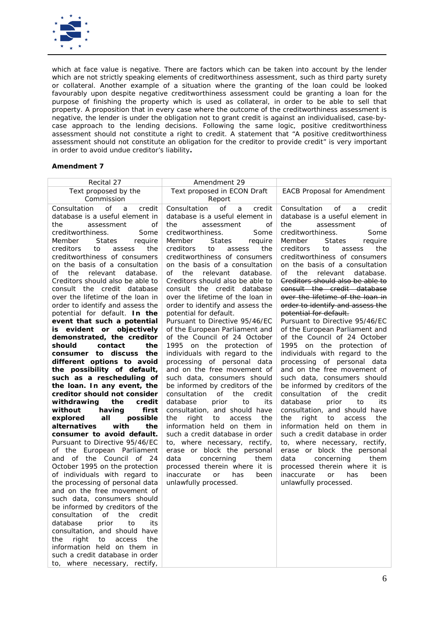

which at face value is negative. There are factors which can be taken into account by the lender *which are not strictly speaking elements of creditworthiness assessment, such as third party surety or collateral. Another example of a situation where the granting of the loan could be looked*  favourably upon despite negative creditworthiness assessment could be granting a loan for the purpose of finishing the property which is used as collateral, in order to be able to sell that *property. A proposition that in every case where the outcome of the creditworthiness assessment is negative, the lender is under the obligation not to grant credit is against an individualised, case-bycase approach to the lending decisions. Following the same logic, positive creditworthiness assessment should not constitute a right to credit. A statement that "A positive creditworthiness assessment should not constitute an obligation for the creditor to provide credit" is very important in order to avoid undue creditor's liability.* 

| Recital 27                                     | Amendment 29                                       |                                                             |
|------------------------------------------------|----------------------------------------------------|-------------------------------------------------------------|
| Text proposed by the                           | Text proposed in ECON Draft                        | <b>EACB Proposal for Amendment</b>                          |
| Commission                                     | Report                                             |                                                             |
| Consultation<br>of<br>credit<br>a              | Consultation<br>of<br>credit<br>a                  | Consultation<br>οf<br>credit<br>a                           |
| database is a useful element in                | database is a useful element in                    | database is a useful element in                             |
| of<br>the<br>assessment                        | the<br>οf<br>assessment                            | the<br>assessment<br>οf                                     |
| creditworthiness.<br>Some                      | creditworthiness.<br>Some                          | creditworthiness.<br>Some                                   |
| <b>States</b><br>require<br>Member             | <b>States</b><br>require<br>Member                 | <b>States</b><br>require<br>Member                          |
| creditors<br>the<br>to<br>assess               | creditors<br>the<br>to<br>assess                   | creditors<br>the<br>to<br>assess                            |
| creditworthiness of consumers                  | creditworthiness of consumers                      | creditworthiness of consumers                               |
| on the basis of a consultation                 | on the basis of a consultation                     | on the basis of a consultation                              |
| relevant<br>database.<br>of<br>the             | of<br>the<br>relevant<br>database.                 | of<br>the<br>relevant<br>database.                          |
| Creditors should also be able to               | Creditors should also be able to                   | Creditors should also be able to                            |
| consult the credit database                    | consult the credit database                        | consult the credit database                                 |
| over the lifetime of the loan in               | over the lifetime of the loan in                   | over the lifetime of the loan in                            |
| order to identify and assess the               | order to identify and assess the                   | order to identify and assess the                            |
| potential for default. In the                  | potential for default.                             | potential for default.                                      |
| event that such a potential                    | Pursuant to Directive 95/46/EC                     | Pursuant to Directive 95/46/EC                              |
| evident or objectively<br>is                   | of the European Parliament and                     | of the European Parliament and                              |
| demonstrated, the creditor                     | of the Council of 24 October                       | of the Council of 24 October                                |
| contact<br>the<br>should                       | 1995 on the protection of                          | 1995 on the protection of                                   |
| consumer to discuss the                        | individuals with regard to the                     | individuals with regard to the                              |
| different options to avoid                     | processing of personal data                        | processing of personal data                                 |
| the possibility of default,                    | and on the free movement of                        | and on the free movement of                                 |
| such as a rescheduling of                      | such data, consumers should                        | such data, consumers should                                 |
| the loan. In any event, the                    | be informed by creditors of the                    | be informed by creditors of the                             |
| creditor should not consider                   | of<br>the<br>credit<br>consultation                | of<br>the<br>credit<br>consultation                         |
| the<br>credit<br>withdrawing                   | database<br>prior<br>to<br>its                     | database<br>prior<br>to<br>its                              |
| without<br>having<br>first<br>possible         | consultation, and should have<br>right<br>the      | consultation, and should have<br>the                        |
| explored<br>all<br>alternatives<br>with<br>the | the<br>access<br>to<br>information held on them in | the<br>right<br>access<br>to<br>information held on them in |
| consumer to avoid default.                     | such a credit database in order                    | such a credit database in order                             |
| Pursuant to Directive 95/46/EC                 | to, where necessary, rectify,                      | to, where necessary, rectify,                               |
| of the European Parliament                     | erase or block the personal                        | erase or block the personal                                 |
| and of the Council of 24                       | data<br>concerning<br>them                         | data<br>concerning<br>them                                  |
| October 1995 on the protection                 | processed therein where it is                      | processed therein where it is                               |
| of individuals with regard to                  | has<br>inaccurate<br><b>or</b><br>been             | has<br>inaccurate<br>or<br>been                             |
| the processing of personal data                | unlawfully processed.                              | unlawfully processed.                                       |
| and on the free movement of                    |                                                    |                                                             |
| such data, consumers should                    |                                                    |                                                             |
| be informed by creditors of the                |                                                    |                                                             |
| consultation of the<br>credit                  |                                                    |                                                             |
| database<br>prior<br>to<br>its                 |                                                    |                                                             |
| consultation, and should have                  |                                                    |                                                             |
| the right to<br>access the                     |                                                    |                                                             |
| information held on them in                    |                                                    |                                                             |
| such a credit database in order                |                                                    |                                                             |
| to, where necessary, rectify,                  |                                                    |                                                             |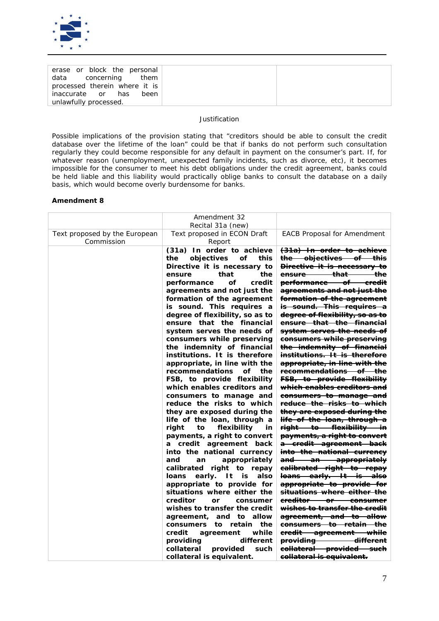

| erase or block the personal   |      |
|-------------------------------|------|
| data concerning them          |      |
| processed therein where it is |      |
| inaccurate or has             | been |
| unlawfully processed.         |      |

*Possible implications of the provision stating that "creditors should be able to consult the credit database over the lifetime of the loan" could be that if banks do not perform such consultation regularly they could become responsible for any default in payment on the consumer's part. If, for whatever reason (unemployment, unexpected family incidents, such as divorce, etc), it becomes impossible for the consumer to meet his debt obligations under the credit agreement, banks could be held liable and this liability would practically oblige banks to consult the database on a daily basis, which would become overly burdensome for banks.*

|                                             | Amendment 32<br>Recital 31a (new)                                                                                                                                                                                                                                                                                                                                                                                                                                                                                                                                                                                                                                                                                                                                                                                                                                                                                                                                                                                                                                                                                                                                                                               |                                                                                                                                                                                                                                                                                                                                                                                                                                                                                                                                                                                                                                                                                                                                                                                                                                                                                                                                                                                                                                                                                                                                                                                                                                                                                                   |
|---------------------------------------------|-----------------------------------------------------------------------------------------------------------------------------------------------------------------------------------------------------------------------------------------------------------------------------------------------------------------------------------------------------------------------------------------------------------------------------------------------------------------------------------------------------------------------------------------------------------------------------------------------------------------------------------------------------------------------------------------------------------------------------------------------------------------------------------------------------------------------------------------------------------------------------------------------------------------------------------------------------------------------------------------------------------------------------------------------------------------------------------------------------------------------------------------------------------------------------------------------------------------|---------------------------------------------------------------------------------------------------------------------------------------------------------------------------------------------------------------------------------------------------------------------------------------------------------------------------------------------------------------------------------------------------------------------------------------------------------------------------------------------------------------------------------------------------------------------------------------------------------------------------------------------------------------------------------------------------------------------------------------------------------------------------------------------------------------------------------------------------------------------------------------------------------------------------------------------------------------------------------------------------------------------------------------------------------------------------------------------------------------------------------------------------------------------------------------------------------------------------------------------------------------------------------------------------|
| Text proposed by the European<br>Commission | Text proposed in ECON Draft<br>Report                                                                                                                                                                                                                                                                                                                                                                                                                                                                                                                                                                                                                                                                                                                                                                                                                                                                                                                                                                                                                                                                                                                                                                           | <b>EACB Proposal for Amendment</b>                                                                                                                                                                                                                                                                                                                                                                                                                                                                                                                                                                                                                                                                                                                                                                                                                                                                                                                                                                                                                                                                                                                                                                                                                                                                |
|                                             | (31a) In order to achieve<br>objectives<br>the<br>of<br>this<br>Directive it is necessary to<br>that<br>the<br>ensure<br>credit<br>performance<br>οf<br>agreements and not just the<br>formation of the agreement<br>is sound. This requires a<br>degree of flexibility, so as to<br>ensure that the financial<br>system serves the needs of<br>consumers while preserving<br>the indemnity of financial<br>institutions. It is therefore<br>appropriate, in line with the<br>recommendations<br>the<br>οf<br>FSB, to provide flexibility<br>which enables creditors and<br>consumers to manage and<br>reduce the risks to which<br>they are exposed during the<br>life of the loan, through a<br>right<br>flexibility<br>to<br>in<br>payments, a right to convert<br>a credit agreement back<br>into the national currency<br>appropriately<br>and<br>an<br>calibrated right to repay<br>early. It is<br>also<br>loans<br>appropriate to provide for<br>situations where either the<br>creditor<br><b>or</b><br>consumer<br>wishes to transfer the credit<br>agreement, and to allow<br>the<br>consumers to retain<br>while<br>credit<br>agreement<br>different<br>providing<br>collateral<br>provided<br>such | (31a) In order to achieve<br>the objectives of this<br><b>Directive it is necessary to</b><br>ensure that<br><del>the</del><br><del>performance of</del><br><del>-eredit</del><br>agreements and not just the<br>formation of the agreement<br>is sound. This requires a<br>degree of flexibility, so as to<br>ensure that the financial<br><del>system serves the needs of</del><br>consumers while preserving<br>the indemnity of financial<br>institutions. It is therefore<br>appropriate, in line with the<br><del>recommendations of the</del><br><b>FSB</b> , to provide flexibility<br><del>which enables creditors and</del><br><del>consumers to manage and</del><br><del>reduce the risks to which</del><br>they are exposed during the<br>life of the loan, through a<br>right to flexibility in<br>payments, a right to convert<br>a credit agreement back<br>into the national currency<br>and an appropriately<br>calibrated right to repay<br>loans early. It is also<br>appropriate to provide for<br><del>situations where either the</del><br>ereditor or consumer<br>wishes to transfer the credit<br>agreement, and to allow<br><del>consumers to retain the</del><br>eredit agreement while<br>providing different<br>collateral provided such<br>collateral is equivalent. |
|                                             | collateral is equivalent.                                                                                                                                                                                                                                                                                                                                                                                                                                                                                                                                                                                                                                                                                                                                                                                                                                                                                                                                                                                                                                                                                                                                                                                       |                                                                                                                                                                                                                                                                                                                                                                                                                                                                                                                                                                                                                                                                                                                                                                                                                                                                                                                                                                                                                                                                                                                                                                                                                                                                                                   |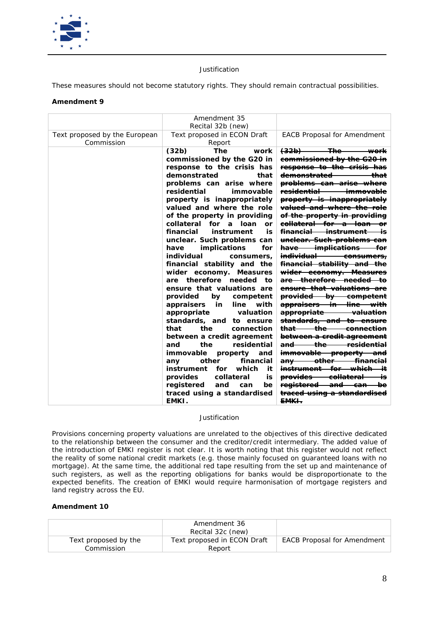

*These measures should not become statutory rights. They should remain contractual possibilities.* 

## **Amendment 9**

|                                             | Amendment 35<br>Recital 32b (new)                                                                                                                                                                                                                                                                                                                                                                                                                                                                                                                                                                                                                                                                                                                                                                                                                                                                                                                                                                         |                                                                                                                                                                                                                                                                                                                                                                                                                                                                                                                                                                                                                                                                                                                                                                                                                                                                                                                                                                                                                                                                                                                                                                                                                                                                                         |
|---------------------------------------------|-----------------------------------------------------------------------------------------------------------------------------------------------------------------------------------------------------------------------------------------------------------------------------------------------------------------------------------------------------------------------------------------------------------------------------------------------------------------------------------------------------------------------------------------------------------------------------------------------------------------------------------------------------------------------------------------------------------------------------------------------------------------------------------------------------------------------------------------------------------------------------------------------------------------------------------------------------------------------------------------------------------|-----------------------------------------------------------------------------------------------------------------------------------------------------------------------------------------------------------------------------------------------------------------------------------------------------------------------------------------------------------------------------------------------------------------------------------------------------------------------------------------------------------------------------------------------------------------------------------------------------------------------------------------------------------------------------------------------------------------------------------------------------------------------------------------------------------------------------------------------------------------------------------------------------------------------------------------------------------------------------------------------------------------------------------------------------------------------------------------------------------------------------------------------------------------------------------------------------------------------------------------------------------------------------------------|
| Text proposed by the European<br>Commission | Text proposed in ECON Draft<br>Report                                                                                                                                                                                                                                                                                                                                                                                                                                                                                                                                                                                                                                                                                                                                                                                                                                                                                                                                                                     | <b>EACB Proposal for Amendment</b>                                                                                                                                                                                                                                                                                                                                                                                                                                                                                                                                                                                                                                                                                                                                                                                                                                                                                                                                                                                                                                                                                                                                                                                                                                                      |
|                                             | (32b)<br><b>The</b><br>work<br>commissioned by the G20 in<br>response to the crisis has<br>demonstrated<br>that<br>problems can arise where<br>residential<br>immovable<br>property is inappropriately<br>valued and where the role<br>of the property in providing<br>collateral<br>for<br>loan<br>a<br>or<br>financial<br>instrument<br>is<br>unclear. Such problems can<br>have<br><i>implications</i><br>for<br>individual<br>consumers.<br>financial stability and the<br>wider economy. Measures<br>therefore<br>needed<br>are<br>to<br>ensure that valuations are<br>provided<br>by<br>competent<br>appraisers<br>in<br>line<br>with<br>appropriate<br>valuation<br>standards, and<br>to ensure<br>that<br>the<br>connection<br>between a credit agreement<br>the<br>residential<br>and<br>immovable<br>property<br>and<br>financial<br>other<br>any<br>instrument<br>which<br>it<br>for<br>provides<br>collateral<br>is<br>registered<br>and<br>be<br>can<br>traced using a standardised<br>EMKI. | <del>(32b)</del><br><del>-The-</del><br><del>work</del><br>commissioned by the G20 in<br>response to the crisis has<br><del>demonstrated</del><br>that<br>problems can arise where<br><del>residential</del><br><del>immovable</del><br>property is inappropriately<br><del>valued and where the role</del><br><del>of the property in providing</del><br><del>collateral for a loan</del><br><del>-instrument</del><br><del>financial -</del><br>is<br>unelear. Such problems can<br>have implications<br>for<br><del>individual</del><br><del>consumers,</del><br><del>financial stability and the</del><br>wider economy. Measures<br>therefore needed<br>are—<br>ensure that valuations are<br><del>provided by competent</del><br><del>appraisers in line with</del><br><del>appropriate</del><br><del>valuation</del><br>standards, and to ensure<br><del>that</del><br><del>the</del><br><del>connection</del><br>between a credit agreement<br>the<br><del>residential</del><br>and<br>immovable property<br>and<br><del>other</del><br><del>financial</del><br>an∀<br>for<br><del>instrument -</del><br><b>provides</b><br><del>collateral</del><br><del>registered -</del><br><del>and</del><br><del>can</del><br><del>traced using a standardised</del><br><del>EMKI .</del> |

## *Justification*

*Provisions concerning property valuations are unrelated to the objectives of this directive dedicated to the relationship between the consumer and the creditor/credit intermediary. The added value of the introduction of EMKI register is not clear. It is worth noting that this register would not reflect the reality of some national credit markets (e.g. those mainly focused on guaranteed loans with no mortgage). At the same time, the additional red tape resulting from the set up and maintenance of such registers, as well as the reporting obligations for banks would be disproportionate to the expected benefits. The creation of EMKI would require harmonisation of mortgage registers and land registry across the EU.*

|                                    | Amendment 36<br>Recital 32c (new)     |                                    |
|------------------------------------|---------------------------------------|------------------------------------|
| Text proposed by the<br>Commission | Text proposed in ECON Draft<br>Report | <b>EACB Proposal for Amendment</b> |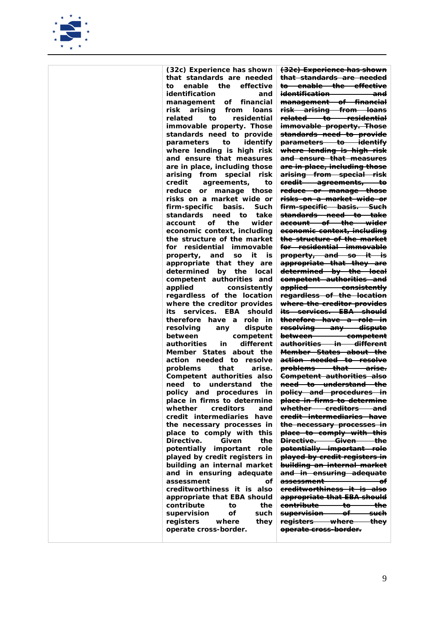

*(32c) Experience has shown that standards are needed to enable the effective identification and management of financial risk arising from loans related to residential immovable property. Those standards need to provide parameters to identify where lending is high risk and ensure that measures are in place, including those arising from special risk credit agreements, to reduce or manage those risks on a market wide or firm-specific basis. Such standards need to take account of the wider economic context, including the structure of the market for residential immovable property, and so it is appropriate that they are determined by the local competent authorities and*   $consistently$ *regardless of the location where the creditor provides its services. EBA should therefore have a role in resolving any dispute between competent authorities Member States about the action needed to resolve problems that arise. Competent authorities also need to understand the policy and procedures in place in firms to determine whether creditors and credit intermediaries have the necessary processes in place to comply with this Directive. Given the potentially important role played by credit registers in building an internal market and in ensuring adequate assessment of creditworthiness it is also appropriate that EBA should contribute to the supervision of such registers where they operate cross-border.*

*(32c) Experience has shown that standards are needed to enable the effective identification and management of financial risk arising from loans related to residential immovable property. Those standards need to provide parameters to identify where lending is high risk and ensure that measures are in place, including those arising from special risk credit agreements, to reduce or manage those risks on a market wide or firm-specific basis. Such standards need to take account of the wider economic context, including the structure of the market for residential immovable property, and so it is appropriate that they are determined by the local competent authorities and applied consistently regardless of the location where the creditor provides its services. EBA should therefore have a role in resolving any dispute between competent authorities in different Member States about the action needed to resolve problems that arise. Competent authorities also need to understand the policy and procedures in place in firms to determine whether creditors and credit intermediaries have the necessary processes in place to comply with this Directive. Given the potentially important role played by credit registers in building an internal market and in ensuring adequate assessment of creditworthiness it is also appropriate that EBA should contribute to the supervision of such registers where they operate cross-border.*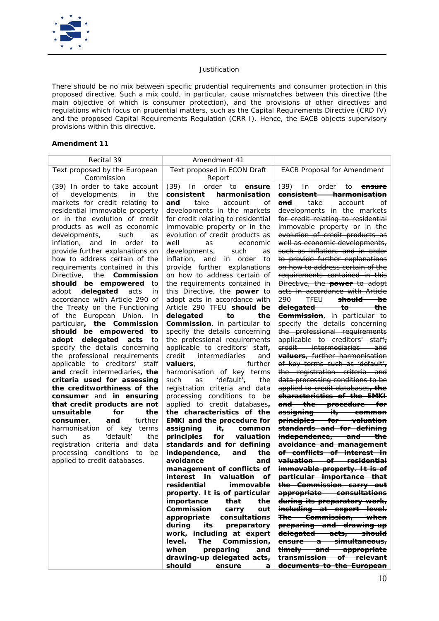

*There should be no mix between specific prudential requirements and consumer protection in this proposed directive. Such a mix could, in particular, cause mismatches between this directive (the main objective of which is consumer protection), and the provisions of other directives and regulations which focus on prudential matters, such as the Capital Requirements Directive (CRD IV) and the proposed Capital Requirements Regulation (CRR I). Hence, the EACB objects supervisory provisions within this directive.*

| Recital 39                                                 | Amendment 41                                                 |                                                                   |
|------------------------------------------------------------|--------------------------------------------------------------|-------------------------------------------------------------------|
| Text proposed by the European<br>Commission                | Text proposed in ECON Draft<br>Report                        | <b>EACB Proposal for Amendment</b>                                |
| (39) In order to take account                              | (39)<br>order<br>In.<br>to:<br>ensure                        | <del>(39) In order to <b>ensure</b></del>                         |
| developments<br>the<br>οf<br>in in                         | harmonisation<br>consistent                                  | <del>consistent harmonisation</del>                               |
| markets for credit relating to                             | take<br>οf<br>and<br>account                                 | <del>take account</del><br>-of<br><del>and-</del>                 |
| residential immovable property                             | developments in the markets                                  | developments in the markets                                       |
| or in the evolution of credit                              | for credit relating to residential                           | for credit relating to residential                                |
| products as well as economic                               | immovable property or in the                                 | immovable property or in the                                      |
| developments,<br>such<br>as                                | evolution of credit products as                              | evolution of credit products as                                   |
| inflation,<br>and<br>in order<br>to                        | well<br>economic<br>as                                       | well as economic developments,                                    |
| provide further explanations on                            | developments,<br>such<br>as                                  | such as inflation, and in order                                   |
| how to address certain of the                              | inflation, and<br>in order<br>to                             | to provide further explanations                                   |
| requirements contained in this                             | provide further explanations                                 | <del>on how to address certain of the</del>                       |
| Directive, the <b>Commission</b>                           | on how to address certain of                                 | requirements contained in this                                    |
| should be empowered to                                     | the requirements contained in                                | Directive, the <b>power</b> to adopt                              |
| delegated acts<br>adopt<br>in                              | this Directive, the <b>power</b> to                          | acts in accordance with Article                                   |
| accordance with Article 290 of                             | adopt acts in accordance with                                | 290 TFEU should be<br>delegated to the                            |
| the Treaty on the Functioning                              | Article 290 TFEU should be<br>delegated<br>to<br>the         | Commission, in particular to                                      |
| of the European Union.<br>In<br>particular, the Commission | Commission, in particular to                                 | specify the details concerning                                    |
| should be empowered<br>to                                  | specify the details concerning                               | the professional requirements                                     |
| adopt delegated acts<br>to                                 | the professional requirements                                | applicable to creditors' staff,                                   |
| specify the details concerning                             | applicable to creditors' staff,                              | credit intermediaries and                                         |
| the professional requirements                              | credit<br>intermediaries<br>and                              | <b>valuers</b> , further harmonisation                            |
| applicable to creditors' staff                             | further<br>valuers,                                          | of key terms such as 'default',                                   |
| and credit intermediaries, the                             | harmonisation of key terms                                   | the registration criteria and                                     |
| criteria used for assessing                                | 'default',<br>such<br>as<br>the                              | data processing conditions to be                                  |
| the creditworthiness of the                                | registration criteria and data                               | applied to credit databases, the                                  |
| consumer and in ensuring                                   | processing conditions to<br>be                               | characteristics of the EMKH                                       |
| that credit products are not                               | applied to credit databases,                                 | and the procedure for                                             |
| unsuitable<br>for<br>the                                   | the characteristics of the                                   | assigning it, common                                              |
| further<br>and<br>consumer,                                | <b>EMKI</b> and the procedure for                            | principles for valuation                                          |
| harmonisation of key terms<br>'default'<br>such<br>the     | assigning<br>it,<br>common<br>principles<br>for<br>valuation | standards and for defining<br>independence, and the               |
| as<br>registration criteria and data                       | standards and for defining                                   | avoidance and management                                          |
| processing<br>conditions to<br>be                          | independence,<br>the<br>and                                  | <del>of conflicts of interest in</del>                            |
| applied to credit databases.                               | avoidance<br>and                                             | valuation of residential                                          |
|                                                            | management of conflicts of                                   | immovable property. It is of                                      |
|                                                            | interest in valuation<br>οf                                  | <del>particular importance that</del>                             |
|                                                            | residential<br>immovable                                     | <del>the Commission</del><br><del>carry -</del><br><del>out</del> |
|                                                            | property. It is of particular                                | appropriate consultations                                         |
|                                                            | importance<br>that<br>the                                    | during its preparatory work,                                      |
|                                                            | Commission<br>carry<br>out                                   | ineluding at expert level.                                        |
|                                                            | consultations<br>appropriate                                 | <del>The Commission, when</del>                                   |
|                                                            | during<br>its<br>preparatory                                 | preparing and drawing-up                                          |
|                                                            | work, including at expert                                    | delegated acts, should                                            |
|                                                            | level.<br><b>The</b><br>Commission,                          | <del>ensure a simultaneous,</del>                                 |
|                                                            | when<br>preparing<br>and                                     | timely and appropriate                                            |
|                                                            | drawing-up delegated acts,<br>should                         | transmission of relevant                                          |
|                                                            | ensure<br>а                                                  | documents to the European                                         |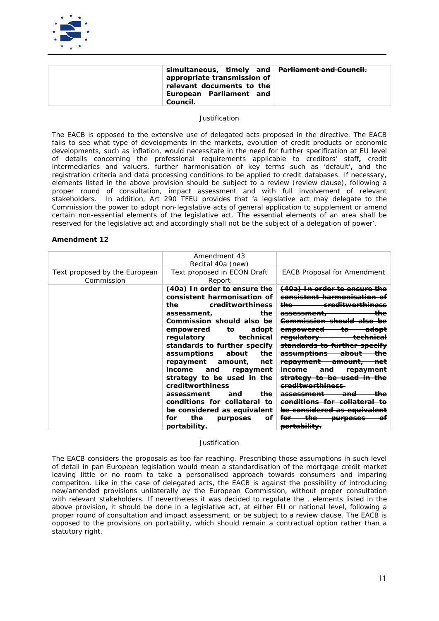

| simultaneous, timely and <del>Parliament and Council.</del><br>appropriate transmission of $ $<br>relevant documents to the<br>European Parliament and<br>Council. |  |
|--------------------------------------------------------------------------------------------------------------------------------------------------------------------|--|
|--------------------------------------------------------------------------------------------------------------------------------------------------------------------|--|

*The EACB is opposed to the extensive use of delegated acts proposed in the directive. The EACB*  fails to see what type of developments in the markets, evolution of credit products or economic *developments, such as inflation, would necessitate in the need for further specification at EU level of details concerning the professional requirements applicable to creditors' staff, credit intermediaries and valuers, further harmonisation of key terms such as 'default', and the registration criteria and data processing conditions to be applied to credit databases. If necessary, elements listed in the above provision should be subject to a review (review clause), following a proper round of consultation, impact assessment and with full involvement of relevant stakeholders. In addition, Art 290 TFEU provides that 'a legislative act may delegate to the Commission the power to adopt non-legislative acts of general application to supplement or amend certain non-essential elements of the legislative act. The essential elements of an area shall be reserved for the legislative act and accordingly shall not be the subject of a delegation of power'.* 

#### **Amendment 12**

|                                             | Amendment 43<br>Recital 40a (new)                                                                                                                                                                                                                                                                                                                                                                                                                                                                                                   |                                                                                                                                                                                                                                                                                                                                                                                                                                                                    |
|---------------------------------------------|-------------------------------------------------------------------------------------------------------------------------------------------------------------------------------------------------------------------------------------------------------------------------------------------------------------------------------------------------------------------------------------------------------------------------------------------------------------------------------------------------------------------------------------|--------------------------------------------------------------------------------------------------------------------------------------------------------------------------------------------------------------------------------------------------------------------------------------------------------------------------------------------------------------------------------------------------------------------------------------------------------------------|
| Text proposed by the European<br>Commission | Text proposed in ECON Draft<br>Report                                                                                                                                                                                                                                                                                                                                                                                                                                                                                               | <b>EACB Proposal for Amendment</b>                                                                                                                                                                                                                                                                                                                                                                                                                                 |
|                                             | (40a) In order to ensure the<br>consistent harmonisation of<br>the<br>creditworthiness<br>the<br>assessment,<br>Commission should also be<br>to to<br>adopt<br>empowered<br>regulatory<br>technical<br>standards to further specify<br>about<br>the<br><i>assumptions</i><br>repayment<br>amount,<br>net<br>income<br>and<br>repayment<br>strategy to be used in the<br>creditworthiness<br>the<br>assessment<br>and<br>conditions for collateral to<br>be considered as equivalent<br>the<br>for<br>οf<br>purposes<br>portability. | <del>In order to e</del><br><del>the</del><br>ereditwarth<br><del>assessment.</del><br><del>Commission-</del><br><del>empowered</del><br>regulatory<br><del>standards to further</del><br><del>assumptions</del><br><del>repayment</del><br><del>amount</del><br><del>repayment</del><br><del>mcome</del><br>and<br><del>be used in</del><br>ereditworthiness<br>conditions for collateral<br><del>be considered as equivalent</del><br>for<br><del>purpose:</del> |

#### *Justification*

*The EACB considers the proposals as too far reaching. Prescribing those assumptions in such level of detail in pan European legislation would mean a standardisation of the mortgage credit market*  leaving little or no room to take a personalised approach towards consumers and imparing *competiton. Like in the case of delegated acts, the EACB is against the possibility of introducing new/amended provisions unilaterally by the European Commission, without proper consultation with relevant stakeholders. If nevertheless it was decided to regulate the , elements listed in the above provision, it should be done in a legislative act, at either EU or national level, following a proper round of consultation and impact assessment, or be subject to a review clause. The EACB is opposed to the provisions on portability, which should remain a contractual option rather than a statutory right.*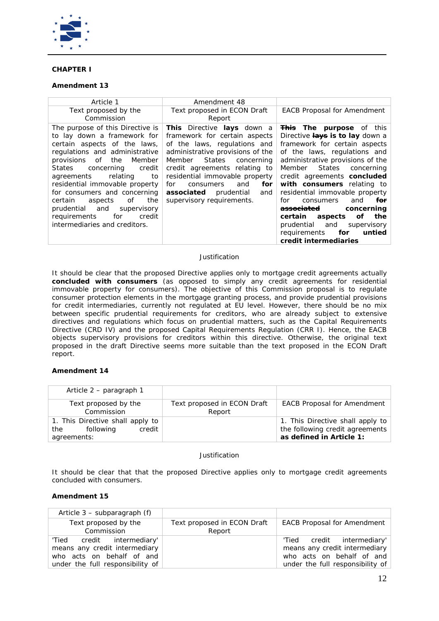

# **CHAPTER I**

# **Amendment 13**

| Article 1                                                                                                                                                                                                                                                                                                                                                                                                                                     | Amendment 48                                                                                                                                                                                                                                                                                                                     |                                                                                                                                                                                                                                                                                                                                                                                                                                                                                                                  |
|-----------------------------------------------------------------------------------------------------------------------------------------------------------------------------------------------------------------------------------------------------------------------------------------------------------------------------------------------------------------------------------------------------------------------------------------------|----------------------------------------------------------------------------------------------------------------------------------------------------------------------------------------------------------------------------------------------------------------------------------------------------------------------------------|------------------------------------------------------------------------------------------------------------------------------------------------------------------------------------------------------------------------------------------------------------------------------------------------------------------------------------------------------------------------------------------------------------------------------------------------------------------------------------------------------------------|
| Text proposed by the<br>Commission                                                                                                                                                                                                                                                                                                                                                                                                            | Text proposed in ECON Draft<br>Report                                                                                                                                                                                                                                                                                            | <b>EACB Proposal for Amendment</b>                                                                                                                                                                                                                                                                                                                                                                                                                                                                               |
| The purpose of this Directive is<br>to lay down a framework for<br>certain aspects of the laws,<br>regulations and administrative<br>provisions of<br>the<br>Member<br>States<br>concerning<br>credit<br>agreements<br>relating<br>to<br>residential immovable property<br>for consumers and concerning<br>the<br>certain<br>aspects<br>of<br>prudential and<br>supervisory<br>requirements<br>for<br>credit<br>intermediaries and creditors. | This Directive lays down a<br>framework for certain aspects<br>of the laws, regulations and<br>administrative provisions of the<br>Member States concerning<br>credit agreements relating to<br>residential immovable property<br>for<br>for<br>consumers<br>and<br>associated<br>prudential<br>and<br>supervisory requirements. | <b>This The purpose</b> of this<br>Directive <b>lays is to lay</b> down a<br>framework for certain aspects<br>of the laws, regulations and<br>administrative provisions of the<br>Member States<br>concerning<br>credit agreements concluded<br>with consumers relating to<br>residential immovable property<br>for<br>and<br>for<br>consumers<br><del>associated</del><br>concerning<br>of<br>the<br>certain aspects<br>prudential and<br>supervisory<br>requirements<br>for<br>untied<br>credit intermediaries |

## *Justification*

It *should be clear that the proposed Directive applies only to mortgage credit agreements actually concluded with consumers (as opposed to simply any credit agreements for residential immovable property for consumers). The objective of this Commission proposal is to regulate consumer protection elements in the mortgage granting process, and provide prudential provisions for credit intermediaries, currently not regulated at EU level. However, there should be no mix between specific prudential requirements for creditors, who are already subject to extensive directives and regulations which focus on prudential matters, such as the Capital Requirements Directive (CRD IV) and the proposed Capital Requirements Regulation (CRR I). Hence, the EACB objects supervisory provisions for creditors within this directive. Otherwise, the original text proposed in the draft Directive seems more suitable than the text proposed in the ECON Draft report.*

## **Amendment 14**

| Article 2 – paragraph 1                                                       |                                       |                                                                                                 |
|-------------------------------------------------------------------------------|---------------------------------------|-------------------------------------------------------------------------------------------------|
| Text proposed by the<br>Commission                                            | Text proposed in ECON Draft<br>Report | <b>EACB Proposal for Amendment</b>                                                              |
| 1. This Directive shall apply to<br>following<br>credit<br>the<br>agreements: |                                       | 1. This Directive shall apply to<br>the following credit agreements<br>as defined in Article 1: |

#### *Justification*

*It should be clear that that the proposed Directive applies only to mortgage credit agreements concluded with consumers.* 

| Article $3$ – subparagraph $(f)$                                                                                             |                                       |                                                                                                                              |
|------------------------------------------------------------------------------------------------------------------------------|---------------------------------------|------------------------------------------------------------------------------------------------------------------------------|
| Text proposed by the<br>Commission                                                                                           | Text proposed in ECON Draft<br>Report | <b>EACB Proposal for Amendment</b>                                                                                           |
| 'Tied credit intermediary'<br>means any credit intermediary<br>who acts on behalf of and<br>under the full responsibility of |                                       | 'Tied credit intermediary'<br>means any credit intermediary<br>who acts on behalf of and<br>under the full responsibility of |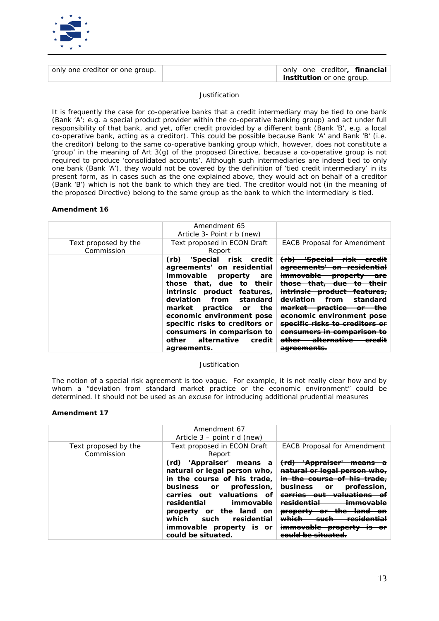

| only one creditor or one group. | only one creditor, <i>financial</i> |
|---------------------------------|-------------------------------------|
|                                 | <i>institution</i> or one group.    |

*It is frequently the case for co-operative banks that a credit intermediary may be tied to one bank (Bank 'A'; e.g. a special product provider within the co-operative banking group) and act under full responsibility of that bank, and yet, offer credit provided by a different bank (Bank 'B', e.g. a local co-operative bank, acting as a creditor). This could be possible because Bank 'A' and Bank 'B' (i.e. the creditor) belong to the same co-operative banking group which, however, does not constitute a*  'group' in the meaning of Art 3(g) of the proposed Directive, because a co-operative group is not *required to produce 'consolidated accounts'. Although such intermediaries are indeed tied to only one bank (Bank 'A'), they would not be covered by the definition of 'tied credit intermediary' in its present form, as in cases such as the one explained above, they would act on behalf of a creditor (Bank 'B') which is not the bank to which they are tied. The creditor would not (in the meaning of the proposed Directive) belong to the same group as the bank to which the intermediary is tied.* 

## **Amendment 16**

| Text proposed by the<br>Commission | Amendment 65<br>Article 3- Point r b (new)<br>Text proposed in ECON Draft<br>Report                                                                                                                                                                                                                                                                   | <b>EACB Proposal for Amendment</b>                                                                                                                                                                                                                             |
|------------------------------------|-------------------------------------------------------------------------------------------------------------------------------------------------------------------------------------------------------------------------------------------------------------------------------------------------------------------------------------------------------|----------------------------------------------------------------------------------------------------------------------------------------------------------------------------------------------------------------------------------------------------------------|
|                                    | 'Special risk credit<br>(rb)<br>agreements' on residential<br>immovable property<br>are<br>those that, due to their<br>intrinsic product features,<br>deviation from standard<br>market practice or<br>the<br>economic environment pose<br>specific risks to creditors or<br>consumers in comparison to<br>other alternative<br>credit<br>agreements. | <del>'Special risk</del><br>$f$ (rb)<br>eredit<br><del>on reside</del><br><del>agreements'</del><br><del>property</del><br>are<br><del>intrinsic product</del><br><del>from</del><br><del>market</del><br><del>practice</del><br>economic environment<br>other |

#### *Justification*

*The notion of a special risk agreement is too vague. For example, it is not really clear how and by whom a "deviation from standard market practice or the economic environment" could be determined. It should not be used as an excuse for introducing additional prudential measures*

|                                    | Amendment 67<br>Article $3$ – point r d (new)                                                                                                                                                                                                                                                         |                                                                                                                                                                       |
|------------------------------------|-------------------------------------------------------------------------------------------------------------------------------------------------------------------------------------------------------------------------------------------------------------------------------------------------------|-----------------------------------------------------------------------------------------------------------------------------------------------------------------------|
| Text proposed by the<br>Commission | Text proposed in ECON Draft<br>Report                                                                                                                                                                                                                                                                 | <b>EACB Proposal for Amendment</b>                                                                                                                                    |
|                                    | (rd) 'Appraiser' means a<br>natural or legal person who,<br>in the course of his trade,<br>profession,<br>business<br><b>or</b><br>carries out valuations of<br>residential<br>immovable<br>property or the land on<br>which<br>residential<br>such<br>immovable property is or<br>could be situated. | <del>(rd)</del><br>15901 V51391<br><del>business</del><br><del>professio</del><br>Θ۴<br>---<br><del>property</del><br><del>property</del><br>$\overline{\phantom{a}}$ |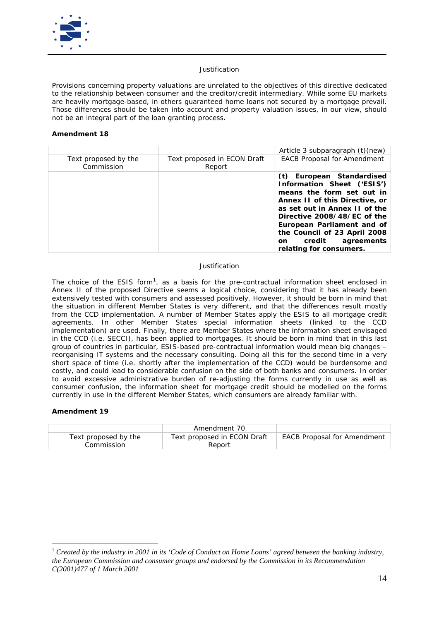

*Provisions concerning property valuations are unrelated to the objectives of this directive dedicated to the relationship between consumer and the creditor/credit intermediary. While some EU markets are heavily mortgage-based, in others guaranteed home loans not secured by a mortgage prevail. Those differences should be taken into account and property valuation issues, in our view, should not be an integral part of the loan granting process.*

## **Amendment 18**

|                                    |                                       | Article 3 subparagraph (t)(new)                                                                                                                                                                                                                                                                         |
|------------------------------------|---------------------------------------|---------------------------------------------------------------------------------------------------------------------------------------------------------------------------------------------------------------------------------------------------------------------------------------------------------|
| Text proposed by the<br>Commission | Text proposed in ECON Draft<br>Report | <b>EACB Proposal for Amendment</b>                                                                                                                                                                                                                                                                      |
|                                    |                                       | (t) European Standardised<br>Information Sheet ('ESIS')<br>means the form set out in<br>Annex II of this Directive, or<br>as set out in Annex II of the<br>Directive 2008/48/EC of the<br>European Parliament and of<br>the Council of 23 April 2008<br>on credit agreements<br>relating for consumers. |

## *Justification*

*The choice of the ESIS form[1](#page-13-0) , as a basis for the pre-contractual information sheet enclosed in Annex II of the proposed Directive seems a logical choice, considering that it has already been extensively tested with consumers and assessed positively. However, it should be born in mind that the situation in different Member States is very different, and that the differences result mostly from the CCD implementation. A number of Member States apply the ESIS to all mortgage credit agreements. In other Member States special information sheets (linked to the CCD implementation) are used. Finally, there are Member States where the information sheet envisaged in the CCD (i.e. SECCI), has been applied to mortgages. It should be born in mind that in this last group of countries in particular, ESIS-based pre-contractual information would mean big changes – reorganising IT systems and the necessary consulting. Doing all this for the second time in a very short space of time (i.e. shortly after the implementation of the CCD) would be burdensome and costly, and could lead to considerable confusion on the side of both banks and consumers. In order to avoid excessive administrative burden of re-adjusting the forms currently in use as well as consumer confusion, the information sheet for mortgage credit should be modelled on the forms currently in use in the different Member States, which consumers are already familiar with.* 

|                      | Amendment 70                |                                    |
|----------------------|-----------------------------|------------------------------------|
| Text proposed by the | Text proposed in ECON Draft | <b>EACB Proposal for Amendment</b> |
| Commission           | Report                      |                                    |

<span id="page-13-0"></span> $1$  Created by the industry in 2001 in its 'Code of Conduct on Home Loans' agreed between the banking industry, *the European Commission and consumer groups and endorsed by the Commission in its Recommendation C(2001)477 of 1 March 2001*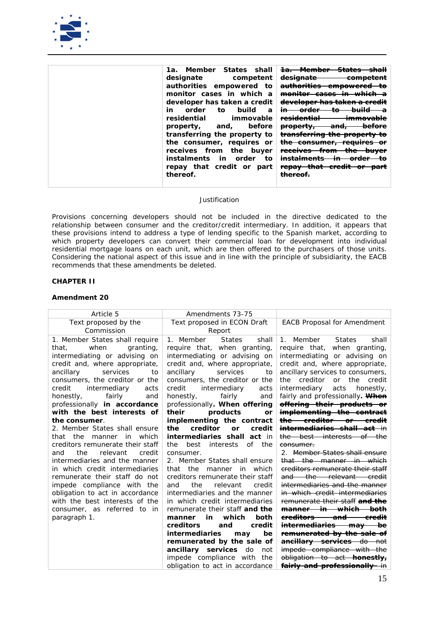

| 1a. Member States shall                     |                                                              |
|---------------------------------------------|--------------------------------------------------------------|
| designate competent                         | <del>designate</del>                                         |
| authorities empowered to                    |                                                              |
| monitor cases in which a                    | <del>monitor cases</del>                                     |
| developer has taken a credit                | <del>developer has taken a cre</del>                         |
| to build<br>order<br>in<br>$\boldsymbol{a}$ | <del>in</del>                                                |
| immovable<br>residential                    | <u>residential</u>                                           |
| property, and, before                       | <del>before</del><br><del>and,</del><br><del>property,</del> |
| transferring the property to                | <del>transferring the property to</del>                      |
| the consumer, requires or                   | <del>the consumer, requires or</del>                         |
| receives from the buyer                     | <del>receives from -</del><br><del>buyer</del><br>गाप        |
| instalments in order<br>to                  |                                                              |
| repay that credit or part                   | repay that credit or part                                    |
| thereof.                                    | $+$ <b>boroo</b>                                             |
|                                             |                                                              |

*Provisions concerning developers should not be included in the directive dedicated to the relationship between consumer and the creditor/credit intermediary. In addition, it appears that these provisions intend to address a type of lending specific to the Spanish market, according to*  which property developers can convert their commercial loan for development into individual *residential mortgage loans on each unit, which are then offered to the purchasers of those units. Considering the national aspect of this issue and in line with the principle of subsidiarity, the EACB recommends that these amendments be deleted.*

# **CHAPTER II**

| Article 5                                                         | Amendments 73-75                                                |                                                                  |
|-------------------------------------------------------------------|-----------------------------------------------------------------|------------------------------------------------------------------|
| Text proposed by the                                              | Text proposed in ECON Draft                                     | <b>EACB Proposal for Amendment</b>                               |
| Commission                                                        | Report                                                          |                                                                  |
| 1. Member States shall require                                    | 1. Member<br><b>States</b><br>shall                             | <b>States</b><br>shall<br>1. Member                              |
| when<br>granting,<br>that.                                        | require that, when granting,                                    | require that, when granting,                                     |
| intermediating or advising on                                     | intermediating or advising on                                   | intermediating or advising on                                    |
| credit and, where appropriate,                                    | credit and, where appropriate,                                  | credit and, where appropriate,                                   |
| services<br>ancillary<br>to                                       | services<br>ancillary<br>to                                     | ancillary services to consumers,                                 |
| consumers, the creditor or the                                    | consumers, the creditor or the                                  | creditor<br>the<br>the<br>or<br>credit                           |
| credit<br>intermediary<br>acts                                    | credit<br>intermediary<br>acts                                  | intermediary<br>acts<br>honestly,                                |
| fairly<br>honestly,<br>and                                        | fairly<br>honestly,<br>and                                      | fairly and professionally. When                                  |
| professionally <i>in accordance</i>                               | professionally. When offering                                   | offering their products or                                       |
| with the best interests of                                        | their<br>products<br>or                                         | implementing the contract                                        |
| the consumer.                                                     | implementing the contract                                       | the creditor or credit                                           |
| 2. Member States shall ensure                                     | the<br>creditor<br>or<br>credit                                 | <i>intermediaries shall act</i> in                               |
| the<br>manner in which<br>that                                    | intermediaries shall act in                                     | the best interests of the                                        |
| creditors remunerate their staff                                  | interests<br>of<br>best<br>the<br>the                           | <del>consumer.</del>                                             |
| the<br>relevant<br>credit<br>and                                  | consumer.                                                       | 2. Member States shall ensure                                    |
| intermediaries and the manner                                     | 2. Member States shall ensure                                   | that the manner in which                                         |
| in which credit intermediaries                                    | manner in which<br>that the                                     | creditors remunerate their staff                                 |
| remunerate their staff do not                                     | creditors remunerate their staff                                | and the relevant credit                                          |
| impede compliance with the                                        | the<br>relevant<br>and<br>credit                                | intermediaries and the manner                                    |
| obligation to act in accordance<br>with the best interests of the | intermediaries and the manner<br>in which credit intermediaries | in which credit intermediaries<br>remunerate their staff and the |
| consumer, as referred to in                                       | remunerate their staff and the                                  | <del>manner in which both</del>                                  |
|                                                                   | which<br>both<br>in<br>manner                                   | <del>creditors —</del><br>and<br><del>credit</del>               |
| paragraph 1.                                                      | creditors<br>credit<br>and                                      | <del>intermediaries -</del><br><del>be</del><br><del>may -</del> |
|                                                                   | <i>intermediaries</i><br>be<br>may                              | remunerated by the sale of                                       |
|                                                                   | remunerated by the sale of                                      | <b>ancillary services</b> do not                                 |
|                                                                   | ancillary services do<br>not                                    | impede compliance with the                                       |
|                                                                   | impede compliance with the                                      | obligation to act <b>honestly</b> ,                              |
|                                                                   | obligation to act in accordance                                 | <b>fairly and professionally</b> in                              |
|                                                                   |                                                                 |                                                                  |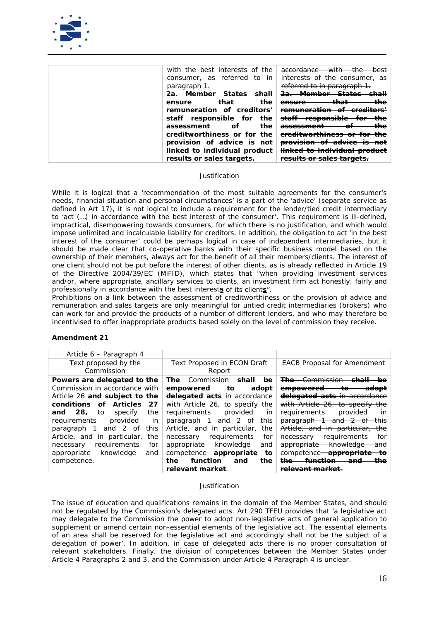

| with the best interests of the | حا+نیمد<br>accordance<br>$+$ ho<br><del>best</del><br>पाप        |
|--------------------------------|------------------------------------------------------------------|
| consumer, as referred to in    | interests of the consumer, as                                    |
| paragraph 1.                   | referred to in paragraph 1.                                      |
| Member States<br>shall<br>2а.  | <del>2a.</del><br>эпан                                           |
| the<br>that<br>ensure          | $+$ <b>b</b> $-$ <b>+</b><br>the<br>ensure<br>பாள                |
| remuneration of creditors'     | remuneration of ereditors!                                       |
| staff responsible for<br>the   | <del>staff</del><br><del>responsible</del><br>مطا<br>for<br>ாட   |
| the<br>оf<br>assessment        | the<br>$\mathbf{A}$<br><del>assessment</del><br>u                |
| creditworthiness or for the    | ereditworthiness or for the                                      |
| provision of advice is not     | <del>provision</del><br>ππ<br>auvice                             |
| linked to individual product   | <del>linked to individual product</del>                          |
| results or sales targets.      | roculto or coloc torgota<br><del>results or suics targets.</del> |

*While it is logical that a 'recommendation of the most suitable agreements for the consumer's needs, financial situation and personal circumstances' is a part of the 'advice' (separate service as defined in Art 17), it is not logical to include a requirement for the lender/tied credit intermediary to 'act (…) in accordance with the best interest of the consumer'. This requirement is ill-defined, impractical, disempowering towards consumers, for which there is no justification, and which would impose unlimited and incalculable liability for creditors. In addition, the obligation to act 'in the best*  interest of the consumer' could be perhaps logical in case of independent intermediaries, but it *should be made clear that co-operative banks with their specific business model based on the ownership of their members, always act for the benefit of all their members/clients. The interest of one client should not be put before the interest of other clients, as is already reflected in Article 19 of the Directive 2004/39/EC (MiFID), which states that "when providing investment services and/or, where appropriate, ancillary services to clients, an investment firm act honestly, fairly and professionally in accordance with the best interests of its clients".*

*Prohibitions on a link between the assessment of creditworthiness or the provision of advice and remuneration and sales targets are only meaningful for untied credit intermediaries (brokers) who can work for and provide the products of a number of different lenders, and who may therefore be incentivised to offer inappropriate products based solely on the level of commission they receive.*

## **Amendment 21**

| Article 6 – Paragraph 4            |                                    |                                                           |
|------------------------------------|------------------------------------|-----------------------------------------------------------|
| Text proposed by the               | <b>Text Proposed in ECON Draft</b> | <b>EACB Proposal for Amendment</b>                        |
| Commission                         | Report                             |                                                           |
| Powers are delegated to the        | Commission<br>shall<br>be<br>The   | <b>The</b> Commission<br>المطم                            |
| Commission in accordance with      | empowered<br>to<br>adopt           | <del>adopt</del><br><del>empowered</del><br>to            |
| Article 26 and subject to the      | delegated acts in accordance       | delegated acts in accordance                              |
| conditions of Articles<br>27       | with Article 26, to specify the    | with Article 26, to specify the                           |
| 28.<br>to<br>specify<br>the<br>and | requirements<br>provided<br>in     | requirements<br><del>provided</del><br>٠in                |
| requirements<br>provided<br>in     | 2 of<br>this<br>paragraph<br>and   | <del>paragraph</del><br><del>and</del><br><del>this</del> |
| 2 of<br>this<br>paragraph<br>and   | Article, and in particular,<br>the | Article, and in particular,<br>the                        |
| Article, and in particular,<br>the | for<br>requirements<br>necessary   | for<br><del>requirements</del><br>necessary               |
| for<br>requirements<br>necessary   | knowledge<br>appropriate<br>and    | <del>knowledge</del><br>appropriate<br><del>and</del>     |
| knowledge<br>appropriate<br>and    | competence<br>to<br>appropriate    | competence<br><del>appropriate</del>                      |
| competence.                        | the<br>function<br>the<br>and      | ŧ <del>h</del> е<br>funation<br><del>the</del><br>and     |
|                                    | relevant market.                   |                                                           |

#### *Justification*

*The issue of education and qualifications remains in the domain of the Member States, and should not be regulated by the Commission's delegated acts. Art 290 TFEU provides that 'a legislative act may delegate to the Commission the power to adopt non-legislative acts of general application to supplement or amend certain non-essential elements of the legislative act. The essential elements of an area shall be reserved for the legislative act and accordingly shall not be the subject of a delegation of power'. In addition, in case of delegated acts there is no proper consultation of relevant stakeholders. Finally, the division of competences between the Member States under Article 4 Paragraphs 2 and 3, and the Commission under Article 4 Paragraph 4 is unclear.*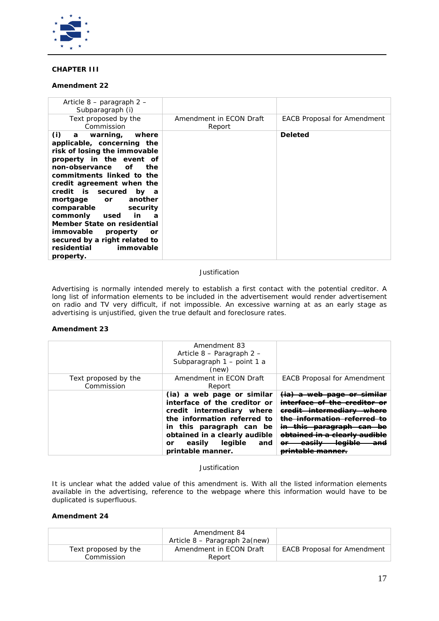

# **CHAPTER III**

# **Amendment 22**

| Article 8 – paragraph 2 –<br>Subparagraph (i)                                                                                                                                                                                                                                                                                                                                                                                                                                |                                   |                                    |
|------------------------------------------------------------------------------------------------------------------------------------------------------------------------------------------------------------------------------------------------------------------------------------------------------------------------------------------------------------------------------------------------------------------------------------------------------------------------------|-----------------------------------|------------------------------------|
| Text proposed by the<br>Commission                                                                                                                                                                                                                                                                                                                                                                                                                                           | Amendment in ECON Draft<br>Report | <b>EACB Proposal for Amendment</b> |
| (i)<br>a warning,<br>where<br>applicable, concerning the<br>risk of losing the immovable<br>property in the event of<br>non-observance<br><i>of</i><br>the<br>commitments linked to the<br>credit agreement when the<br>credit is secured by a<br>another<br>mortgage<br>or<br>comparable<br>security<br>commonly<br>in<br>used<br>а<br>Member State on residential<br>immovable<br>property<br>or<br>secured by a right related to<br>residential<br>immovable<br>property. |                                   | <b>Deleted</b>                     |

## *Justification*

*Advertising is normally intended merely to establish a first contact with the potential creditor. A*  long list of information elements to be included in the advertisement would render advertisement *on radio and TV very difficult, if not impossible. An excessive warning at as an early stage as advertising is unjustified, given the true default and foreclosure rates.* 

# **Amendment 23**

|                                    | Amendment 83<br>Article $8$ – Paragraph 2 –<br>Subparagraph 1 - point 1 a<br>(new)                                                                                                                                                                |                                                                                                                                                      |
|------------------------------------|---------------------------------------------------------------------------------------------------------------------------------------------------------------------------------------------------------------------------------------------------|------------------------------------------------------------------------------------------------------------------------------------------------------|
| Text proposed by the<br>Commission | Amendment in ECON Draft<br>Report                                                                                                                                                                                                                 | <b>EACB Proposal for Amendment</b>                                                                                                                   |
|                                    | (ia) a web page or similar<br>interface of the creditor or<br>credit intermediary where<br>the information referred to<br>in this paragraph can be<br>obtained in a clearly audible<br>easily<br>legible<br>and<br><i>or</i><br>printable manner. | <del>(ia)</del><br><del>web page or</del><br>eredit intermediary where<br><del>in this</del><br><del>paragraph</del><br>$\boldsymbol{\sigma}$<br>ano |

## *Justification*

*It is unclear what the added value of this amendment is. With all the listed information elements available in the advertising, reference to the webpage where this information would have to be duplicated is superfluous.*

|                                    | Amendment 84<br>Article 8 – Paragraph 2a(new) |                                    |
|------------------------------------|-----------------------------------------------|------------------------------------|
| Text proposed by the<br>Commission | Amendment in ECON Draft<br>Report             | <b>EACB Proposal for Amendment</b> |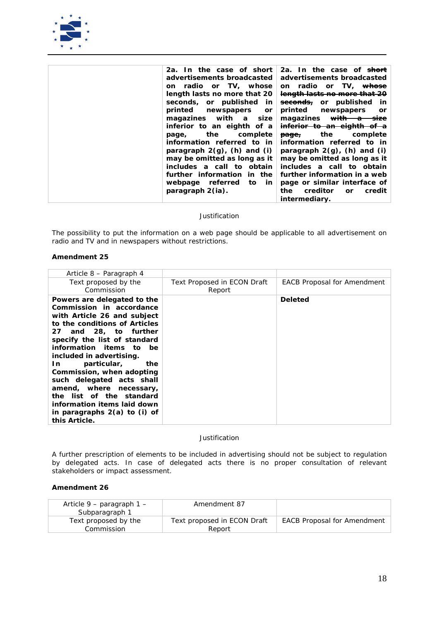

| 2a. In the case of short<br>advertisements broadcasted<br>on radio or TV, whose<br>length lasts no more that 20<br>seconds, or published in<br>printed<br>newspapers<br>or<br>magazines with a<br>size<br>inferior to an eighth of a<br>the<br>complete<br>page,<br>information referred to in<br>paragraph $2(q)$ , (h) and (i)<br>may be omitted as long as it | 2a. In the case of <del>short</del><br>advertisements broadcasted<br>on radio or TV, <del>whose</del><br>length lasts no more that 20<br>seconds, or published<br>in<br>printed<br>newspapers<br>or<br>magazines<br>inferior to an eighth of a<br><del>page,</del> the complete<br>information referred to in<br>paragraph $2(q)$ , (h) and (i)<br>may be omitted as long as it |
|------------------------------------------------------------------------------------------------------------------------------------------------------------------------------------------------------------------------------------------------------------------------------------------------------------------------------------------------------------------|---------------------------------------------------------------------------------------------------------------------------------------------------------------------------------------------------------------------------------------------------------------------------------------------------------------------------------------------------------------------------------|
| includes a call to obtain<br>further information in the<br>webpage referred<br>to<br>in                                                                                                                                                                                                                                                                          | includes a call to obtain<br>further information in a web<br>page or similar interface of                                                                                                                                                                                                                                                                                       |
| paragraph 2(ia).                                                                                                                                                                                                                                                                                                                                                 | creditor<br>the<br>credit<br><b>or</b><br><i>intermediary.</i>                                                                                                                                                                                                                                                                                                                  |

*The possibility to put the information on a web page should be applicable to all advertisement on radio and TV and in newspapers without restrictions.*

# **Amendment 25**

| Article 8 – Paragraph 4                                                                                                                                                                                                                                                                                                                                                                                                                                                |                                       |                                    |
|------------------------------------------------------------------------------------------------------------------------------------------------------------------------------------------------------------------------------------------------------------------------------------------------------------------------------------------------------------------------------------------------------------------------------------------------------------------------|---------------------------------------|------------------------------------|
| Text proposed by the<br>Commission                                                                                                                                                                                                                                                                                                                                                                                                                                     | Text Proposed in ECON Draft<br>Report | <b>EACB Proposal for Amendment</b> |
| Powers are delegated to the<br>Commission in accordance<br>with Article 26 and subject<br>to the conditions of Articles<br>27 and 28, to further<br>specify the list of standard<br>information items to be<br>included in advertising.<br>particular,<br>In<br>the<br>Commission, when adopting<br>such delegated acts shall<br>amend, where necessary,<br>the list of the standard<br>information items laid down<br>in paragraphs $2(a)$ to (i) of<br>this Article. |                                       | Deleted                            |

*Justification*

*A further prescription of elements to be included in advertising should not be subject to regulation*  by delegated acts. In case of delegated acts there is no proper consultation of relevant *stakeholders or impact assessment.* 

| Article $9$ – paragraph $1$ –<br>Subparagraph 1 | Amendment 87                          |                                    |
|-------------------------------------------------|---------------------------------------|------------------------------------|
| Text proposed by the<br>Commission              | Text proposed in ECON Draft<br>Report | <b>EACB Proposal for Amendment</b> |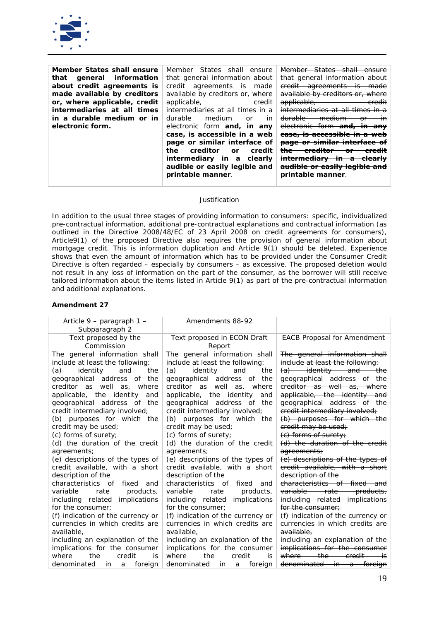

| Member States shall ensure   | Member States shall<br>ensure          | Member States shall ensure                                     |
|------------------------------|----------------------------------------|----------------------------------------------------------------|
| general information<br>that  | that general information about         | that general information about                                 |
| about credit agreements is   | credit agreements is<br>made           | <del>agreements</del><br><del>credit-</del><br><del>made</del> |
| made available by creditors  | available by creditors or, where       | available by creditors or, where                               |
| or, where applicable, credit | applicable,<br>credit                  | applicable,<br><del>credit</del>                               |
| intermediaries at all times  | intermediaries at all times in a       | intermediaries at all times in a                               |
| in a durable medium or in    | durable<br>medium<br>in<br>or          | <del>durable</del><br><del>medium</del><br>ŧn                  |
| electronic form.             | electronic form and, in any            | electronic form and,<br><del>any</del><br>$\bm{\pi}$           |
|                              | case, is accessible in a web           | ease, is accessible in                                         |
|                              | page or similar interface of           | <del>page or similar</del>                                     |
|                              | creditor<br>the<br>credit<br><b>or</b> | <del>the</del>                                                 |
|                              | intermediary in a clearly              | <del>intermediary</del><br>.im<br><del>clearlv</del>           |
|                              | audible or easily legible and          | audible or easily legible and                                  |
|                              | printable manner.                      |                                                                |
|                              |                                        |                                                                |

*In addition to the usual three stages of providing information to consumers: specific, individualized pre-contractual information, additional pre-contractual explanations and contractual information (as outlined in the Directive 2008/48/EC of 23 April 2008 on credit agreements for consumers), Article9(1) of the proposed Directive also requires the provision of general information about mortgage credit. This is information duplication and Article 9(1) should be deleted. Experience shows that even the amount of information which has to be provided under the Consumer Credit Directive is often regarded – especially by consumers – as excessive. The proposed deletion would not result in any loss of information on the part of the consumer, as the borrower will still receive tailored information about the items listed in Article 9(1) as part of the pre-contractual information and additional explanations.*

| Article 9 – paragraph 1 –<br>Subparagraph 2                                                                                                                                                                                                                                                                                                                                                                                                                                                                                                                                                                                  | Amendments 88-92                                                                                                                                                                                                                                                                                                                                                                                                                                                                                                                                                                                                                   |                                                                                                                                                                                                                                                                                                                                                                                                                                                                                                                                                                                                     |
|------------------------------------------------------------------------------------------------------------------------------------------------------------------------------------------------------------------------------------------------------------------------------------------------------------------------------------------------------------------------------------------------------------------------------------------------------------------------------------------------------------------------------------------------------------------------------------------------------------------------------|------------------------------------------------------------------------------------------------------------------------------------------------------------------------------------------------------------------------------------------------------------------------------------------------------------------------------------------------------------------------------------------------------------------------------------------------------------------------------------------------------------------------------------------------------------------------------------------------------------------------------------|-----------------------------------------------------------------------------------------------------------------------------------------------------------------------------------------------------------------------------------------------------------------------------------------------------------------------------------------------------------------------------------------------------------------------------------------------------------------------------------------------------------------------------------------------------------------------------------------------------|
| Text proposed by the<br>Commission                                                                                                                                                                                                                                                                                                                                                                                                                                                                                                                                                                                           | Text proposed in ECON Draft<br>Report                                                                                                                                                                                                                                                                                                                                                                                                                                                                                                                                                                                              | <b>EACB Proposal for Amendment</b>                                                                                                                                                                                                                                                                                                                                                                                                                                                                                                                                                                  |
| The general information shall<br>include at least the following:<br>(a)<br>identity<br>and<br>the<br>geographical address of the<br>creditor as well as, where<br>applicable, the identity<br>and<br>geographical address of the<br>credit intermediary involved;<br>(b) purposes for which the<br>credit may be used;<br>(c) forms of surety;<br>(d) the duration of the credit<br>agreements;<br>(e) descriptions of the types of<br>credit available, with a short<br>description of the<br>characteristics of<br>fixed<br>and<br>variable<br>rate<br>products,<br>implications<br>including related<br>for the consumer; | The general information shall<br>include at least the following:<br>(a)<br>identity<br>and<br>the<br>geographical address of<br>the<br>creditor as well as,<br>where<br>applicable, the identity<br>and<br>geographical address of the<br>credit intermediary involved;<br>(b) purposes for which the<br>credit may be used;<br>(c) forms of surety;<br>(d) the duration of the credit<br>agreements;<br>(e) descriptions of the types of<br>credit available, with a short<br>description of the<br>characteristics of<br>fixed<br>and<br>variable<br>rate<br>products,<br>including related<br>implications<br>for the consumer; | The general information shall<br>include at least the following:<br>$(a)$ identity and the<br>geographical address of the<br>creditor as well as, where<br>applicable, the identity and<br>geographical address of the<br>eredit intermediary involved;<br>(b) purposes for which the<br>eredit may be used;<br>(e) forms of surety;<br>(d) the duration of the credit<br>agreements;<br>(e) descriptions of the types of<br>credit available, with a short<br>description of the<br>characteristics of fixed and<br>variable rate products,<br>including related implications<br>for the consumer. |
| (f) indication of the currency or<br>currencies in which credits are                                                                                                                                                                                                                                                                                                                                                                                                                                                                                                                                                         | (f) indication of the currency or<br>currencies in which credits are                                                                                                                                                                                                                                                                                                                                                                                                                                                                                                                                                               | (f) indication of the currency or<br>currencies in which credits are                                                                                                                                                                                                                                                                                                                                                                                                                                                                                                                                |
| available,                                                                                                                                                                                                                                                                                                                                                                                                                                                                                                                                                                                                                   | available.                                                                                                                                                                                                                                                                                                                                                                                                                                                                                                                                                                                                                         | available.                                                                                                                                                                                                                                                                                                                                                                                                                                                                                                                                                                                          |
| including an explanation of the                                                                                                                                                                                                                                                                                                                                                                                                                                                                                                                                                                                              | including an explanation of the                                                                                                                                                                                                                                                                                                                                                                                                                                                                                                                                                                                                    | including an explanation of the                                                                                                                                                                                                                                                                                                                                                                                                                                                                                                                                                                     |
| implications for the consumer                                                                                                                                                                                                                                                                                                                                                                                                                                                                                                                                                                                                | implications for the consumer                                                                                                                                                                                                                                                                                                                                                                                                                                                                                                                                                                                                      | implications for the consumer                                                                                                                                                                                                                                                                                                                                                                                                                                                                                                                                                                       |
| the<br>credit<br>where<br>is                                                                                                                                                                                                                                                                                                                                                                                                                                                                                                                                                                                                 | where<br>credit<br>the<br>is                                                                                                                                                                                                                                                                                                                                                                                                                                                                                                                                                                                                       | the<br>where —<br><del>credit.</del>                                                                                                                                                                                                                                                                                                                                                                                                                                                                                                                                                                |
| denominated<br>foreign<br>in.<br>a                                                                                                                                                                                                                                                                                                                                                                                                                                                                                                                                                                                           | denominated<br>foreign<br>in.<br>a                                                                                                                                                                                                                                                                                                                                                                                                                                                                                                                                                                                                 | denominated in a foreign                                                                                                                                                                                                                                                                                                                                                                                                                                                                                                                                                                            |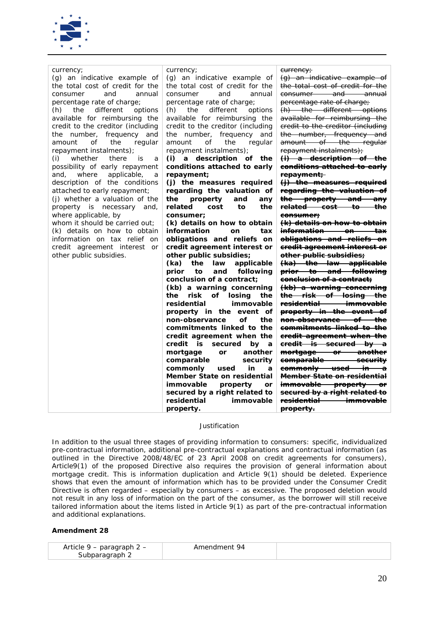

| currency;<br>(g) an indicative example of<br>the total cost of credit for the<br>and<br>annual<br>consumer<br>percentage rate of charge;<br>(h)<br>the<br>different<br>options<br>available for reimbursing the<br>credit to the creditor (including<br>the number, frequency and<br>amount<br>the<br>regular<br>οf<br>repayment instalments);<br>whether<br>there<br>(i)<br>is<br>a<br>possibility of early repayment<br>and, where<br>applicable,<br>a<br>description of the conditions<br>attached to early repayment;<br>(j) whether a valuation of the<br>property is necessary<br>and,<br>where applicable, by<br>whom it should be carried out;<br>(k) details on how to obtain<br>information on tax relief on<br>credit agreement interest<br>or<br>other public subsidies. | currency;<br>(g) an indicative example of<br>the total cost of credit for the<br>consumer<br>and<br>annual<br>percentage rate of charge;<br>(h)<br>the<br>different<br>options<br>available for reimbursing the<br>credit to the creditor (including<br>the number, frequency and<br>amount<br>οf<br>the<br>regular<br>repayment instalments);<br>(i) a description of the<br>conditions attached to early<br>repayment;<br>(j) the measures required<br>regarding the valuation of<br>the<br>property<br>and<br>any<br>related<br>the<br>cost<br>to<br>consumer:<br>(k) details on how to obtain<br>information<br><b>on</b><br>tax<br>obligations and reliefs on<br>credit agreement interest or<br>other public subsidies;<br>(ka)<br>the<br>law<br>applicable<br>following<br>prior<br>and<br>to<br>conclusion of a contract;<br>(kb) a warning concerning<br>the<br>risk<br>οf<br>losing<br>the<br>residential<br>immovable<br>property in the<br>event of<br>non-observance<br>οf<br>the<br>commitments linked to the<br>credit agreement when the<br>credit is<br>secured<br>by a<br>mortgage<br>another<br>or<br>comparable<br>security<br>commonly<br>used<br>in<br>a<br>Member State on residential<br>immovable<br>property<br>or<br>secured by a right related to<br>residential<br>immovable<br>property. | eurrency;<br>(g) an indicative example of<br>the total cost of credit for the<br>consumer and annual<br>percentage rate of charge;<br>(h) the different options<br>available for reimbursing the<br>credit to the creditor (including<br>the number, frequency and<br>amount of the regular<br>repayment instalments);<br>(i) a description of the<br>conditions attached to early<br>repayment;<br>(j) the measures required<br>regarding the valuation of<br>the property and any<br><del>related cost to the</del><br><del>consumer;</del><br>(k) details on how to obtain<br><del>information on tax</del><br>obligations and reliefs on<br>credit agreement interest or<br>other public subsidies;<br>(ka) the law applicable<br>prior to and following<br>conclusion of a contract;<br>(kb) a warning concerning<br>the risk of losing the<br>residential immovable<br>property in the event of<br><del>non-observance of the</del><br><del>commitments linked to the</del><br>credit agreement when the<br>eredit is secured by a<br>mortgage or another<br>comparable security<br>commonly used in a<br><del>Member State on residential</del><br>immovable property or<br>secured by a right related to<br>residential -------- immovable<br><del>property.</del> |
|--------------------------------------------------------------------------------------------------------------------------------------------------------------------------------------------------------------------------------------------------------------------------------------------------------------------------------------------------------------------------------------------------------------------------------------------------------------------------------------------------------------------------------------------------------------------------------------------------------------------------------------------------------------------------------------------------------------------------------------------------------------------------------------|------------------------------------------------------------------------------------------------------------------------------------------------------------------------------------------------------------------------------------------------------------------------------------------------------------------------------------------------------------------------------------------------------------------------------------------------------------------------------------------------------------------------------------------------------------------------------------------------------------------------------------------------------------------------------------------------------------------------------------------------------------------------------------------------------------------------------------------------------------------------------------------------------------------------------------------------------------------------------------------------------------------------------------------------------------------------------------------------------------------------------------------------------------------------------------------------------------------------------------------------------------------------------------------------------------------------|----------------------------------------------------------------------------------------------------------------------------------------------------------------------------------------------------------------------------------------------------------------------------------------------------------------------------------------------------------------------------------------------------------------------------------------------------------------------------------------------------------------------------------------------------------------------------------------------------------------------------------------------------------------------------------------------------------------------------------------------------------------------------------------------------------------------------------------------------------------------------------------------------------------------------------------------------------------------------------------------------------------------------------------------------------------------------------------------------------------------------------------------------------------------------------------------------------------------------------------------------------------------------|

*In addition to the usual three stages of providing information to consumers: specific, individualized pre-contractual information, additional pre-contractual explanations and contractual information (as outlined in the Directive 2008/48/EC of 23 April 2008 on credit agreements for consumers), Article9(1) of the proposed Directive also requires the provision of general information about mortgage credit. This is information duplication and Article 9(1) should be deleted. Experience shows that even the amount of information which has to be provided under the Consumer Credit Directive is often regarded – especially by consumers – as excessive. The proposed deletion would not result in any loss of information on the part of the consumer, as the borrower will still receive tailored information about the items listed in Article 9(1) as part of the pre-contractual information and additional explanations.*

| Article $9$ – paragraph 2 – | Amendment 94 |
|-----------------------------|--------------|
| Subparagraph 2              |              |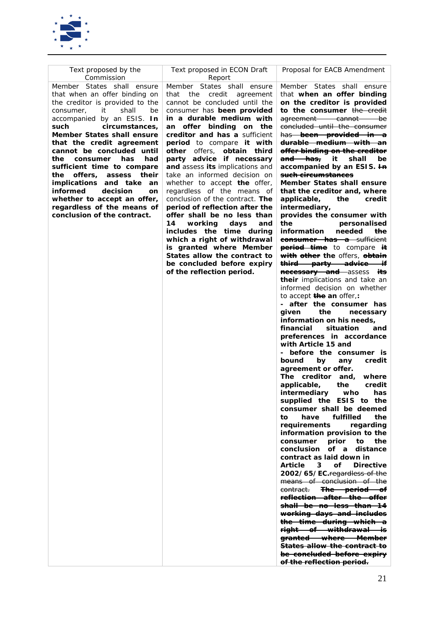

| Text proposed by the<br>Commission                                                                                                                                                                                                                                                                                                                          | Text proposed in ECON Draft<br>Report                                                                                                                                                                                                                                                                                                                                                                                                                                                                                                                                                    | Proposal for EACB Amendment                                                                                                                                                                                                                                                                                                                                                                                                                                                                                                                                                                                                                                                                                                                                                                                                                                                                                                                                                                                                                                                                                                                                                                                                                                                                                                                                                                                                                                                                                                                                                                                                                                                                                                                                                                |
|-------------------------------------------------------------------------------------------------------------------------------------------------------------------------------------------------------------------------------------------------------------------------------------------------------------------------------------------------------------|------------------------------------------------------------------------------------------------------------------------------------------------------------------------------------------------------------------------------------------------------------------------------------------------------------------------------------------------------------------------------------------------------------------------------------------------------------------------------------------------------------------------------------------------------------------------------------------|--------------------------------------------------------------------------------------------------------------------------------------------------------------------------------------------------------------------------------------------------------------------------------------------------------------------------------------------------------------------------------------------------------------------------------------------------------------------------------------------------------------------------------------------------------------------------------------------------------------------------------------------------------------------------------------------------------------------------------------------------------------------------------------------------------------------------------------------------------------------------------------------------------------------------------------------------------------------------------------------------------------------------------------------------------------------------------------------------------------------------------------------------------------------------------------------------------------------------------------------------------------------------------------------------------------------------------------------------------------------------------------------------------------------------------------------------------------------------------------------------------------------------------------------------------------------------------------------------------------------------------------------------------------------------------------------------------------------------------------------------------------------------------------------|
| Member States shall<br>ensure<br>that when an offer binding on<br>the creditor is provided to the<br>it<br>shall<br>consumer,<br>be<br>accompanied by an ESIS. <i>In</i><br>circumstances,<br>such                                                                                                                                                          | Member States shall ensure<br>credit<br>that<br>the<br>agreement<br>cannot be concluded until the<br>consumer has been provided<br>in a durable medium with<br>an offer binding on the                                                                                                                                                                                                                                                                                                                                                                                                   | Member States shall ensure<br>that when an offer binding<br>on the creditor is provided<br>to the consumer the credit<br>-be<br><del>agreement cannot -</del><br>concluded until the consumer                                                                                                                                                                                                                                                                                                                                                                                                                                                                                                                                                                                                                                                                                                                                                                                                                                                                                                                                                                                                                                                                                                                                                                                                                                                                                                                                                                                                                                                                                                                                                                                              |
| Member States shall ensure<br>that the credit agreement<br>cannot be concluded until<br>consumer<br>has<br>had<br>the<br>sufficient time to compare<br>offers,<br>their<br>the<br>assess<br><i>implications</i><br>and take<br>an<br>informed<br>decision<br>on<br>whether to accept an offer,<br>regardless of the means of<br>conclusion of the contract. | creditor and has a sufficient<br><b>period</b> to compare it with<br>other offers,<br>obtain<br>third<br>party advice if necessary<br>and assess its implications and<br>take an informed decision on<br>whether to accept the offer,<br>regardless of the means of<br>conclusion of the contract. The<br>period of reflection after the<br>offer shall be no less than<br>14<br>working<br>days<br>and<br>includes the time during<br>which a right of withdrawal<br>is granted where Member<br>States allow the contract to<br>be concluded before expiry<br>of the reflection period. | has been provided in a<br><del>durable medium with an</del><br>offer binding on the creditor<br><del>and has,</del><br>it<br>shall<br>be<br>accompanied by an ESIS. <del>In</del><br><del>such circumstances</del><br><b>Member States shall ensure</b><br>that the creditor and, where<br>applicable,<br>the<br>credit<br>intermediary,<br>provides the consumer with<br>the<br>personalised<br>information<br>needed<br>the<br>consumer has a sufficient<br><b>period time</b> to compare it<br>with other the offers, obtain<br><del>third party advice if</del><br><b>necessary and</b> assess<br>its<br>their implications and take an<br>informed decision on whether<br>to accept <b>the an</b> offer,:<br>- after the consumer has<br>the<br>given<br>necessary<br>information on his needs,<br>situation<br>financial<br>and<br>preferences in accordance<br>with Article 15 and<br>- before the consumer is<br>bound<br>by<br>credit<br>any<br>agreement or offer.<br>The creditor and.<br>where<br>applicable,<br>credit<br>the<br>intermediary<br>who<br>has<br>supplied the ESIS to the<br>consumer shall be deemed<br>fulfilled<br>have<br>the<br>to<br>regarding<br>requirements<br>information provision to the<br>the<br>consumer<br>prior<br>to<br>conclusion of a<br>distance<br>contract as laid down in<br>3 of Directive<br>Article<br>2002/65/EC.regardless of the<br>means of conclusion of the<br><del>The period of</del><br><del>contract.</del><br>reflection after the offer<br><del>shall be no less than 14</del><br>working days and includes<br>the time during which a<br><del>right of withdrawal</del><br>—is<br>granted where Member<br><del>States allow the contract to</del><br><del>be concluded before expiry</del><br>of the reflection period. |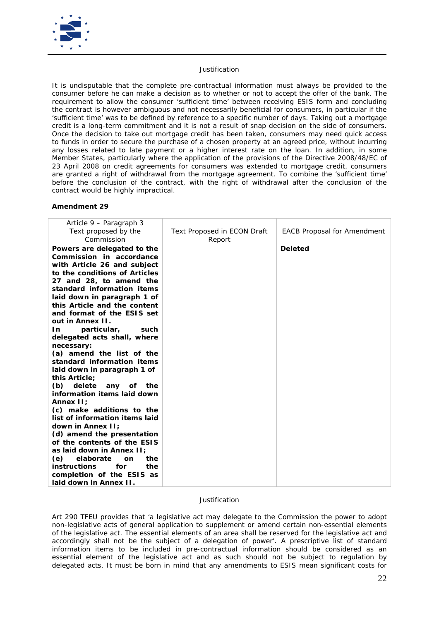

It is undisputable that the complete pre-contractual information must always be provided to the *consumer before he can make a decision as to whether or not to accept the offer of the bank. The requirement to allow the consumer 'sufficient time' between receiving ESIS form and concluding the contract is however ambiguous and not necessarily beneficial for consumers, in particular if the 'sufficient time' was to be defined by reference to a specific number of days. Taking out a mortgage credit is a long-term commitment and it is not a result of snap decision on the side of consumers. Once the decision to take out mortgage credit has been taken, consumers may need quick access*  to funds in order to secure the purchase of a chosen property at an agreed price, without incurring *any losses related to late payment or a higher interest rate on the loan. In addition, in some Member States, particularly where the application of the provisions of the Directive 2008/48/EC of 23 April 2008 on credit agreements for consumers was extended to mortgage credit, consumers are granted a right of withdrawal from the mortgage agreement. To combine the 'sufficient time'*  before the conclusion of the contract, with the right of withdrawal after the conclusion of the *contract would be highly impractical.* 

## **Amendment 29**

| Article 9 – Paragraph 3                                                                                                                                                                                                                                                                                                                                                                                                                                                                                                                                                                                                                                                                                                                                                                                                                                      |                                              |                                    |
|--------------------------------------------------------------------------------------------------------------------------------------------------------------------------------------------------------------------------------------------------------------------------------------------------------------------------------------------------------------------------------------------------------------------------------------------------------------------------------------------------------------------------------------------------------------------------------------------------------------------------------------------------------------------------------------------------------------------------------------------------------------------------------------------------------------------------------------------------------------|----------------------------------------------|------------------------------------|
| Text proposed by the<br>Commission                                                                                                                                                                                                                                                                                                                                                                                                                                                                                                                                                                                                                                                                                                                                                                                                                           | <b>Text Proposed in ECON Draft</b><br>Report | <b>EACB Proposal for Amendment</b> |
| Powers are delegated to the<br>Commission in accordance<br>with Article 26 and subject<br>to the conditions of Articles<br>27 and 28, to amend the<br>standard information items<br>laid down in paragraph 1 of<br>this Article and the content<br>and format of the ESIS set<br>out in Annex II.<br>particular,<br>In<br>such<br>delegated acts shall, where<br>necessary:<br>(a) amend the list of the<br>standard information items<br>laid down in paragraph 1 of<br>this Article;<br>delete<br>(b)<br>the<br>any of<br>information items laid down<br>Annex II;<br>(c) make additions to the<br>list of information items laid<br>down in Annex II:<br>(d) amend the presentation<br>of the contents of the ESIS<br>as laid down in Annex II:<br>elaborate<br>(e)<br>the<br><b>on</b><br><i>instructions</i><br>for<br>the<br>completion of the ESIS as |                                              | <b>Deleted</b>                     |
| laid down in Annex II.                                                                                                                                                                                                                                                                                                                                                                                                                                                                                                                                                                                                                                                                                                                                                                                                                                       |                                              |                                    |

## *Justification*

*Art 290 TFEU provides that 'a legislative act may delegate to the Commission the power to adopt non-legislative acts of general application to supplement or amend certain non-essential elements of the legislative act. The essential elements of an area shall be reserved for the legislative act and accordingly shall not be the subject of a delegation of power'. A prescriptive list of standard information items to be included in pre-contractual information should be considered as an essential element of the legislative act and as such should not be subject to regulation by delegated acts. It must be born in mind that any amendments to ESIS mean significant costs for*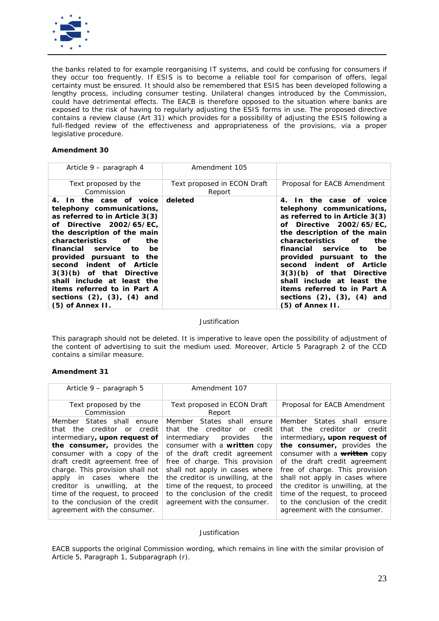

*the banks related to for example reorganising IT systems, and could be confusing for consumers if they occur too frequently. If ESIS is to become a reliable tool for comparison of offers, legal certainty must be ensured. It should also be remembered that ESIS has been developed following a lengthy process, including consumer testing. Unilateral changes introduced by the Commission, could have detrimental effects. The EACB is therefore opposed to the situation where banks are exposed to the risk of having to regularly adjusting the ESIS forms in use. The proposed directive contains a review clause (Art 31) which provides for a possibility of adjusting the ESIS following a*  full-fledged review of the effectiveness and appropriateness of the provisions, via a proper *legislative procedure.*

## **Amendment 30**

| Article 9 – paragraph 4                                                                                                                                                                                                                                                                                                                                                                                                                     | Amendment 105                         |                                                                                                                                                                                                                                                                                                                                                                                                                                              |
|---------------------------------------------------------------------------------------------------------------------------------------------------------------------------------------------------------------------------------------------------------------------------------------------------------------------------------------------------------------------------------------------------------------------------------------------|---------------------------------------|----------------------------------------------------------------------------------------------------------------------------------------------------------------------------------------------------------------------------------------------------------------------------------------------------------------------------------------------------------------------------------------------------------------------------------------------|
| Text proposed by the<br>Commission                                                                                                                                                                                                                                                                                                                                                                                                          | Text proposed in ECON Draft<br>Report | Proposal for EACB Amendment                                                                                                                                                                                                                                                                                                                                                                                                                  |
| 4. In the case of voice<br>telephony communications,<br>as referred to in Article 3(3)<br>of Directive 2002/65/EC.<br>the description of the main<br>characteristics<br>of<br>the<br>financial<br>service<br>be<br>to:<br>provided pursuant to the<br>second indent of Article<br>3(3)(b) of that Directive<br>shall include at least the<br><i>items referred to in Part A</i><br>sections $(2)$ , $(3)$ , $(4)$ and<br>$(5)$ of Annex II. | deleted                               | 4. In the case of voice<br>telephony communications,<br>as referred to in Article 3(3)<br>of Directive 2002/65/EC,<br>the description of the main<br><i>characteristics</i><br>of<br>the<br>financial service<br>to<br>be<br>provided pursuant to the<br>second indent of Article<br>3(3)(b) of that Directive<br>shall include at least the<br><i>items referred to in Part A</i><br>sections $(2)$ , $(3)$ , $(4)$ and<br>(5) of Annex II. |

*Justification*

*This paragraph should not be deleted. It is imperative to leave open the possibility of adjustment of the content of advertising to suit the medium used. Moreover, Article 5 Paragraph 2 of the CCD contains a similar measure.*

## **Amendment 31**

| Article 9 - paragraph 5                                                                                                                                                                                                                                                                                                                                                                             | Amendment 107                                                                                                                                                                                                                                                                                                                                                                   |                                                                                                                                                                                                                                                                                                                                                                                                                 |
|-----------------------------------------------------------------------------------------------------------------------------------------------------------------------------------------------------------------------------------------------------------------------------------------------------------------------------------------------------------------------------------------------------|---------------------------------------------------------------------------------------------------------------------------------------------------------------------------------------------------------------------------------------------------------------------------------------------------------------------------------------------------------------------------------|-----------------------------------------------------------------------------------------------------------------------------------------------------------------------------------------------------------------------------------------------------------------------------------------------------------------------------------------------------------------------------------------------------------------|
| Text proposed by the<br>Commission                                                                                                                                                                                                                                                                                                                                                                  | Text proposed in ECON Draft<br>Report                                                                                                                                                                                                                                                                                                                                           | Proposal for EACB Amendment                                                                                                                                                                                                                                                                                                                                                                                     |
| Member States shall ensure<br>that the creditor or credit<br>intermediary, upon request of<br>the consumer, provides the<br>consumer with a copy of the<br>draft credit agreement free of<br>charge. This provision shall not<br>apply in cases where<br>the<br>creditor is unwilling, at the<br>time of the request, to proceed<br>to the conclusion of the credit<br>agreement with the consumer. | Member States shall ensure<br>that the creditor or<br>credit<br>intermediary<br>provides<br>the<br>consumer with a written copy<br>of the draft credit agreement<br>free of charge. This provision<br>shall not apply in cases where<br>the creditor is unwilling, at the<br>time of the request, to proceed<br>to the conclusion of the credit<br>agreement with the consumer. | Member States shall ensure<br>that the creditor or credit<br>intermediary, upon request of<br>the consumer, provides the<br>consumer with a <b>written</b> copy<br>of the draft credit agreement<br>free of charge. This provision<br>shall not apply in cases where<br>the creditor is unwilling, at the<br>time of the request, to proceed<br>to the conclusion of the credit<br>agreement with the consumer. |

#### *Justification*

*EACB supports the original Commission wording, which remains in line with the similar provision of Article 5, Paragraph 1, Subparagraph (r).*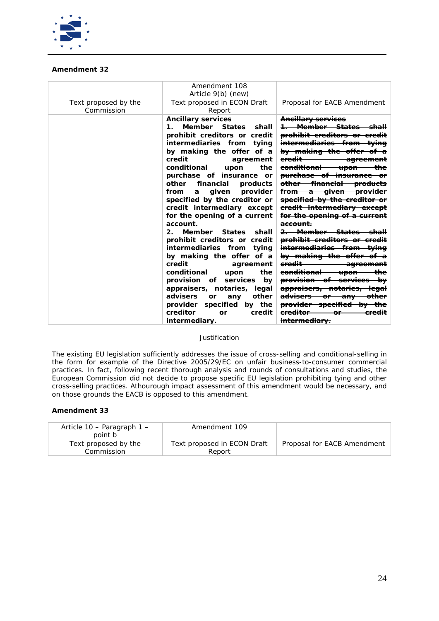

## **Amendment 32**

|                                    | Amendment 108                                                                                                                                                                                                                                                                                                                                                                                                                                                                                                                                                                                                                                                                                                                                                                                      |                                                                                                                                                                                                                                                                                                                                                                                                                                                                                                                                                                                                                                                                                                                                                                                                                                                                                                             |
|------------------------------------|----------------------------------------------------------------------------------------------------------------------------------------------------------------------------------------------------------------------------------------------------------------------------------------------------------------------------------------------------------------------------------------------------------------------------------------------------------------------------------------------------------------------------------------------------------------------------------------------------------------------------------------------------------------------------------------------------------------------------------------------------------------------------------------------------|-------------------------------------------------------------------------------------------------------------------------------------------------------------------------------------------------------------------------------------------------------------------------------------------------------------------------------------------------------------------------------------------------------------------------------------------------------------------------------------------------------------------------------------------------------------------------------------------------------------------------------------------------------------------------------------------------------------------------------------------------------------------------------------------------------------------------------------------------------------------------------------------------------------|
|                                    | Article 9(b) (new)                                                                                                                                                                                                                                                                                                                                                                                                                                                                                                                                                                                                                                                                                                                                                                                 |                                                                                                                                                                                                                                                                                                                                                                                                                                                                                                                                                                                                                                                                                                                                                                                                                                                                                                             |
| Text proposed by the<br>Commission | Text proposed in ECON Draft<br>Report                                                                                                                                                                                                                                                                                                                                                                                                                                                                                                                                                                                                                                                                                                                                                              | Proposal for EACB Amendment                                                                                                                                                                                                                                                                                                                                                                                                                                                                                                                                                                                                                                                                                                                                                                                                                                                                                 |
|                                    | <b>Ancillary services</b><br>Member States<br>shall<br>1.<br>prohibit creditors or credit<br>intermediaries from tying<br>by making the offer of a<br>credit<br>agreement<br>conditional<br>the<br>upon<br>purchase of insurance<br><b>or</b><br>other<br>financial<br>products<br>given<br>provider<br>from<br>a<br>specified by the creditor or<br>credit intermediary except<br>for the opening of a current<br>account.<br>Member States<br>$2^{\circ}$<br>shall<br>prohibit creditors or credit<br>intermediaries from tying<br>by making the offer of a<br>credit<br>agreement<br>conditional<br>the<br>upon<br>provision<br>services<br>of<br>by<br>appraisers, notaries, legal<br>other<br>advisers<br>any<br>or<br>provider specified by the<br>creditor<br>credit<br>or<br>intermediary. | Ancillary services<br>1 Member States shall<br>prohibit creditors or credit<br><del>intermediaries from tying</del><br>by making the offer of a<br><del>credit -</del><br><del>agreement</del><br><del>upon the</del><br><del>conditional</del><br><del>purchase of insurance or</del><br>other financial products<br>from a given provider<br>specified by the creditor or<br>eredit intermediary except<br>for the opening of a current<br>account.<br><del>2. Member States</del><br>prohibit creditors or credit<br>intermediaries from tying<br>by making the offer of a<br><del>credit -</del><br><del>agreement</del><br><del>conditional</del><br><del>—the</del><br><del>-upon-</del><br>provision of services by<br>appraisers, notaries, legal<br><del>advisers or any</del><br><del>other</del><br>provider specified by the<br>ereditor<br><del>credit</del><br>o۴<br><del>intermediarv.</del> |
|                                    |                                                                                                                                                                                                                                                                                                                                                                                                                                                                                                                                                                                                                                                                                                                                                                                                    |                                                                                                                                                                                                                                                                                                                                                                                                                                                                                                                                                                                                                                                                                                                                                                                                                                                                                                             |

### *Justification*

*The existing EU legislation sufficiently addresses the issue of cross-selling and conditional-selling in the form for example of the Directive 2005/29/EC on unfair business-to-consumer commercial practices. In fact, following recent thorough analysis and rounds of consultations and studies, the European Commission did not decide to propose specific EU legislation prohibiting tying and other cross-selling practices. Athourough impact assessment of this amendment would be necessary, and on those grounds the EACB is opposed to this amendment.* 

| Article $10$ – Paragraph $1$ –<br>point b | Amendment 109                         |                             |
|-------------------------------------------|---------------------------------------|-----------------------------|
| Text proposed by the<br>Commission        | Text proposed in ECON Draft<br>Report | Proposal for EACB Amendment |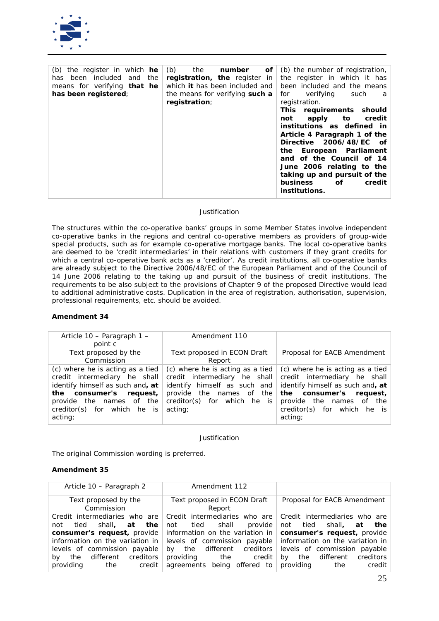

| (b) the register in which $he$        | (b)<br>of<br>the<br>number            | (b) the number of registration, |
|---------------------------------------|---------------------------------------|---------------------------------|
| included<br>the<br>been<br>and<br>has | registration, the register in         | the register in which it has    |
| means for verifying <i>that</i> he    | which <i>it</i> has been included and | been included and the means     |
| has been registered;                  | the means for verifying such a        | verifying<br>for<br>such<br>a   |
|                                       | registration;                         | registration.                   |
|                                       |                                       | This requirements should        |
|                                       |                                       | credit<br>to<br>apply<br>not    |
|                                       |                                       | institutions as defined in      |
|                                       |                                       | Article 4 Paragraph 1 of the    |
|                                       |                                       | Directive 2006/48/EC of         |
|                                       |                                       | the European Parliament         |
|                                       |                                       | and of the Council of 14        |
|                                       |                                       | June 2006 relating to the       |
|                                       |                                       | taking up and pursuit of the    |
|                                       |                                       | of<br>business<br>credit        |
|                                       |                                       | institutions.                   |
|                                       |                                       |                                 |

*The structures within the co-operative banks' groups in some Member States involve independent co-operative banks in the regions and central co-operative members as providers of group-wide special products, such as for example co-operative mortgage banks. The local co-operative banks are deemed to be 'credit intermediaries' in their relations with customers if they grant credits for which a central co-operative bank acts as a 'creditor'. As credit institutions, all co-operative banks are already subject to the Directive 2006/48/EC of the European Parliament and of the Council of 14 June 2006 relating to the taking up and pursuit of the business of credit institutions. The requirements to be also subject to the provisions of Chapter 9 of the proposed Directive would lead to additional administrative costs. Duplication in the area of registration, authorisation, supervision, professional requirements, etc. should be avoided.*

## **Amendment 34**

| Article 10 - Paragraph 1 -<br>point c                                                                                                                                                                    | Amendment 110                                                                                                                                                             |                                                                                                                                                                                                                |
|----------------------------------------------------------------------------------------------------------------------------------------------------------------------------------------------------------|---------------------------------------------------------------------------------------------------------------------------------------------------------------------------|----------------------------------------------------------------------------------------------------------------------------------------------------------------------------------------------------------------|
| Text proposed by the<br>Commission                                                                                                                                                                       | Text proposed in ECON Draft<br>Report                                                                                                                                     | Proposal for EACB Amendment                                                                                                                                                                                    |
| (c) where he is acting as a tied<br>credit intermediary he shall<br>identify himself as such and, at<br>consumer's request,<br>the<br>provide the names of the<br>creditor(s) for which he is<br>acting; | (c) where he is acting as a tied<br>credit intermediary he shall<br>identify himself as such and<br>provide the names<br>of the<br>creditor(s) for which he is<br>acting; | (c) where he is acting as a tied<br>credit intermediary he shall<br>identify himself as such and, at<br>consumer's request,<br>the<br>provide the names<br>of<br>the<br>creditor(s) for which he is<br>acting; |

*Justification*

*The original Commission wording is preferred.*

| Article 10 – Paragraph 2                                                                                                                                                                          | Amendment 112                                                                                                                                                                                                                                                                               |                                                                                                                                                                                       |
|---------------------------------------------------------------------------------------------------------------------------------------------------------------------------------------------------|---------------------------------------------------------------------------------------------------------------------------------------------------------------------------------------------------------------------------------------------------------------------------------------------|---------------------------------------------------------------------------------------------------------------------------------------------------------------------------------------|
| Text proposed by the<br>Commission                                                                                                                                                                | Text proposed in ECON Draft<br>Report                                                                                                                                                                                                                                                       | Proposal for EACB Amendment                                                                                                                                                           |
| Credit intermediaries who are<br>at the<br>shall,<br>tied<br>not<br>consumer's request, provide<br>levels of commission payable<br>different creditors<br>the<br>by<br>providing<br>credit<br>the | Credit intermediaries who are<br>provide<br>tied shall<br>not<br>information on the variation in<br>information on the variation in levels of commission payable information on the variation in<br>different creditors<br>the<br>by<br>providing the credit<br>agreements being offered to | Credit intermediaries who are<br>not tied shall, at<br>the<br>consumer's request, provide<br>levels of commission payable<br>the different creditors<br>by<br>providing the<br>credit |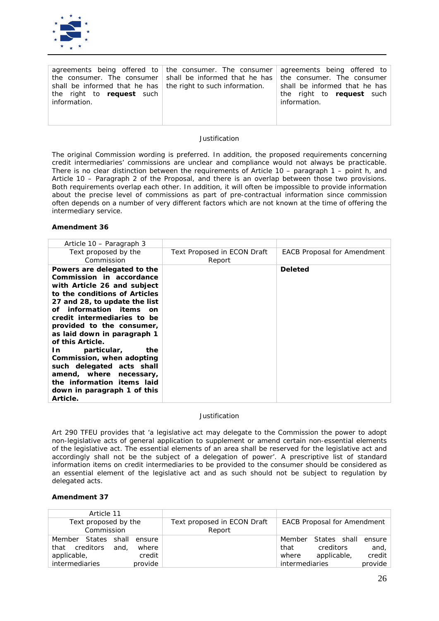

*The original Commission wording is preferred. In addition, the proposed requirements concerning credit intermediaries' commissions are unclear and compliance would not always be practicable. There is no clear distinction between the requirements of Article 10 – paragraph 1 – point h, and Article 10 – Paragraph 2 of the Proposal, and there is an overlap between those two provisions. Both requirements overlap each other. In addition, it will often be impossible to provide information about the precise level of commissions as part of pre-contractual information since commission often depends on a number of very different factors which are not known at the time of offering the intermediary service.*

### **Amendment 36**

| Article 10 – Paragraph 3                                                                                                                                                                                                                                                                                                                                                                                                                                                                     |                                       |                                    |
|----------------------------------------------------------------------------------------------------------------------------------------------------------------------------------------------------------------------------------------------------------------------------------------------------------------------------------------------------------------------------------------------------------------------------------------------------------------------------------------------|---------------------------------------|------------------------------------|
| Text proposed by the<br>Commission                                                                                                                                                                                                                                                                                                                                                                                                                                                           | Text Proposed in ECON Draft<br>Report | <b>EACB Proposal for Amendment</b> |
| Powers are delegated to the<br>Commission in accordance<br>with Article 26 and subject<br>to the conditions of Articles<br>27 and 28, to update the list<br>of information items on<br>credit intermediaries to be<br>provided to the consumer,<br>as laid down in paragraph 1<br>of this Article.<br>particular,<br>the<br>In<br>Commission, when adopting<br>such delegated acts shall<br>amend, where necessary,<br>the information items laid<br>down in paragraph 1 of this<br>Article. |                                       | <b>Deleted</b>                     |

*Justification*

*Art 290 TFEU provides that 'a legislative act may delegate to the Commission the power to adopt non-legislative acts of general application to supplement or amend certain non-essential elements of the legislative act. The essential elements of an area shall be reserved for the legislative act and accordingly shall not be the subject of a delegation of power'. A prescriptive list of standard information items on credit intermediaries to be provided to the consumer should be considered as an essential element of the legislative act and as such should not be subject to regulation by delegated acts.* 

| Article 11                         |                                       |                                    |
|------------------------------------|---------------------------------------|------------------------------------|
| Text proposed by the<br>Commission | Text proposed in ECON Draft<br>Report | <b>EACB Proposal for Amendment</b> |
| Member States shall ensure         |                                       | Member States shall<br>ensure      |
| and,<br>creditors<br>that<br>where |                                       | and,<br>creditors<br>that          |
| applicable,<br>credit              |                                       | credit<br>applicable,<br>where     |
| <i>intermediaries</i><br>provide   |                                       | provide<br><i>intermediaries</i>   |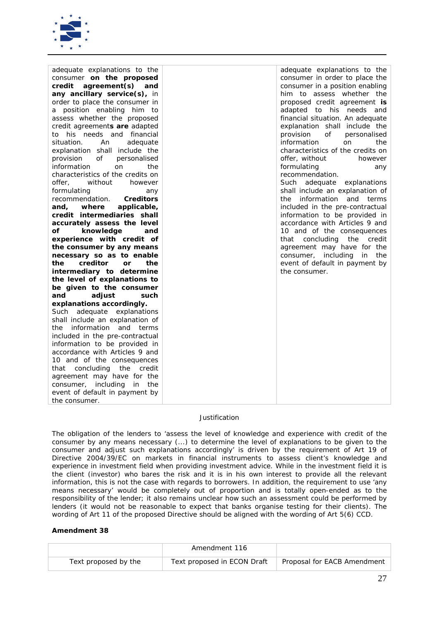

| adequate explanations to the        | adequate explanations to the        |
|-------------------------------------|-------------------------------------|
| consumer on the proposed            | consumer in order to place the      |
| credit<br>agreement(s)<br>and       | consumer in a position enabling     |
| any ancillary service(s), in        | him to assess whether the           |
| order to place the consumer in      | proposed credit agreement is        |
| a position enabling him to          | adapted to his needs and            |
| assess whether the proposed         | financial situation. An adequate    |
| credit agreements are adapted       | explanation shall include the       |
| to his needs and financial          | provision<br>of<br>personalised     |
| situation.<br>An<br>adequate        | information<br>the<br>on            |
| explanation shall include the       | characteristics of the credits on   |
| provision<br>οf<br>personalised     | offer, without<br>however           |
| information<br><sub>on</sub><br>the | formulating<br>any                  |
| characteristics of the credits on   | recommendation.                     |
| without<br>offer,<br>however        | Such adequate explanations          |
| formulating<br>any                  | shall include an explanation of     |
| recommendation.<br>Creditors        | information and<br>the<br>terms     |
| where<br>applicable,<br>and,        | included in the pre-contractual     |
| credit intermediaries shall         | information to be provided in       |
| accurately assess the level         | accordance with Articles 9 and      |
| knowledge<br>οf<br>and              | 10 and of the consequences          |
| experience with credit of           | that concluding<br>the<br>credit    |
| the consumer by any means           | agreement may have for the          |
| necessary so as to enable           | consumer,<br>including<br>in<br>the |
| creditor<br>the<br>the<br><b>or</b> | event of default in payment by      |
| intermediary to determine           | the consumer.                       |
| the level of explanations to        |                                     |
| be given to the consumer            |                                     |
| and<br>adjust<br>such               |                                     |
| explanations accordingly.           |                                     |
| Such adequate explanations          |                                     |
| shall include an explanation of     |                                     |
| information and terms<br>the        |                                     |
| included in the pre-contractual     |                                     |
| information to be provided in       |                                     |
| accordance with Articles 9 and      |                                     |
| 10 and of the consequences          |                                     |
| that concluding<br>the<br>credit    |                                     |
| agreement may have for the          |                                     |
| including<br>consumer,<br>in the    |                                     |
| event of default in payment by      |                                     |
| the consumer.                       |                                     |
|                                     |                                     |

The obligation of the lenders to 'assess the level of knowledge and experience with credit of the *consumer by any means necessary (...) to determine the level of explanations to be given to the consumer and adjust such explanations accordingly' is driven by the requirement of Art 19 of Directive 2004/39/EC on markets in financial instruments to assess client's knowledge and experience in investment field when providing investment advice. While in the investment field it is the client (investor) who bares the risk and it is in his own interest to provide all the relevant information, this is not the case with regards to borrowers. In addition, the requirement to use 'any means necessary' would be completely out of proportion and is totally open-ended as to the responsibility of the lender; it also remains unclear how such an assessment could be performed by lenders (it would not be reasonable to expect that banks organise testing for their clients). The wording of Art 11 of the proposed Directive should be aligned with the wording of Art 5(6) CCD.*

|                      | Amendment 116               |                             |
|----------------------|-----------------------------|-----------------------------|
| Text proposed by the | Text proposed in ECON Draft | Proposal for EACB Amendment |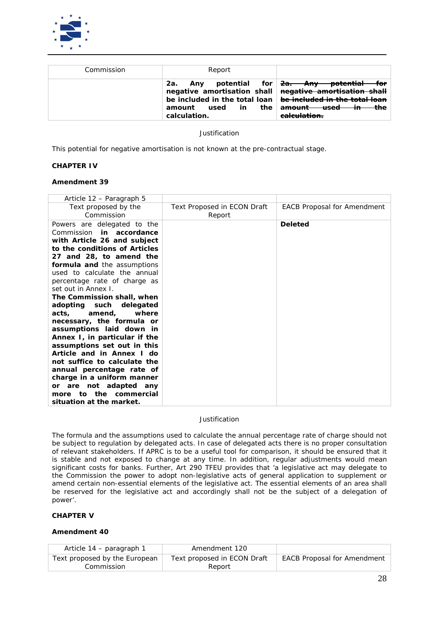

| Commission | Report                                                                                                                                                                               |                                                                                                                                   |
|------------|--------------------------------------------------------------------------------------------------------------------------------------------------------------------------------------|-----------------------------------------------------------------------------------------------------------------------------------|
|            | 2а.<br>negative amortisation shall negative amortisation shall<br>be included in the total loan $\vert$ be included in the total loan<br>the<br>used<br>in<br>amount<br>calculation. | Any potential for <del>2a. Any potential for</del><br><del>amount used -</del><br><del>the</del><br>π.<br><del>calculation.</del> |

*This potential for negative amortisation is not known at the pre-contractual stage.*

## **CHAPTER IV**

### **Amendment 39**

| Article 12 – Paragraph 5                                                                                                                                                                                                                                                                                                                                                                                                                                                                                                                                                                                                                                                                                                   |                                              |                                    |
|----------------------------------------------------------------------------------------------------------------------------------------------------------------------------------------------------------------------------------------------------------------------------------------------------------------------------------------------------------------------------------------------------------------------------------------------------------------------------------------------------------------------------------------------------------------------------------------------------------------------------------------------------------------------------------------------------------------------------|----------------------------------------------|------------------------------------|
| Text proposed by the<br>Commission                                                                                                                                                                                                                                                                                                                                                                                                                                                                                                                                                                                                                                                                                         | <b>Text Proposed in ECON Draft</b><br>Report | <b>EACB Proposal for Amendment</b> |
| Powers are delegated to the<br>in accordance<br>Commission<br>with Article 26 and subject<br>to the conditions of Articles<br>27 and 28, to amend the<br>formula and the assumptions<br>used to calculate the annual<br>percentage rate of charge as<br>set out in Annex I.<br>The Commission shall, when<br>adopting such<br>delegated<br>amend,<br>where<br>acts, contracts and a<br>necessary, the formula or<br>assumptions laid down in<br>Annex I, in particular if the<br>assumptions set out in this<br>Article and in Annex I do<br>not suffice to calculate the<br>annual percentage rate of<br>charge in a uniform manner<br>or are not adapted any<br>the commercial<br>to<br>more<br>situation at the market. |                                              | <b>Deleted</b>                     |

## *Justification*

*The formula and the assumptions used to calculate the annual percentage rate of charge should not be subject to regulation by delegated acts. In case of delegated acts there is no proper consultation of relevant stakeholders. If APRC is to be a useful tool for comparison, it should be ensured that it is stable and not exposed to change at any time. In addition, regular adjustments would mean significant costs for banks. Further, Art 290 TFEU provides that 'a legislative act may delegate to the Commission the power to adopt non-legislative acts of general application to supplement or amend certain non-essential elements of the legislative act. The essential elements of an area shall*  be reserved for the legislative act and accordingly shall not be the subject of a delegation of *power'.* 

## **CHAPTER V**

| Article 14 – paragraph 1                    | Amendment 120                         |                                    |
|---------------------------------------------|---------------------------------------|------------------------------------|
| Text proposed by the European<br>Commission | Text proposed in ECON Draft<br>Report | <b>EACB Proposal for Amendment</b> |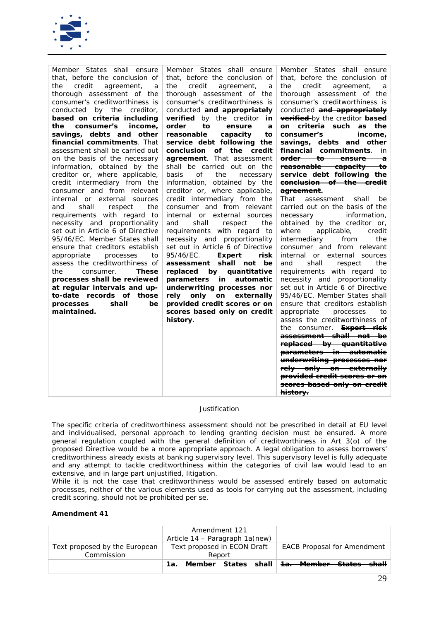

*The specific criteria of creditworthiness assessment should not be prescribed in detail at EU level and individualised, personal approach to lending granting decision must be ensured. A more general regulation coupled with the general definition of creditworthiness in Art 3(o) of the proposed Directive would be a more appropriate approach. A legal obligation to assess borrowers' creditworthiness already exists at banking supervisory level. This supervisory level is fully adequate and any attempt to tackle creditworthiness within the categories of civil law would lead to an extensive, and in large part unjustified, litigation.*

*While it is not the case that creditworthiness would be assessed entirely based on automatic processes, neither of the various elements used as tools for carrying out the assessment, including credit scoring, should not be prohibited* per se.

|                               | Amendment 121<br>Article 14 – Paragraph 1a(new) |                                                            |
|-------------------------------|-------------------------------------------------|------------------------------------------------------------|
| Text proposed by the European | Text proposed in ECON Draft                     | <b>EACB Proposal for Amendment</b>                         |
| Commission                    | Report                                          |                                                            |
|                               |                                                 | 1a. Member States shall <del>1a. Member States shall</del> |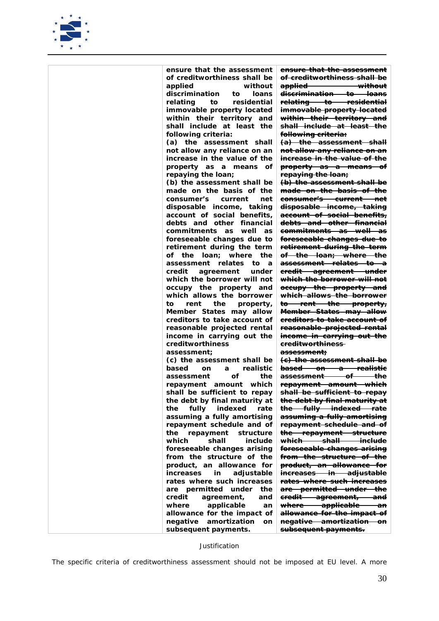

| ensure that the assessment              | <del>ensure that the assessment</del>          |
|-----------------------------------------|------------------------------------------------|
| of creditworthiness shall be            | of creditworthiness shall be                   |
| applied<br>without                      | applied without                                |
| discrimination<br>loans<br>to           | <del>discrimination to loans</del>             |
| relating<br>to<br>residential           | relating to residential                        |
| immovable property located              | immovable property located                     |
| within their territory and              | within their territory and                     |
| shall include at least the              | <del>shall include at least the</del>          |
| following criteria:                     | following criteria:                            |
| (a) the assessment shall                | (a) the assessment shall                       |
| not allow any reliance on an            | not allow any reliance on an                   |
| increase in the value of the            | <del>increase in the value of the</del>        |
| property as a means of                  | property as a means of                         |
| repaying the loan;                      | repaying the loan;                             |
| (b) the assessment shall be             | (b) the assessment shall be                    |
| made on the basis of the                | <del>made on the basis of the</del>            |
| consumer's<br>current<br>net            | <del>consumer's current net</del>              |
| disposable income, taking               | <del>disposable income, taking</del>           |
| account of social benefits,             | account of social benefits,                    |
| debts and other financial               | <del>debts and other financial</del>           |
| commitments as<br>well as               | <del>commitments as well as</del>              |
| foreseeable changes due to              | <del>foreseeable changes due to</del>          |
| retirement during the term              | retirement during the term                     |
| of the loan;<br>where<br>the            | <del>of the loan; where the</del>              |
| assessment relates to<br>$\overline{a}$ | <del>assessment relates to a</del>             |
| credit<br>agreement<br>under            | eredit agreement under                         |
| which the borrower will not             | <del>which the borrower will not</del>         |
| occupy the property and                 | occupy the property and                        |
| which allows the borrower               | which allows the borrower                      |
| rent<br>the<br>to<br>property,          | to rent the property,                          |
| Member States may allow                 | <del>Member States may allow</del>             |
| creditors to take account of            | <del>creditors to take account of</del>        |
| reasonable projected rental             | <del>reasonable projected rental</del>         |
| income in carrying out the              | <del>income in carrying out the</del>          |
| creditworthiness                        | <del>creditworthiness-</del>                   |
| assessment;                             | <del>assessment:</del>                         |
| (c) the assessment shall be             | (e) the assessment shall be                    |
| realistic<br>based<br><b>on</b><br>a    | based on a realistic                           |
| οf<br>the<br>assessment                 | <del>assessment of a</del><br><del>the</del>   |
| repayment amount which                  | repayment amount which                         |
| shall be sufficient to repay            | shall be sufficient to repay                   |
| the debt by final maturity at           | <del>the debt by final maturity at</del>       |
| fully indexed<br>rate<br>the            | the fully indexed rate                         |
| assuming a fully amortising             | assuming a fully amortising                    |
| repayment schedule and of               | repayment schedule and of                      |
| the repayment<br>structure              | the repayment structure                        |
| shall<br>which<br>include               | <del>which shall</del><br><del>- include</del> |
| foreseeable changes arising             | foreseeable changes arising                    |
| from the structure of the               | <del>from the structure of the</del>           |
| product, an allowance for               | product, an allowance for                      |
| adjustable<br>increases<br>in           | increases in adjustable                        |
| rates where such increases              | <del>rates where such increases</del>          |
|                                         |                                                |
| are permitted under<br>the              | are permitted under the                        |
| credit<br>agreement,<br>and             | eredit agreement, and                          |
| where<br>applicable<br>an               | where applicable<br><del>an-</del>             |
| allowance for the impact of             | allowance for the impact of                    |
| amortization<br>negative<br>on          | negative amortization on                       |
| subsequent payments.                    | subsequent payments.                           |
|                                         |                                                |

*The specific criteria of creditworthiness assessment should not be imposed at EU level. A more*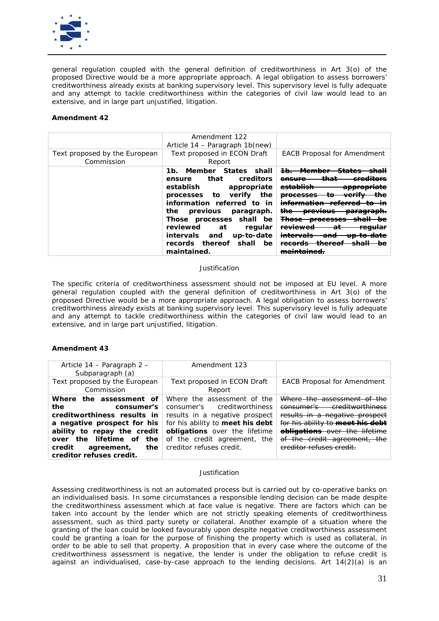

*general regulation coupled with the general definition of creditworthiness in Art 3(o) of the proposed Directive would be a more appropriate approach. A legal obligation to assess borrowers' creditworthiness already exists at banking supervisory level. This supervisory level is fully adequate and any attempt to tackle creditworthiness within the categories of civil law would lead to an extensive, and in large part unjustified, litigation.*

## **Amendment 42**

| Text proposed by the European<br>Commission | Amendment 122<br>Article 14 - Paragraph 1b(new)<br>Text proposed in ECON Draft<br>Report                                                                                                                                                                                                                           | <b>EACB Proposal for Amendment</b>                                                                                                                                                                                                                                                                                 |
|---------------------------------------------|--------------------------------------------------------------------------------------------------------------------------------------------------------------------------------------------------------------------------------------------------------------------------------------------------------------------|--------------------------------------------------------------------------------------------------------------------------------------------------------------------------------------------------------------------------------------------------------------------------------------------------------------------|
|                                             | 1b. Member States shall<br>that<br>creditors<br>ensure<br>establish<br>appropriate<br>processes to verify<br>the<br>information referred to in<br>the previous paragraph.<br>Those processes shall be<br>reviewed<br>regular<br>at<br>up-to-date<br>intervals and<br>records thereof<br>shall<br>be<br>maintained. | <del>- Member -</del><br>عم <del>نمنک</del><br>$4b-$<br>ensure<br>establish<br><del>appropriate</del><br><del>verifv</del><br><del>processes</del><br><del>to</del><br>the<br><del>previous</del><br><del>paragraph.</del><br><del>Those processes</del><br><del>reviewed</del><br><del>regular</del><br>aτ<br>and |

### *Justification*

*The specific criteria of creditworthiness assessment should not be imposed at EU level. A more general regulation coupled with the general definition of creditworthiness in Art 3(o) of the proposed Directive would be a more appropriate approach. A legal obligation to assess borrowers' creditworthiness already exists at banking supervisory level. This supervisory level is fully adequate and any attempt to tackle creditworthiness within the categories of civil law would lead to an extensive, and in large part unjustified, litigation.*

# **Amendment 43**

| Article 14 - Paragraph 2 -<br>Subparagraph (a)                                                                                                                                                                                     | Amendment 123                                                                                                                                                                                                                        |                                                                                                                                                                                                                                                    |
|------------------------------------------------------------------------------------------------------------------------------------------------------------------------------------------------------------------------------------|--------------------------------------------------------------------------------------------------------------------------------------------------------------------------------------------------------------------------------------|----------------------------------------------------------------------------------------------------------------------------------------------------------------------------------------------------------------------------------------------------|
| Text proposed by the European<br>Commission                                                                                                                                                                                        | Text proposed in ECON Draft<br>Report                                                                                                                                                                                                | <b>EACB Proposal for Amendment</b>                                                                                                                                                                                                                 |
| Where the assessment of<br>the<br>consumer's<br>creditworthiness results in<br>a negative prospect for his<br>ability to repay the credit<br>over the lifetime of the<br>credit<br>the \<br>agreement,<br>creditor refuses credit. | Where the assessment of the<br>consumer's creditworthiness<br>results in a negative prospect<br>for his ability to meet his debt<br><b>obligations</b> over the lifetime<br>of the credit agreement, the<br>creditor refuses credit. | Where the assessment of the<br>creditworthiness<br><del>consumer's</del><br>results in a negative prospect<br>for his ability to meet his debt<br><b>obligations</b> over the lifetime<br>of the credit agreement, the<br>creditor refuses credit. |

#### *Justification*

*Assessing creditworthiness is not an automated process but is carried out by co-operative banks on an individualised basis. In some circumstances a responsible lending decision can be made despite the creditworthiness assessment which at face value is negative. There are factors which can be taken into account by the lender which are not strictly speaking elements of creditworthiness assessment, such as third party surety or collateral. Another example of a situation where the granting of the loan could be looked favourably upon despite negative creditworthiness assessment could be granting a loan for the purpose of finishing the property which is used as collateral, in order to be able to sell that property. A proposition that in every case where the outcome of the creditworthiness assessment is negative, the lender is under the obligation to refuse credit is against an individualised, case-by-case approach to the lending decisions. Art 14(2)(a) is an*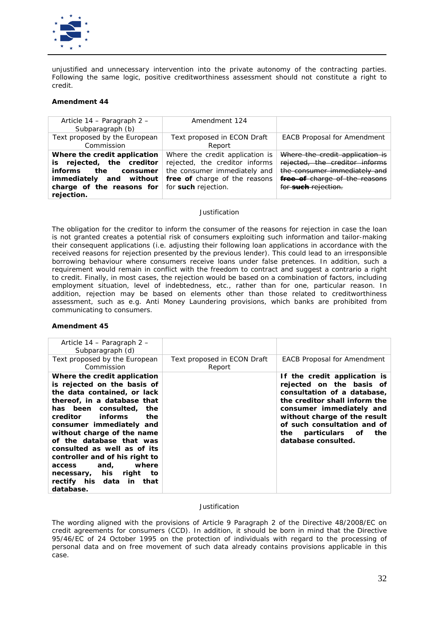

*unjustified and unnecessary intervention into the private autonomy of the contracting parties. Following the same logic, positive creditworthiness assessment should not constitute a right to credit.* 

## **Amendment 44**

| Article 14 – Paragraph 2 –<br>Subparagraph (b)                                                                                                                                           | Amendment 124                                                                                                                      |                                                                                                                                                           |
|------------------------------------------------------------------------------------------------------------------------------------------------------------------------------------------|------------------------------------------------------------------------------------------------------------------------------------|-----------------------------------------------------------------------------------------------------------------------------------------------------------|
| Text proposed by the European<br>Commission                                                                                                                                              | Text proposed in ECON Draft<br>Report                                                                                              | <b>EACB Proposal for Amendment</b>                                                                                                                        |
| Where the credit application<br>is rejected, the creditor<br><i>informs</i><br>consumer<br>the<br>immediately and without<br>charge of the reasons for for such rejection.<br>rejection. | Where the credit application is<br>rejected, the creditor informs<br>the consumer immediately and<br>free of charge of the reasons | Where the credit application is<br>rejected, the creditor informs<br>the consumer immediately and<br>free of charge of the reasons<br>for such rejection. |

### *Justification*

*The obligation for the creditor to inform the consumer of the reasons for rejection in case the loan is not granted creates a potential risk of consumers exploiting such information and tailor-making their consequent applications (i.e. adjusting their following loan applications in accordance with the received reasons for rejection presented by the previous lender). This could lead to an irresponsible borrowing behaviour where consumers receive loans under false pretences. In addition, such a requirement would remain in conflict with the freedom to contract and suggest a contrario a right to credit. Finally, in most cases, the rejection would be based on a combination of factors, including employment situation, level of indebtedness, etc., rather than for one, particular reason. In addition, rejection may be based on elements other than those related to creditworthiness assessment, such as e.g. Anti Money Laundering provisions, which banks are prohibited from communicating to consumers.* 

## **Amendment 45**

| Article 14 – Paragraph 2 –<br>Subparagraph (d)                                                                                                                                                                                                                                                                                                                                                                                           |                                       |                                                                                                                                                                                                                                                                            |
|------------------------------------------------------------------------------------------------------------------------------------------------------------------------------------------------------------------------------------------------------------------------------------------------------------------------------------------------------------------------------------------------------------------------------------------|---------------------------------------|----------------------------------------------------------------------------------------------------------------------------------------------------------------------------------------------------------------------------------------------------------------------------|
| Text proposed by the European<br>Commission                                                                                                                                                                                                                                                                                                                                                                                              | Text proposed in ECON Draft<br>Report | <b>EACB Proposal for Amendment</b>                                                                                                                                                                                                                                         |
| Where the credit application<br>is rejected on the basis of<br>the data contained, or lack<br>thereof, in a database that<br>has been consulted, the<br>informs<br>creditor<br>the<br>consumer immediately and<br>without charge of the name<br>of the database that was<br>consulted as well as of its<br>controller and of his right to<br>where<br>access and,<br>necessary, his right<br>to<br>rectify his data in that<br>database. |                                       | If the credit application is<br>rejected on the basis of<br>consultation of a database,<br>the creditor shall inform the<br>consumer immediately and<br>without charge of the result<br>of such consultation and of<br>particulars of<br>the<br>the<br>database consulted. |

## *Justification*

*The wording aligned with the provisions of Article 9 Paragraph 2 of the Directive 48/2008/EC on credit agreements for consumers (CCD). In addition, it should be born in mind that the Directive 95/46/EC of 24 October 1995 on the protection of individuals with regard to the processing of personal data and on free movement of such data already contains provisions applicable in this case.*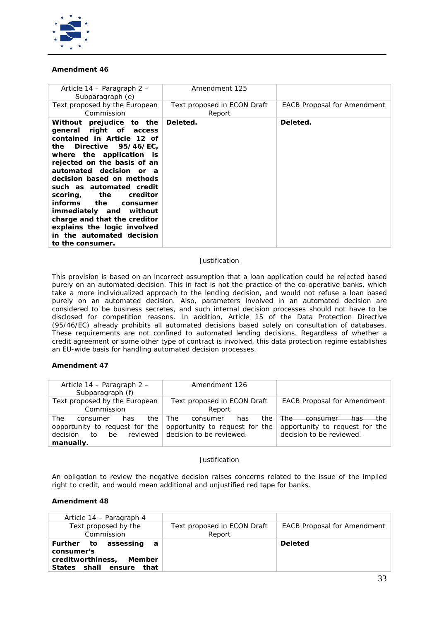

## **Amendment 46**

| Article 14 – Paragraph 2 –<br>Subparagraph (e)                                                                                                                                                                                                                                                                                                                                                                                                                                    | Amendment 125                         |                                    |
|-----------------------------------------------------------------------------------------------------------------------------------------------------------------------------------------------------------------------------------------------------------------------------------------------------------------------------------------------------------------------------------------------------------------------------------------------------------------------------------|---------------------------------------|------------------------------------|
| Text proposed by the European<br>Commission                                                                                                                                                                                                                                                                                                                                                                                                                                       | Text proposed in ECON Draft<br>Report | <b>EACB Proposal for Amendment</b> |
| Without prejudice to the<br>general right of access<br>contained in Article 12 of<br>Directive 95/46/EC,<br>the<br>where the application is<br>rejected on the basis of an<br>automated decision or a<br>decision based on methods<br>such as automated credit<br>scoring, the creditor<br>the<br><i>informs</i><br>consumer<br><i>immediately and</i><br>without<br>charge and that the creditor<br>explains the logic involved<br>in the automated decision<br>to the consumer. | Deleted.                              | Deleted.                           |

## *Justification*

*This provision is based on an incorrect assumption that a loan application could be rejected based purely on an automated decision. This in fact is not the practice of the co-operative banks, which take a more individualized approach to the lending decision, and would not refuse a loan based purely on an automated decision. Also, parameters involved in an automated decision are considered to be business secretes, and such internal decision processes should not have to be disclosed for competition reasons. In addition, Article 15 of the Data Protection Directive (95/46/EC) already prohibits all automated decisions based solely on consultation of databases. These requirements are not confined to automated lending decisions. Regardless of whether a credit agreement or some other type of contract is involved, this data protection regime establishes an EU-wide basis for handling automated decision processes.* 

## **Amendment 47**

| Article 14 – Paragraph 2 –<br>Subparagraph (f)                                                                    | Amendment 126                                                                                |                                                                                                                       |
|-------------------------------------------------------------------------------------------------------------------|----------------------------------------------------------------------------------------------|-----------------------------------------------------------------------------------------------------------------------|
| Text proposed by the European<br>Commission                                                                       | Text proposed in ECON Draft<br>Report                                                        | <b>EACB Proposal for Amendment</b>                                                                                    |
| The<br>the.<br>has<br>consumer<br>opportunity to request for the<br>reviewed<br>decision<br>be<br>to<br>manually. | The:<br>the<br>consumer<br>has<br>opportunity to request for the<br>decision to be reviewed. | the.<br><del>The -</del><br><del>has</del><br>concurmax<br>opportunity to request for the<br>decision to be reviewed. |

### *Justification*

*An obligation to review the negative decision raises concerns related to the issue of the implied right to credit, and would mean additional and unjustified red tape for banks.*

| Article 14 – Paragraph 4                                                                             |                                       |                                    |
|------------------------------------------------------------------------------------------------------|---------------------------------------|------------------------------------|
| Text proposed by the<br>Commission                                                                   | Text proposed in ECON Draft<br>Report | <b>EACB Proposal for Amendment</b> |
| Further to assessing<br>- a<br>consumer's<br>creditworthiness, Member<br>States shall ensure<br>that |                                       | <b>Deleted</b>                     |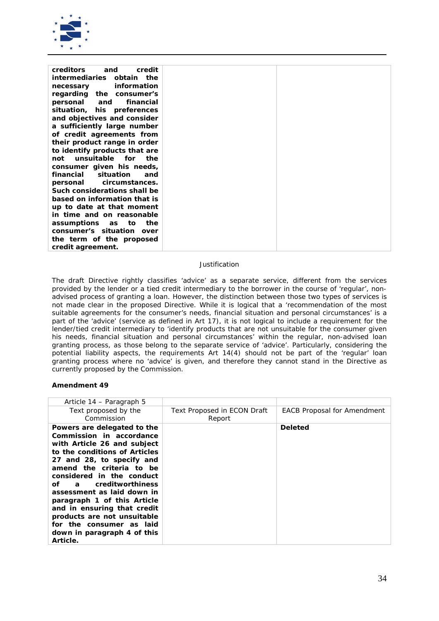

| <i>creditors</i><br>credit<br>and   |  |
|-------------------------------------|--|
| <i>intermediaries</i><br>obtain the |  |
| information<br>necessary            |  |
| regarding the consumer's            |  |
| personal<br>financial<br>and        |  |
| situation, his preferences          |  |
| and objectives and consider         |  |
| a sufficiently large number         |  |
| of credit agreements from           |  |
| their product range in order        |  |
| to identify products that are       |  |
| unsuitable<br>for<br>the<br>not     |  |
| consumer given his needs,           |  |
| situation<br>financial<br>and       |  |
| circumstances.<br>personal          |  |
| Such considerations shall be        |  |
| based on information that is        |  |
| up to date at that moment           |  |
| in time and on reasonable           |  |
| assumptions as to<br>the            |  |
| consumer's situation<br>over        |  |
| the term of the proposed            |  |
| credit agreement.                   |  |

*The draft Directive rightly classifies 'advice' as a separate service, different from the services provided by the lender or a tied credit intermediary to the borrower in the course of 'regular', nonadvised process of granting a loan. However, the distinction between those two types of services is not made clear in the proposed Directive. While it is logical that a 'recommendation of the most suitable agreements for the consumer's needs, financial situation and personal circumstances' is a part of the 'advice' (service as defined in Art 17), it is not logical to include a requirement for the lender/tied credit intermediary to 'identify products that are not unsuitable for the consumer given his needs, financial situation and personal circumstances' within the regular, non-advised loan granting process, as those belong to the separate service of 'advice'. Particularly, considering the potential liability aspects, the requirements Art 14(4) should not be part of the 'regular' loan granting process where no 'advice' is given, and therefore they cannot stand in the Directive as currently proposed by the Commission.*

| Article 14 – Paragraph 5                                                                                                                                                                                                                                                                                                                                                                                                                                                                                                                                                                                                                                                  |                                              |                                    |
|---------------------------------------------------------------------------------------------------------------------------------------------------------------------------------------------------------------------------------------------------------------------------------------------------------------------------------------------------------------------------------------------------------------------------------------------------------------------------------------------------------------------------------------------------------------------------------------------------------------------------------------------------------------------------|----------------------------------------------|------------------------------------|
| Text proposed by the<br>Commission                                                                                                                                                                                                                                                                                                                                                                                                                                                                                                                                                                                                                                        | <b>Text Proposed in ECON Draft</b><br>Report | <b>EACB Proposal for Amendment</b> |
| Powers are delegated to the<br>Commission in accordance<br>with Article 26 and subject<br>to the conditions of Articles<br>27 and 28, to specify and<br>amend the criteria to be<br>considered in the conduct<br>a creditworthiness<br>of the contract of the contract of the contract of the contract of the contract of the contract of the contract<br>Separate states of the contract of the contract of the contract of the contract of the contract of the contra<br>assessment as laid down in<br>paragraph 1 of this Article<br>and in ensuring that credit<br>products are not unsuitable<br>for the consumer as laid<br>down in paragraph 4 of this<br>Article. |                                              | <b>Deleted</b>                     |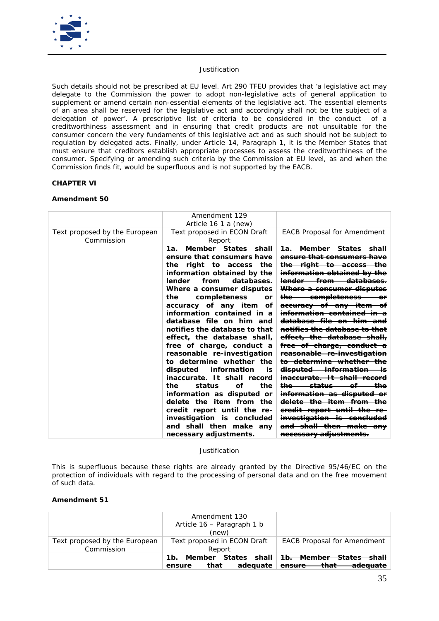

*Such details should not be prescribed at EU level. Art 290 TFEU provides that 'a legislative act may delegate to the Commission the power to adopt non-legislative acts of general application to supplement or amend certain non-essential elements of the legislative act. The essential elements of an area shall be reserved for the legislative act and accordingly shall not be the subject of a delegation of power'. A prescriptive list of criteria to be considered in the conduct of a creditworthiness assessment and in ensuring that credit products are not unsuitable for the consumer concern the very fundaments of this legislative act and as such should not be subject to regulation by delegated acts. Finally, under Article 14, Paragraph 1, it is the Member States that must ensure that creditors establish appropriate processes to assess the creditworthiness of the consumer. Specifying or amending such criteria by the Commission at EU level, as and when the Commission finds fit, would be superfluous and is not supported by the EACB.*

# **CHAPTER VI**

## **Amendment 50**

|                                             | Amendment 129<br>Article 16 1 a (new)                                                                                                                                                                                                                                                                                                                                                                                                                                                                                                                                                                                                                                                                     |                                                                                                                                                                                                                                                                                                                                                                                                                                                                                                                                                                                                                                                                                                                                                                                                                                            |
|---------------------------------------------|-----------------------------------------------------------------------------------------------------------------------------------------------------------------------------------------------------------------------------------------------------------------------------------------------------------------------------------------------------------------------------------------------------------------------------------------------------------------------------------------------------------------------------------------------------------------------------------------------------------------------------------------------------------------------------------------------------------|--------------------------------------------------------------------------------------------------------------------------------------------------------------------------------------------------------------------------------------------------------------------------------------------------------------------------------------------------------------------------------------------------------------------------------------------------------------------------------------------------------------------------------------------------------------------------------------------------------------------------------------------------------------------------------------------------------------------------------------------------------------------------------------------------------------------------------------------|
| Text proposed by the European<br>Commission | Text proposed in ECON Draft<br>Report                                                                                                                                                                                                                                                                                                                                                                                                                                                                                                                                                                                                                                                                     | <b>EACB Proposal for Amendment</b>                                                                                                                                                                                                                                                                                                                                                                                                                                                                                                                                                                                                                                                                                                                                                                                                         |
|                                             | Member States shall<br>1а.<br>ensure that consumers have<br>the right to access the<br>information obtained by the<br>from<br>databases.<br>lender<br>Where a consumer disputes<br>the<br>completeness<br>or<br>accuracy of any item of<br>information contained in a<br>database file on him and<br>notifies the database to that<br>effect, the database shall,<br>free of charge, conduct a<br>reasonable re-investigation<br>to determine whether the<br>disputed<br>information<br>is<br>inaccurate. It shall record<br>the<br>the<br>status<br>οf<br>information as disputed or<br>delete the item from the<br>credit report until the re-<br>investigation is concluded<br>and shall then make any | <del>1a. Member States shall</del><br><del>ensure that consumers have</del><br><del>the right to access</del><br>information obtained by the<br>lender from databases.<br>Where a consumer disputes<br><del>completeness</del><br><del>the</del><br>accuracy of any item<br><del>information contained in a</del><br><del>database file on him and</del><br>notifies the database to that<br>effect, the database shall,<br>free of charge, conduct a<br>reasonable re-investigation<br><del>-determine whether the</del><br><del>to</del><br><del>disputed information</del><br>-14<br><del>inaccurate. -</del><br><del>status</del><br><del>the</del><br>-əf<br><del>information as disputed</del><br><del>delete the item from</del><br><del>credit report until the re-</del><br>investigation is concluded<br>and shall then make any |
|                                             | necessary adjustments.                                                                                                                                                                                                                                                                                                                                                                                                                                                                                                                                                                                                                                                                                    | <del>necessary adjustments.</del>                                                                                                                                                                                                                                                                                                                                                                                                                                                                                                                                                                                                                                                                                                                                                                                                          |

*Justification*

*This is superfluous because these rights are already granted by the Directive 95/46/EC on the protection of individuals with regard to the processing of personal data and on the free movement of such data.* 

|                                             | Amendment 130<br>Article 16 – Paragraph 1 b<br>(new) |                                                                                                              |
|---------------------------------------------|------------------------------------------------------|--------------------------------------------------------------------------------------------------------------|
| Text proposed by the European<br>Commission | Text proposed in ECON Draft<br>Report                | <b>EACB Proposal for Amendment</b>                                                                           |
|                                             | adequate<br>that<br>ensure                           | 1b. Member States shall <del>1b. Member States shall</del><br><del>ensure that </del><br><del>adeauate</del> |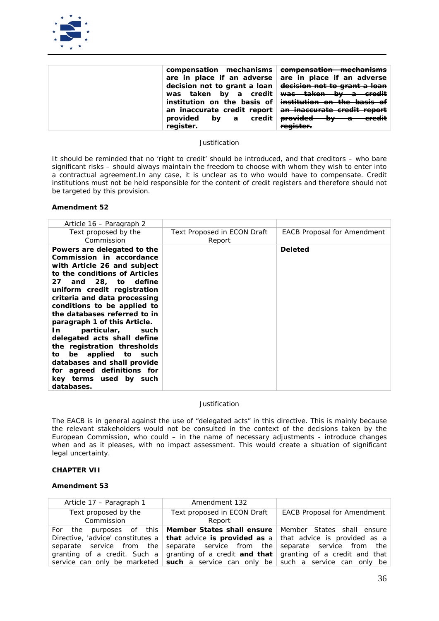

| compensation mechanisms<br>are in place if an adverse<br>decision not to grant a loan decision not to grant a loan | compensation mechanisms<br>are in place if an adverse<br>was taken by a credit was taken by a credit<br>institution on the basis of institution on the basis of |
|--------------------------------------------------------------------------------------------------------------------|-----------------------------------------------------------------------------------------------------------------------------------------------------------------|
| a credit  <br>provided by<br>register.                                                                             | an inaccurate credit report an inaccurate credit report<br><del>provided by a</del><br><del>- credit</del><br>register.                                         |

*It should be reminded that no 'right to credit' should be introduced, and that creditors – who bare significant risks – should always maintain the freedom to choose with whom they wish to enter into a contractual agreement.In any case, it is unclear as to who would have to compensate. Credit institutions must not be held responsible for the content of credit registers and therefore should not be targeted by this provision.*

### **Amendment 52**

| Article 16 – Paragraph 2                                                                                                                                                                                                                                                                                                                                                                                                                                                                                                               |                                              |                                    |
|----------------------------------------------------------------------------------------------------------------------------------------------------------------------------------------------------------------------------------------------------------------------------------------------------------------------------------------------------------------------------------------------------------------------------------------------------------------------------------------------------------------------------------------|----------------------------------------------|------------------------------------|
| Text proposed by the<br>Commission                                                                                                                                                                                                                                                                                                                                                                                                                                                                                                     | <b>Text Proposed in ECON Draft</b><br>Report | <b>EACB Proposal for Amendment</b> |
| Powers are delegated to the<br>Commission in accordance<br>with Article 26 and subject<br>to the conditions of Articles<br>27 and 28, to define<br>uniform credit registration<br>criteria and data processing<br>conditions to be applied to<br>the databases referred to in<br>paragraph 1 of this Article.<br>particular, such<br>In<br>delegated acts shall define<br>the registration thresholds<br>be applied to such<br>to<br>databases and shall provide<br>for agreed definitions for<br>key terms used by such<br>databases. |                                              | <b>Deleted</b>                     |

## *Justification*

*The EACB is in general against the use of "delegated acts" in this directive. This is mainly because the relevant stakeholders would not be consulted in the context of the decisions taken by the European Commission, who could – in the name of necessary adjustments - introduce changes when and as it pleases, with no impact assessment. This would create a situation of significant legal uncertainty.* 

## **CHAPTER VII**

| Article 17 - Paragraph 1 | Amendment 132                                                                                             |                                    |
|--------------------------|-----------------------------------------------------------------------------------------------------------|------------------------------------|
| Text proposed by the     | Text proposed in ECON Draft                                                                               | <b>EACB Proposal for Amendment</b> |
| Commission               | Report                                                                                                    |                                    |
|                          | For the purposes of this <b>Member States shall ensure</b> Member States shall ensure                     |                                    |
|                          | Directive, 'advice' constitutes a <b>that</b> advice is <b>provided as</b> a that advice is provided as a |                                    |
|                          | separate service from the separate service from the separate service from the                             |                                    |
|                          | granting of a credit. Such a granting of a credit <b>and that</b> granting of a credit and that           |                                    |
|                          | service can only be marketed $ $ such a service can only be such a service can only be                    |                                    |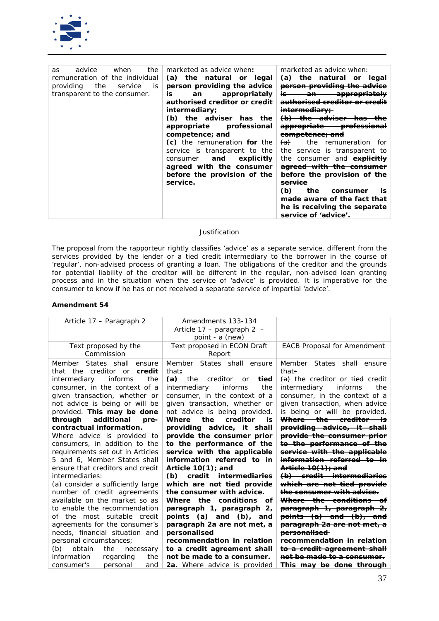

| the<br>advice<br>when<br>as<br>remuneration of the individual<br>the<br>service<br>providing<br>İS<br>transparent to the consumer. | marketed as advice when:<br>(a) the natural or legal<br>person providing the advice<br>is<br>appropriately<br>an<br>authorised creditor or credit<br><i>intermediary;</i><br>(b) the adviser has the<br>appropriate professional<br>competence; and<br>(c) the remuneration for the<br>service is transparent to the<br>and<br>explicitly<br>consumer<br>agreed with the consumer<br>before the provision of the<br>service. | marketed as advice when:<br><del>the natural</del><br><del>(a)</del><br><del>leqal</del><br>person providing the advice<br>İS.<br>an<br><del>appropriately</del><br><del>rised creditor or cre</del><br><del>intermediary;</del><br>$\theta$<br><del>adviser</del><br><del>appropriate</del><br><del>professional</del><br><del>competence; and</del><br><del>(a)</del><br>the remuneration for<br>service is transparent to<br>the<br>the consumer and <b>explicitly</b><br>agreed with the consumer<br>before the provision of the<br><del>service</del><br>(b)<br>the<br>consumer<br>İS<br>made aware of the fact that<br>he is receiving the separate<br>service of 'advice'. |
|------------------------------------------------------------------------------------------------------------------------------------|------------------------------------------------------------------------------------------------------------------------------------------------------------------------------------------------------------------------------------------------------------------------------------------------------------------------------------------------------------------------------------------------------------------------------|-----------------------------------------------------------------------------------------------------------------------------------------------------------------------------------------------------------------------------------------------------------------------------------------------------------------------------------------------------------------------------------------------------------------------------------------------------------------------------------------------------------------------------------------------------------------------------------------------------------------------------------------------------------------------------------|

*The proposal from the rapporteur rightly classifies 'advice' as a separate service, different from the services provided by the lender or a tied credit intermediary to the borrower in the course of 'regular', non-advised process of granting a loan. The obligations of the creditor and the grounds for potential liability of the creditor will be different in the regular, non-advised loan granting process and in the situation when the service of 'advice' is provided. It is imperative for the consumer to know if he has or not received a separate service of impartial 'advice'.*

| Article 17 – Paragraph 2                                                                                                           | Amendments 133-134<br>Article $17$ – paragraph 2 –<br>point - a (new)                                                                 |                                                                                                                                      |
|------------------------------------------------------------------------------------------------------------------------------------|---------------------------------------------------------------------------------------------------------------------------------------|--------------------------------------------------------------------------------------------------------------------------------------|
| Text proposed by the<br>Commission                                                                                                 | Text proposed in ECON Draft<br>Report                                                                                                 | <b>EACB Proposal for Amendment</b>                                                                                                   |
| Member<br>States shall<br>ensure<br>that the creditor or<br>credit                                                                 | Member States shall ensure<br>that:                                                                                                   | Member<br>States shall ensure<br>that:                                                                                               |
| intermediary<br>informs<br>the<br>consumer, in the context of a<br>given transaction, whether or<br>not advice is being or will be | (a)<br>the creditor<br>tied<br>or<br>intermediary<br>informs<br>the<br>consumer, in the context of a<br>given transaction, whether or | (a) the creditor or tied credit<br>intermediary<br>informs<br>the<br>consumer, in the context of a<br>given transaction, when advice |
| provided. This may be done<br>additional<br>through<br>pre-                                                                        | not advice is being provided.<br>the<br>creditor<br>Where<br><i>is</i>                                                                | is being or will be provided.<br><del>Where the creditor is</del>                                                                    |
| contractual information.                                                                                                           | providing advice, it shall                                                                                                            | providing advice, it shall                                                                                                           |
| Where advice is provided to                                                                                                        | provide the consumer prior                                                                                                            | provide the consumer prior                                                                                                           |
| consumers, in addition to the                                                                                                      | to the performance of the                                                                                                             | to the performance of the                                                                                                            |
| requirements set out in Articles                                                                                                   | service with the applicable                                                                                                           | service with the applicable                                                                                                          |
| 5 and 6, Member States shall                                                                                                       | information referred to in                                                                                                            | <del>information referred to in</del>                                                                                                |
| ensure that creditors and credit                                                                                                   | Article $10(1)$ ; and                                                                                                                 | <del>Article 10(1); and</del>                                                                                                        |
| intermediaries:                                                                                                                    | credit intermediaries<br>(b)                                                                                                          | <del>(b) credit intermediaries</del>                                                                                                 |
| (a) consider a sufficiently large                                                                                                  | which are not tied provide                                                                                                            | which are not tied provide                                                                                                           |
| number of credit agreements                                                                                                        | the consumer with advice.                                                                                                             | the consumer with advice.                                                                                                            |
| available on the market so as                                                                                                      | Where the conditions of                                                                                                               | <del>Where the conditions</del>                                                                                                      |
| to enable the recommendation                                                                                                       | paragraph 1, paragraph 2,                                                                                                             | paragraph 1, paragraph 2,                                                                                                            |
| the most suitable credit<br>Ωf                                                                                                     | points (a) and (b), and                                                                                                               | <del>points (a) and (b), and</del>                                                                                                   |
| agreements for the consumer's                                                                                                      | paragraph 2a are not met, a                                                                                                           | <del>paragraph 2a are not met, a</del>                                                                                               |
| needs, financial situation and                                                                                                     | personalised                                                                                                                          | personalised                                                                                                                         |
| personal circumstances;                                                                                                            | recommendation in relation                                                                                                            | recommendation in relation                                                                                                           |
| (b)<br>obtain<br>the<br>necessary                                                                                                  | to a credit agreement shall                                                                                                           | to a credit agreement shall                                                                                                          |
| information<br>regarding<br>the                                                                                                    | not be made to a consumer.                                                                                                            | not be made to a consumer.                                                                                                           |
| personal<br>consumer's<br>and                                                                                                      | 2a. Where advice is provided                                                                                                          | This may be done through                                                                                                             |
|                                                                                                                                    |                                                                                                                                       |                                                                                                                                      |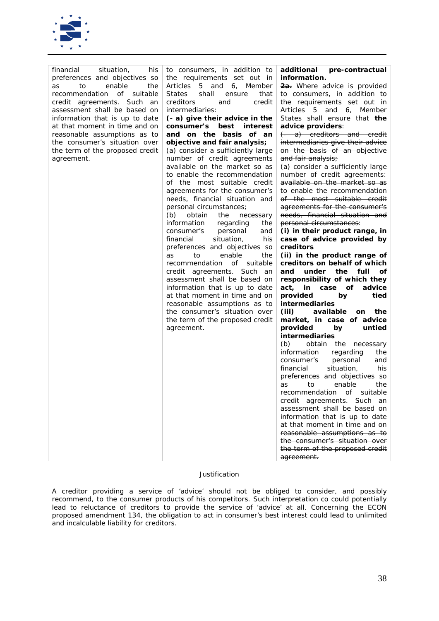

| situation,<br>financial<br>his                                                                                                                                                                                                                                                                                                                       | to consumers, in addition to                                                                                                                                                                                                                                                                                                                                                                                                                                                                                                                                                                                                                                                                                                                                                                                                                                                                                                                                                                                                                 | additional pre-contractual                                                                                                                                                                                                                                                                                                                                                                                                                                                                                                                                                                                                                                                                                                                                                                                                                                                                                                                                                                                                                                                                                                                                                                                                                                                                                                                                                                                                                                                                                          |
|------------------------------------------------------------------------------------------------------------------------------------------------------------------------------------------------------------------------------------------------------------------------------------------------------------------------------------------------------|----------------------------------------------------------------------------------------------------------------------------------------------------------------------------------------------------------------------------------------------------------------------------------------------------------------------------------------------------------------------------------------------------------------------------------------------------------------------------------------------------------------------------------------------------------------------------------------------------------------------------------------------------------------------------------------------------------------------------------------------------------------------------------------------------------------------------------------------------------------------------------------------------------------------------------------------------------------------------------------------------------------------------------------------|---------------------------------------------------------------------------------------------------------------------------------------------------------------------------------------------------------------------------------------------------------------------------------------------------------------------------------------------------------------------------------------------------------------------------------------------------------------------------------------------------------------------------------------------------------------------------------------------------------------------------------------------------------------------------------------------------------------------------------------------------------------------------------------------------------------------------------------------------------------------------------------------------------------------------------------------------------------------------------------------------------------------------------------------------------------------------------------------------------------------------------------------------------------------------------------------------------------------------------------------------------------------------------------------------------------------------------------------------------------------------------------------------------------------------------------------------------------------------------------------------------------------|
| preferences and objectives so<br>enable<br>to<br>the<br>as<br>of<br>recommendation<br>suitable<br>credit agreements. Such<br>an<br>assessment shall be based on<br>information that is up to date<br>at that moment in time and on<br>reasonable assumptions as to<br>the consumer's situation over<br>the term of the proposed credit<br>agreement. | the requirements set out in<br>Articles 5 and 6, Member<br><b>States</b><br>shall<br>that<br>ensure<br>creditors<br>and<br>credit<br>intermediaries:<br>$(-a)$ give their advice in the<br>consumer's best interest<br>and on the basis of an<br>objective and fair analysis;<br>(a) consider a sufficiently large<br>number of credit agreements<br>available on the market so as<br>to enable the recommendation<br>of the most suitable credit<br>agreements for the consumer's<br>needs, financial situation and<br>personal circumstances;<br>(b)<br>obtain<br>the<br>necessary<br>information<br>regarding<br>the<br>personal<br>consumer's<br>and<br>financial<br>situation,<br>his<br>preferences and objectives so<br>enable<br>the<br>to<br>as<br>recommendation of<br>suitable<br>credit agreements. Such an<br>assessment shall be based on<br>information that is up to date<br>at that moment in time and on<br>reasonable assumptions as to<br>the consumer's situation over<br>the term of the proposed credit<br>agreement. | <i>information.</i><br>2a. Where advice is provided<br>to consumers, in addition to<br>the requirements set out in<br>Articles 5 and 6, Member<br>States shall ensure that the<br>advice providers:<br>$\leftarrow$ a) creditors and credit<br>intermediaries give their advice<br>on the basis of an objective<br>and fair analysis;<br>(a) consider a sufficiently large<br>number of credit agreements:<br>available on the market so as<br>to enable the recommendation<br>of the most suitable credit<br>agreements for the consumer's<br>needs, financial situation and<br>personal circumstances:<br>(i) in their product range, in<br>case of advice provided by<br>creditors<br>(ii) in the product range of<br>creditors on behalf of which<br>the<br>and<br>under<br>full of<br>responsibility of which they<br>in case of<br>act,<br>advice<br>provided<br>tied<br>by<br><i>intermediaries</i><br>(iii)<br>available<br>the<br>on<br>market, in case of advice<br>provided<br>untied<br>by<br><i>intermediaries</i><br>(b)<br>obtain the necessary<br>information<br>regarding<br>the<br>personal<br>consumer's<br>and<br>financial<br>situation,<br>his<br>preferences and objectives so<br>enable<br>the<br>to<br>as<br>recommendation of suitable<br>credit agreements. Such an<br>assessment shall be based on<br>information that is up to date<br>at that moment in time and on<br>reasonable assumptions as to<br>the consumer's situation over<br>the term of the proposed credit<br>agreement. |

*A creditor providing a service of 'advice' should not be obliged to consider, and possibly recommend, to the consumer products of his competitors. Such interpretation co could potentially lead to reluctance of creditors to provide the service of 'advice' at all. Concerning the ECON proposed amendment 134, the obligation to act in consumer's best interest could lead to unlimited and incalculable liability for creditors.*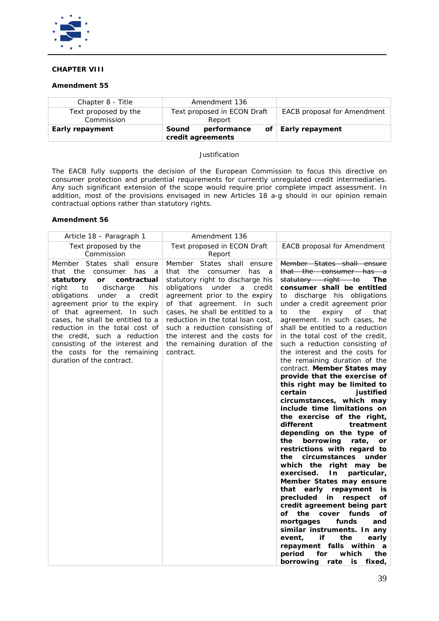

# **CHAPTER VIII**

# **Amendment 55**

| Chapter 8 - Title                  | Amendment 136                             |                                    |
|------------------------------------|-------------------------------------------|------------------------------------|
| Text proposed by the<br>Commission | Text proposed in ECON Draft<br>Report     | <b>EACB</b> proposal for Amendment |
| Early repayment                    | performance<br>Sound<br>credit agreements | of Early repayment                 |

## *Justification*

*The EACB fully supports the decision of the European Commission to focus this directive on consumer protection and prudential requirements for currently unregulated credit intermediaries. Any such significant extension of the scope would require prior complete impact assessment. In addition, most of the provisions envisaged in new Articles 18 a-g should in our opinion remain contractual options rather than statutory rights.*

| Article 18 – Paragraph 1                                                                                                                                                                                                                                                                                                                                                                                                                                   | Amendment 136                                                                                                                                                                                                                                                                                                                                                                                                  |                                                                                                                                                                                                                                                                                                                                                                                                                                                                                                                                                                                                                                                                                                                                                                                                                                                                                                                                                                                                                                                                                                                                                                                                                                                                                   |
|------------------------------------------------------------------------------------------------------------------------------------------------------------------------------------------------------------------------------------------------------------------------------------------------------------------------------------------------------------------------------------------------------------------------------------------------------------|----------------------------------------------------------------------------------------------------------------------------------------------------------------------------------------------------------------------------------------------------------------------------------------------------------------------------------------------------------------------------------------------------------------|-----------------------------------------------------------------------------------------------------------------------------------------------------------------------------------------------------------------------------------------------------------------------------------------------------------------------------------------------------------------------------------------------------------------------------------------------------------------------------------------------------------------------------------------------------------------------------------------------------------------------------------------------------------------------------------------------------------------------------------------------------------------------------------------------------------------------------------------------------------------------------------------------------------------------------------------------------------------------------------------------------------------------------------------------------------------------------------------------------------------------------------------------------------------------------------------------------------------------------------------------------------------------------------|
| Text proposed by the<br>Commission                                                                                                                                                                                                                                                                                                                                                                                                                         | Text proposed in ECON Draft<br>Report                                                                                                                                                                                                                                                                                                                                                                          | <b>EACB</b> proposal for Amendment                                                                                                                                                                                                                                                                                                                                                                                                                                                                                                                                                                                                                                                                                                                                                                                                                                                                                                                                                                                                                                                                                                                                                                                                                                                |
| Member<br>States shall ensure<br>that<br>the<br>consumer<br>has<br>a<br>statutory<br>contractual<br><b>or</b><br>discharge<br>right<br>to<br>his<br>obligations<br>under<br>credit<br>а<br>agreement prior to the expiry<br>of that agreement. In such<br>cases, he shall be entitled to a<br>reduction in the total cost of<br>the credit, such a reduction<br>consisting of the interest and<br>the costs for the remaining<br>duration of the contract. | States shall<br>Member<br>ensure<br>that<br>the<br>consumer<br>has<br>- a<br>statutory right to discharge his<br>obligations<br>under<br>credit<br>a<br>agreement prior to the expiry<br>of that agreement. In such<br>cases, he shall be entitled to a<br>reduction in the total loan cost,<br>such a reduction consisting of<br>the interest and the costs for<br>the remaining duration of the<br>contract. | Member States shall ensure<br><del>that the consumer has</del><br>—a<br>statutory right to<br>The<br>consumer shall be entitled<br>discharge his obligations<br>to<br>under a credit agreement prior<br>expiry<br>to<br>the<br>οf<br>that<br>agreement. In such cases, he<br>shall be entitled to a reduction<br>in the total cost of the credit,<br>such a reduction consisting of<br>the interest and the costs for<br>the remaining duration of the<br>contract. Member States may<br>provide that the exercise of<br>this right may be limited to<br>justified<br>certain<br>circumstances, which may<br>include time limitations on<br>the exercise of the right,<br>different<br>treatment<br>depending on the type of<br>borrowing<br>rate,<br>the<br>or<br>restrictions with regard to<br>circumstances under<br>the<br>which the right may be<br>exercised.<br>In<br>particular,<br>Member States may ensure<br>that<br>early repayment<br>is<br>precluded<br>in<br>respect<br>οf<br>credit agreement being part<br>the<br>cover<br>funds<br>οf<br>οf<br>funds<br>mortgages<br>and<br>similar instruments. In any<br>the<br>if<br>event,<br>early<br>repayment falls<br>within<br>$\boldsymbol{a}$<br>which<br>the<br>period<br>for<br>borrowing<br>rate<br>is<br>fixed, |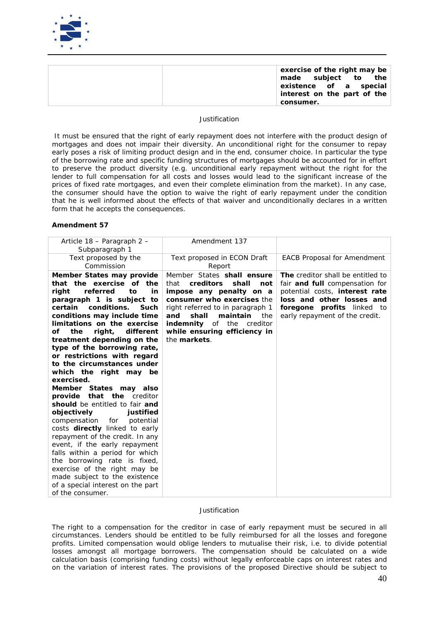

| exercise of the right may be<br>made subject to the<br>existence of a special<br>interest on the part of the<br>consumer. |
|---------------------------------------------------------------------------------------------------------------------------|
|---------------------------------------------------------------------------------------------------------------------------|

*It must be ensured that the right of early repayment does not interfere with the product design of mortgages and does not impair their diversity. An unconditional right for the consumer to repay early poses a risk of limiting product design and in the end, consumer choice. In particular the type of the borrowing rate and specific funding structures of mortgages should be accounted for in effort*  to preserve the product diversity (e.g. unconditional early repayment without the right for the *lender to full compensation for all costs and losses would lead to the significant increase of the prices of fixed rate mortgages, and even their complete elimination from the market). In any case, the consumer should have the option to waive the right of early repayment under the condition*  that he is well informed about the effects of that waiver and unconditionally declares in a written *form that he accepts the consequences.*

#### **Amendment 57**

| Article 18 – Paragraph 2 –<br>Subparagraph 1                                                                                                                                                                                                                                                                                                                                                                                                                                                                                                                                                                                                                                                                                                                                                                                                                                                    | Amendment 137                                                                                                                                                                                                                                                                                  |                                                                                                                                                                                                                  |
|-------------------------------------------------------------------------------------------------------------------------------------------------------------------------------------------------------------------------------------------------------------------------------------------------------------------------------------------------------------------------------------------------------------------------------------------------------------------------------------------------------------------------------------------------------------------------------------------------------------------------------------------------------------------------------------------------------------------------------------------------------------------------------------------------------------------------------------------------------------------------------------------------|------------------------------------------------------------------------------------------------------------------------------------------------------------------------------------------------------------------------------------------------------------------------------------------------|------------------------------------------------------------------------------------------------------------------------------------------------------------------------------------------------------------------|
| Text proposed by the<br>Commission                                                                                                                                                                                                                                                                                                                                                                                                                                                                                                                                                                                                                                                                                                                                                                                                                                                              | Text proposed in ECON Draft<br>Report                                                                                                                                                                                                                                                          | <b>EACB Proposal for Amendment</b>                                                                                                                                                                               |
| Member States may provide<br>that the exercise of the<br>referred<br>to<br>right<br>in<br>paragraph 1 is subject to<br>conditions.<br>certain<br>Such<br>conditions may include time<br>limitations on the exercise<br>right,<br>different<br>οf<br>the<br>treatment depending on the<br>type of the borrowing rate,<br>or restrictions with regard<br>to the circumstances under<br>which the right may be<br>exercised.<br>Member States may also<br><b>that the</b> creditor<br>provide<br>should be entitled to fair and<br>objectively<br>justified<br>compensation<br>potential<br>for<br>costs directly linked to early<br>repayment of the credit. In any<br>event, if the early repayment<br>falls within a period for which<br>the borrowing rate is fixed,<br>exercise of the right may be<br>made subject to the existence<br>of a special interest on the part<br>of the consumer. | Member States shall ensure<br>that<br>creditors<br>shall<br>not<br>impose any penalty on a<br>consumer who exercises the<br>right referred to in paragraph 1<br>and<br>shall<br>maintain<br>the<br><i>indemnity</i> of the<br>creditor<br>while ensuring efficiency in<br>the <i>markets</i> . | The creditor shall be entitled to<br>fair <i>and full</i> compensation for<br>potential costs, <i>interest rate</i><br>loss and other losses and<br>foregone profits linked to<br>early repayment of the credit. |

### *Justification*

*The right to a compensation for the creditor in case of early repayment must be secured in all circumstances. Lenders should be entitled to be fully reimbursed for all the losses and foregone profits. Limited compensation would oblige lenders to mutualise their risk, i.e. to divide potential losses amongst all mortgage borrowers. The compensation should be calculated on a wide calculation basis (comprising funding costs) without legally enforceable caps on interest rates and on the variation of interest rates. The provisions of the proposed Directive should be subject to*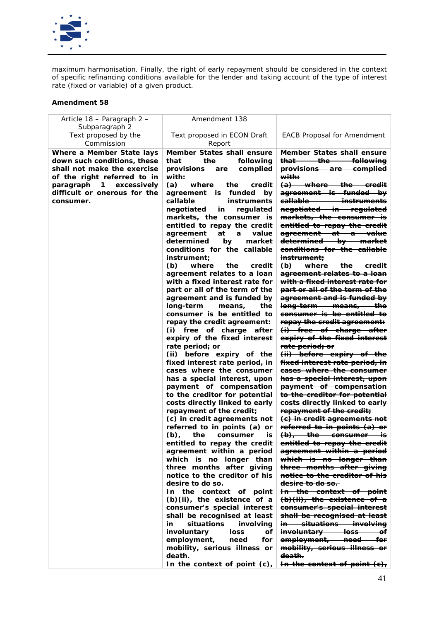

*maximum harmonisation. Finally, the right of early repayment should be considered in the context of specific refinancing conditions available for the lender and taking account of the type of interest rate (fixed or variable) of a given product.* 

| Article 18 – Paragraph 2 –<br>Subparagraph 2                                                                           | Amendment 138                                                                                                                                                                                                                                                                                                                                                                                                                                                                                                                                                                                                                                                                                                                                                                                                                                                                                                                                                                                                                                                                                                                                                                                                                                                                                                                                                                                                                                                                              |                                                                                                                                                                                                                                                                                                                                                                                                                                                                                                                                                                                                                                                                                                                                                                                                                                                                                                                                                                                                                                                                                                                                                                                                                                                                                                                                                                                                                                                                                                                                                       |
|------------------------------------------------------------------------------------------------------------------------|--------------------------------------------------------------------------------------------------------------------------------------------------------------------------------------------------------------------------------------------------------------------------------------------------------------------------------------------------------------------------------------------------------------------------------------------------------------------------------------------------------------------------------------------------------------------------------------------------------------------------------------------------------------------------------------------------------------------------------------------------------------------------------------------------------------------------------------------------------------------------------------------------------------------------------------------------------------------------------------------------------------------------------------------------------------------------------------------------------------------------------------------------------------------------------------------------------------------------------------------------------------------------------------------------------------------------------------------------------------------------------------------------------------------------------------------------------------------------------------------|-------------------------------------------------------------------------------------------------------------------------------------------------------------------------------------------------------------------------------------------------------------------------------------------------------------------------------------------------------------------------------------------------------------------------------------------------------------------------------------------------------------------------------------------------------------------------------------------------------------------------------------------------------------------------------------------------------------------------------------------------------------------------------------------------------------------------------------------------------------------------------------------------------------------------------------------------------------------------------------------------------------------------------------------------------------------------------------------------------------------------------------------------------------------------------------------------------------------------------------------------------------------------------------------------------------------------------------------------------------------------------------------------------------------------------------------------------------------------------------------------------------------------------------------------------|
| Text proposed by the<br>Commission                                                                                     | Text proposed in ECON Draft<br>Report                                                                                                                                                                                                                                                                                                                                                                                                                                                                                                                                                                                                                                                                                                                                                                                                                                                                                                                                                                                                                                                                                                                                                                                                                                                                                                                                                                                                                                                      | <b>EACB Proposal for Amendment</b>                                                                                                                                                                                                                                                                                                                                                                                                                                                                                                                                                                                                                                                                                                                                                                                                                                                                                                                                                                                                                                                                                                                                                                                                                                                                                                                                                                                                                                                                                                                    |
| Where a Member State lays<br>down such conditions, these<br>shall not make the exercise<br>of the right referred to in | <b>Member States shall ensure</b><br>that<br>the<br>followina<br>provisions<br>complied<br>are<br>with:                                                                                                                                                                                                                                                                                                                                                                                                                                                                                                                                                                                                                                                                                                                                                                                                                                                                                                                                                                                                                                                                                                                                                                                                                                                                                                                                                                                    | <b>Member States shall ensure</b><br><del>that the </del><br><del>- followina</del><br><del>-complied</del><br><del>provisions are</del><br><del>with:</del>                                                                                                                                                                                                                                                                                                                                                                                                                                                                                                                                                                                                                                                                                                                                                                                                                                                                                                                                                                                                                                                                                                                                                                                                                                                                                                                                                                                          |
| paragraph<br>excessively<br>$\mathbf{1}$<br>difficult or onerous for the<br>consumer.                                  | (a)<br>the<br>where<br>credit<br>agreement<br>funded by<br><i>is</i><br>callable<br>instruments<br>negotiated<br>regulated<br>in<br>markets, the consumer is<br>entitled to repay the credit<br>agreement<br>at<br>value<br>a<br>determined<br>market<br>by<br>conditions for the callable<br>instrument;<br>(b)<br>where<br>the<br>credit<br>agreement relates to a loan<br>with a fixed interest rate for<br>part or all of the term of the<br>agreement and is funded by<br>long-term<br>the<br>means,<br>consumer is be entitled to<br>repay the credit agreement:<br>(i) free of charge after<br>expiry of the fixed interest<br>rate period; or<br>(ii) before expiry of the<br>fixed interest rate period, in<br>cases where the consumer<br>has a special interest, upon<br>payment of compensation<br>to the creditor for potential<br>costs directly linked to early<br>repayment of the credit;<br>(c) in credit agreements not<br>referred to in points (a) or<br>$(b)$ ,<br>the<br>consumer<br>is<br>entitled to repay the credit<br>agreement within a period<br>which is no longer than<br>three months after giving<br>notice to the creditor of his<br>desire to do so.<br>In the context of point<br>$(b)(ii)$ , the existence of a<br>consumer's special interest<br>shall be recognised at least<br>situations<br>in<br>involving<br>involuntary<br>loss<br>οf<br>employment,<br>need<br>for<br>mobility, serious illness or<br>death.<br>In the context of point (c), | $(a)$ where the credit<br>agreement is funded by<br><del>callable instruments</del><br>negotiated in regulated<br>markets, the consumer is<br>entitled to repay the credit<br>agreement at a value<br>determined by market<br>conditions for the callable<br>instrument:<br>(b) where the credit<br><del>agreement relates to a loan</del><br><del>with a fixed interest rate for</del><br>part or all of the term of the<br>agreement and is funded by<br><del>long-term means, the</del><br><del>consumer is be entitled to</del><br>repay the credit agreement:<br><del>(i) free of charge after</del><br>expiry of the fixed interest<br><del>rate period; or</del><br>(ii) before expiry of the<br><del>fixed interest rate period, in</del><br>cases where the consumer<br>has a special interest, upon<br>payment of compensation<br>to the creditor for potential<br>eosts directly linked to early<br>repayment of the credit;<br>(e) in credit agreements not<br>referred to in points (a) or<br>$(b),$ the consumer is<br>entitled to repay the credit<br>agreement within a period<br>which is no longer than<br>three months after giving<br>notice to the creditor of his<br><del>desire to do so.-</del><br>In the context of point<br>$\phi(\theta)$ (ii), the existence of a<br>consumer's special interest<br>shall be recognised at least<br><del>in situations involving</del><br>involuntary loss<br><del>o</del> f<br>employment, need for<br>mobility, serious illness or<br><del>death.</del><br>In the context of point (e), |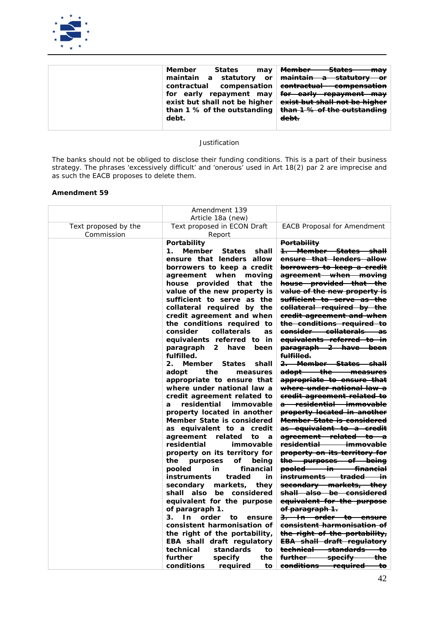

|  | Member<br>States<br>$\bm{m}$ ay<br>exist but shall not be higher $\vert$<br>than 1 % of the outstanding<br>debt. | <del>Member —</del><br><del>- States</del><br><del>may</del><br>maintain a statutory or <del>maintain a statutory or</del><br>contractual compensation <del>contractual compensation</del><br>for early repayment may for early repayment may<br>exist but shall not be higher<br>than 1 % of the outstanding<br>debt. |
|--|------------------------------------------------------------------------------------------------------------------|------------------------------------------------------------------------------------------------------------------------------------------------------------------------------------------------------------------------------------------------------------------------------------------------------------------------|
|--|------------------------------------------------------------------------------------------------------------------|------------------------------------------------------------------------------------------------------------------------------------------------------------------------------------------------------------------------------------------------------------------------------------------------------------------------|

*The banks should not be obliged to disclose their funding conditions. This is a part of their business strategy. The phrases 'excessively difficult' and 'onerous' used in Art 18(2) par 2 are imprecise and as such the EACB proposes to delete them.*

|                                    | Amendment 139<br>Article 18a (new)                                                                                                                                                                                                                                                                                                                                                                                                                                                                                                                                                                                                                                                                                                                                                                                                                                                                                                                                                                                                                                                                                                                                                                                                                                                                |                                                                                                                                                                                                                                                                                                                                                                                                                                                                                                                                                                                                                                                                                                                                                                                                                                                                                                                                                                                                                                                                                                                                                                                                                                                                                                                                                                                     |
|------------------------------------|---------------------------------------------------------------------------------------------------------------------------------------------------------------------------------------------------------------------------------------------------------------------------------------------------------------------------------------------------------------------------------------------------------------------------------------------------------------------------------------------------------------------------------------------------------------------------------------------------------------------------------------------------------------------------------------------------------------------------------------------------------------------------------------------------------------------------------------------------------------------------------------------------------------------------------------------------------------------------------------------------------------------------------------------------------------------------------------------------------------------------------------------------------------------------------------------------------------------------------------------------------------------------------------------------|-------------------------------------------------------------------------------------------------------------------------------------------------------------------------------------------------------------------------------------------------------------------------------------------------------------------------------------------------------------------------------------------------------------------------------------------------------------------------------------------------------------------------------------------------------------------------------------------------------------------------------------------------------------------------------------------------------------------------------------------------------------------------------------------------------------------------------------------------------------------------------------------------------------------------------------------------------------------------------------------------------------------------------------------------------------------------------------------------------------------------------------------------------------------------------------------------------------------------------------------------------------------------------------------------------------------------------------------------------------------------------------|
| Text proposed by the<br>Commission | Text proposed in ECON Draft<br>Report                                                                                                                                                                                                                                                                                                                                                                                                                                                                                                                                                                                                                                                                                                                                                                                                                                                                                                                                                                                                                                                                                                                                                                                                                                                             | <b>EACB Proposal for Amendment</b>                                                                                                                                                                                                                                                                                                                                                                                                                                                                                                                                                                                                                                                                                                                                                                                                                                                                                                                                                                                                                                                                                                                                                                                                                                                                                                                                                  |
|                                    | Portability<br>Member<br>$\mathbf{1}$ .<br><b>States</b><br>shall<br>ensure that lenders allow<br>borrowers to keep a credit<br>agreement<br>when moving<br>house provided that<br>the<br>value of the new property is<br>sufficient to serve as the<br>collateral required by the<br>credit agreement and when<br>the conditions required to<br>consider<br>collaterals<br>as<br>equivalents referred to in<br>2 have<br>paragraph<br>been<br>fulfilled.<br>Member States<br>shall<br>$2_{-}$<br>adopt<br>the<br>measures<br>appropriate to ensure that<br>where under national law a<br>credit agreement related to<br>residential<br>immovable<br>$\boldsymbol{a}$<br>property located in another<br>Member State is considered<br>as equivalent to a credit<br>related<br>agreement<br>to<br>a<br>residential<br>immovable<br>property on its territory for<br>the<br>purposes<br>of beina<br>financial<br>pooled<br>in<br><i>instruments</i><br>traded<br>in<br>secondary<br>markets,<br>they<br>shall also be considered<br>equivalent for the purpose<br>of paragraph 1.<br>3.<br>$\mathbf{ln}$<br>order<br>to<br>ensure<br>consistent harmonisation of<br>the right of the portability,<br><b>EBA</b> shall draft regulatory<br>technical<br>standards<br>to<br>further<br>specify<br>the | Portability<br><del>1. Member States shall</del><br>ensure that lenders allow<br><del>borrowers to keep a credit</del><br>agreement when moving<br>house provided that the<br>value of the new property is<br><del>sufficient to serve as the</del><br>collateral required by the<br>eredit agreement and when<br>the conditions required to<br>eonsider collaterals as<br>equivalents referred to in<br>paragraph 2 have been<br>fulfilled.<br><del>2. Member States shall</del><br><del>adopt the</del><br><del>measures —</del><br>appropriate to ensure that<br><del>where under national law a</del><br><del>credit agreement related to</del><br><del>a residential immovable</del><br>property located in another<br><del>Member State is considered</del><br>as equivalent to a credit<br><del>agreement related to a</del><br><del>residential</del><br><del>immovable</del><br>property on its territory for<br>the purposes of being<br>pooled in financial<br><del>instruments traded</del><br>÷۳<br>secondary markets, they<br>shall also be considered<br>equivalent for the purpose<br>of paragraph 1.<br><del>3. In order to ensure</del><br><del>consistent harmonisation of</del><br>the right of the portability,<br><del>EBA shall draft regulatory</del><br><del>technical standards</del><br>ŧΘ<br><del>specify</del><br><del>further</del><br><del>the</del> |
|                                    | conditions<br>required<br>to                                                                                                                                                                                                                                                                                                                                                                                                                                                                                                                                                                                                                                                                                                                                                                                                                                                                                                                                                                                                                                                                                                                                                                                                                                                                      | <del>conditions required</del><br>ŧο                                                                                                                                                                                                                                                                                                                                                                                                                                                                                                                                                                                                                                                                                                                                                                                                                                                                                                                                                                                                                                                                                                                                                                                                                                                                                                                                                |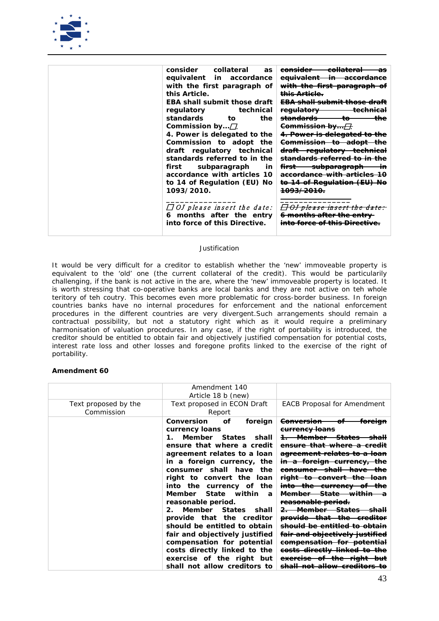

| consider collateral<br>as           | <del>collateral</del><br><del>consider -</del><br>as |
|-------------------------------------|------------------------------------------------------|
| equivalent in accordance            | <del>equivalent in accordance</del>                  |
| with the first paragraph of         | with the first paragraph                             |
| this Article.                       | <del>this Article.</del>                             |
| <b>EBA shall submit those draft</b> | <del>EBA shall submit those draft</del>              |
| regulatory<br>technical             | regulatory<br>حمنصطممه<br>15988998                   |
| <i>standards</i><br>the<br>tο       | <del>standards</del><br>the<br>ŧΘ                    |
| Commission by $\Box$                | <del>Commission by…[],</del>                         |
| 4. Power is delegated to the        | <del>4. Power is delegated to</del>                  |
| Commission to adopt the             | <del>Commission to adopt</del>                       |
| draft regulatory technical          | <del>draft regulatory technical</del>                |
| standards referred to in the        | <del>standards referred to in</del>                  |
| first subparagraph<br>in            | <del>subparagraph</del><br>٠m                        |
| accordance with articles 10         | <del>accordance with articles</del>                  |
| to 14 of Regulation (EU) No         | <del>to 14 of Regulation (EU) No</del>               |
| 1093/2010.                          | <del>1093/2010.</del>                                |
|                                     |                                                      |
| $\Box$ OJ please insert the date:   | <del>Of picase misert the date:</del>                |
| 6 months after the entry            | <del>6 months after the entry</del>                  |
| into force of this Directive.       | <u>to foroo of thic Dirootivo</u>                    |
|                                     |                                                      |

*It would be very difficult for a creditor to establish whether the 'new' immoveable property is equivalent to the 'old' one (the current collateral of the credit). This would be particularily challenging, if the bank is not active in the are, where the 'new' immoveable property is located. It is worth stressing that co-operative banks are local banks and they are not active on teh whole teritory of teh coutry. This becomes even more problematic for cross-border business. In foreign countries banks have no internal procedures for enforcement and the national enforcement procedures in the different countries are very divergent.Such arrangements should remain a contractual possibility, but not a statutory right which as it would require a preliminary harmonisation of valuation procedures. In any case, if the right of portability is introduced, the creditor should be entitled to obtain fair and objectively justified compensation for potential costs, interest rate loss and other losses and foregone profits linked to the exercise of the right of portability.*

|                      | Amendment 140<br>Article 18 b (new)                                                                                                                                                                                                                                                                                                                                                                                                                                                                                                                                                                                     |                                                                                                                                                                                                                                                                                                                                                                                                                                                                                                                                                                                                             |
|----------------------|-------------------------------------------------------------------------------------------------------------------------------------------------------------------------------------------------------------------------------------------------------------------------------------------------------------------------------------------------------------------------------------------------------------------------------------------------------------------------------------------------------------------------------------------------------------------------------------------------------------------------|-------------------------------------------------------------------------------------------------------------------------------------------------------------------------------------------------------------------------------------------------------------------------------------------------------------------------------------------------------------------------------------------------------------------------------------------------------------------------------------------------------------------------------------------------------------------------------------------------------------|
| Text proposed by the | Text proposed in ECON Draft                                                                                                                                                                                                                                                                                                                                                                                                                                                                                                                                                                                             | <b>EACB Proposal for Amendment</b>                                                                                                                                                                                                                                                                                                                                                                                                                                                                                                                                                                          |
| Commission           | Report                                                                                                                                                                                                                                                                                                                                                                                                                                                                                                                                                                                                                  |                                                                                                                                                                                                                                                                                                                                                                                                                                                                                                                                                                                                             |
|                      | <b>Conversion</b><br>οf<br>foreign<br>currency loans<br>Member States<br>shall<br>$\mathbf{1}$<br>ensure that where a credit<br>agreement relates to a loan<br>in a foreign currency, the<br>consumer shall have<br>the<br>right to convert the<br>loan<br>into<br>the currency of<br>the<br>Member State within<br>$\overline{a}$<br>reasonable period.<br>Member States<br>shall<br>$2_{-}$<br>provide that the creditor<br>should be entitled to obtain<br>fair and objectively justified<br>compensation for potential<br>costs directly linked to the<br>exercise of the right but<br>shall not allow creditors to | <del>Conversion</del><br><del>currency Ioans</del><br><del>that where</del><br>agreement relates to<br><del>in a foreign currency,</del><br><del>consumer shall have</del><br><del>to convert the</del><br><del>right -</del><br><del>into-</del><br><del>-currency</del><br><del>the -</del><br><del>State within</del><br><del>Member</del><br>reasonable period.<br><del>2. Member States</del><br><del>provide that the</del><br><del>should be entitled</del><br><del>fair and objectively justified</del><br><del>compensation for potential</del><br><del>directly linked</del><br><del>reise-</del> |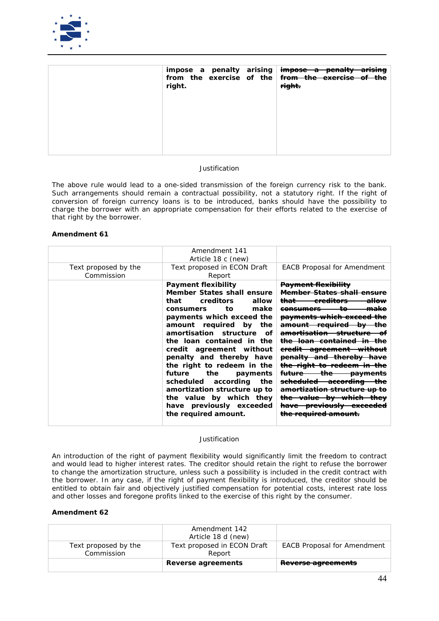

| right. | impose a penalty arising impose a penalty arising<br>from the exercise of the <del>from the exercise of the</del><br>right. |
|--------|-----------------------------------------------------------------------------------------------------------------------------|
|        |                                                                                                                             |

*The above rule would lead to a one-sided transmission of the foreign currency risk to the bank. Such arrangements should remain a contractual possibility, not a statutory right*. *If the right of conversion of foreign currency loans is to be introduced, banks should have the possibility to charge the borrower with an appropriate compensation for their efforts related to the exercise of that right by the borrower.*

### **Amendment 61**

|                                    | Amendment 141<br>Article 18 c (new)                                                                                                                                                                                                                                                                                                                                                                                                                                                                      |                                                                                                                                                                                                                                                                                                                                                                                                                                                                                                                                                                                                              |
|------------------------------------|----------------------------------------------------------------------------------------------------------------------------------------------------------------------------------------------------------------------------------------------------------------------------------------------------------------------------------------------------------------------------------------------------------------------------------------------------------------------------------------------------------|--------------------------------------------------------------------------------------------------------------------------------------------------------------------------------------------------------------------------------------------------------------------------------------------------------------------------------------------------------------------------------------------------------------------------------------------------------------------------------------------------------------------------------------------------------------------------------------------------------------|
| Text proposed by the<br>Commission | Text proposed in ECON Draft<br>Report                                                                                                                                                                                                                                                                                                                                                                                                                                                                    | <b>EACB Proposal for Amendment</b>                                                                                                                                                                                                                                                                                                                                                                                                                                                                                                                                                                           |
|                                    | <b>Payment flexibility</b><br>Member States shall ensure<br>creditors<br>allow<br>that<br>make<br>tο<br>consumers<br>payments which exceed the<br>amount required by<br>the<br>amortisation structure<br>оf<br>the loan contained in the<br>credit agreement without<br>penalty and thereby have<br>the right to redeem in the<br>future<br>the<br>payments<br>scheduled according<br>the<br>amortization structure up to<br>the value by which they<br>have previously exceeded<br>the required amount. | <b>Payment flexibility</b><br><del>Member States shall</del><br><del>creditors</del><br><del>allow</del><br><del>that</del><br><del>consumers</del><br>payments which exceed<br><del>required-</del><br><del>amount</del><br>amortisation structure<br><del>loan contained</del><br><del>the-</del><br>eredit agreement<br>penalty and thereby<br><del>the right to redeem</del><br><del>the</del><br><del>future</del><br><del>payments</del><br><del>accordina</del><br>amortization structure<br><del>- value by which</del><br><del>the-</del><br>have previously exceeded<br><del>the required am</del> |

### *Justification*

*An introduction of the right of payment flexibility would significantly limit the freedom to contract and would lead to higher interest rates. The creditor should retain the right to refuse the borrower to change the amortization structure, unless such a possibility is included in the credit contract with the borrower. In any case, if the right of payment flexibility is introduced, the creditor should be entitled to obtain fair and objectively justified compensation for potential costs, interest rate loss and other losses and foregone profits linked to the exercise of this right by the consumer.*

|                                    | Amendment 142<br>Article 18 d (new)   |                                    |
|------------------------------------|---------------------------------------|------------------------------------|
| Text proposed by the<br>Commission | Text proposed in ECON Draft<br>Report | <b>EACB Proposal for Amendment</b> |
|                                    | Reverse agreements                    | Reverse agreements                 |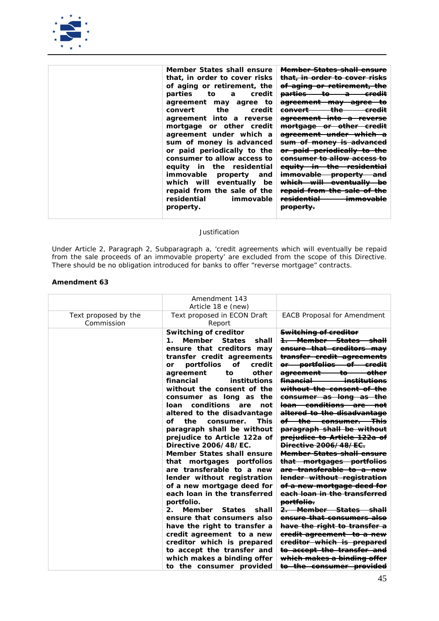

| Member States shall ensure<br>that, in order to cover risks<br>of aging or retirement, the<br>parties to a<br>credit<br>agreement<br>may agree to<br>the<br>credit<br>convert<br>agreement into a reverse<br>mortgage or other credit<br>agreement under which a<br>sum of money is advanced<br>or paid periodically to the<br>consumer to allow access to | <del>Member States shall ensure</del><br><del>that, in order to cover risks</del><br>of aging or retirement,<br>to-<br><del>parties</del><br><del>credit</del><br>Ð<br><del>agreement</del><br><del>mav -</del><br><del>agree</del><br>the<br><del>convert</del><br><del>agreement into</del><br><del>a reverse</del><br><del>other-</del><br><del>mortgage-</del><br><del>or</del><br><del>-credit</del><br><del>agreement under which</del><br><del>sum of money is advanced</del><br>or paid periodically to<br><del>consumer to allow access to</del> |
|------------------------------------------------------------------------------------------------------------------------------------------------------------------------------------------------------------------------------------------------------------------------------------------------------------------------------------------------------------|-----------------------------------------------------------------------------------------------------------------------------------------------------------------------------------------------------------------------------------------------------------------------------------------------------------------------------------------------------------------------------------------------------------------------------------------------------------------------------------------------------------------------------------------------------------|
| equity in the residential<br>immovable<br>property<br>and<br>which will eventually be                                                                                                                                                                                                                                                                      | equity in the residential<br><del>immovable</del><br><del>property</del><br>and<br><del>which will eventually</del><br>bе                                                                                                                                                                                                                                                                                                                                                                                                                                 |
| repaid from the sale of the<br>residential<br>immovable<br>property.                                                                                                                                                                                                                                                                                       | <del>repaid from the sale of</del><br><del>residential</del><br><del>immovable</del><br><del>property.</del>                                                                                                                                                                                                                                                                                                                                                                                                                                              |

*Under Article 2, Paragraph 2, Subparagraph a, 'credit agreements which will eventually be repaid from the sale proceeds of an immovable property' are excluded from the scope of this Directive. There should be no obligation introduced for banks to offer "reverse mortgage" contracts.*

|                                    | Amendment 143                                                                                                                                                                                                                                                                                                                                                                                                                                                                                                                                                                                                                                                                                                                                                                                                                                                                                                                                            |                                                                                                                                                                                                                                                                                                                                                                                                                                                                                                                                                                                                                                                                                                                                                                                                                                                                                                                                                                                                                                                                         |
|------------------------------------|----------------------------------------------------------------------------------------------------------------------------------------------------------------------------------------------------------------------------------------------------------------------------------------------------------------------------------------------------------------------------------------------------------------------------------------------------------------------------------------------------------------------------------------------------------------------------------------------------------------------------------------------------------------------------------------------------------------------------------------------------------------------------------------------------------------------------------------------------------------------------------------------------------------------------------------------------------|-------------------------------------------------------------------------------------------------------------------------------------------------------------------------------------------------------------------------------------------------------------------------------------------------------------------------------------------------------------------------------------------------------------------------------------------------------------------------------------------------------------------------------------------------------------------------------------------------------------------------------------------------------------------------------------------------------------------------------------------------------------------------------------------------------------------------------------------------------------------------------------------------------------------------------------------------------------------------------------------------------------------------------------------------------------------------|
|                                    | Article 18 e (new)                                                                                                                                                                                                                                                                                                                                                                                                                                                                                                                                                                                                                                                                                                                                                                                                                                                                                                                                       |                                                                                                                                                                                                                                                                                                                                                                                                                                                                                                                                                                                                                                                                                                                                                                                                                                                                                                                                                                                                                                                                         |
| Text proposed by the<br>Commission | Text proposed in ECON Draft<br>Report                                                                                                                                                                                                                                                                                                                                                                                                                                                                                                                                                                                                                                                                                                                                                                                                                                                                                                                    | <b>EACB Proposal for Amendment</b>                                                                                                                                                                                                                                                                                                                                                                                                                                                                                                                                                                                                                                                                                                                                                                                                                                                                                                                                                                                                                                      |
|                                    | <b>Switching of creditor</b><br>Member<br><b>States</b><br>shall<br>1.<br>ensure that creditors may<br>transfer credit agreements<br>or portfolios<br>of<br>credit<br>other<br>agreement<br>to<br>financial<br>institutions<br>without the consent of the<br>consumer as long as the<br>conditions are<br>loan<br>not<br>altered to the disadvantage<br>the<br>оf<br>This<br>consumer.<br>paragraph shall be without<br>prejudice to Article 122a of<br>Directive 2006/48/EC.<br>Member States shall ensure<br>that mortgages portfolios<br>are transferable to a new<br>lender without registration<br>of a new mortgage deed for<br>each loan in the transferred<br>portfolio.<br>$\mathbf{2}$ .<br>Member<br><b>States</b><br>shall<br>ensure that consumers also<br>have the right to transfer a<br>credit agreement to a new<br>creditor which is prepared<br>to accept the transfer and<br>which makes a binding offer<br>to the consumer provided | <b>Switching of creditor</b><br><del>1. Member States shall</del><br>ensure that creditors may<br>transfer credit agreements<br><del>or portfolios of credit</del><br><del>agreement</del><br><del>to -</del><br><del>other</del><br>financial<br><del>institutions</del><br>without the consent of the<br>consumer as long as the<br><del>loan conditions are l</del><br>-not<br>altered to the disadvantage<br><del>of the consumer. This</del><br>paragraph shall be without<br>prejudice to Article 122a of<br><b>Directive 2006/48/EC.</b><br><b>Member States shall ensure</b><br>that mortgages portfolios<br><del>are transferable to a new</del><br>lender without registration<br><del>of a new mortgage deed for</del><br>each loan in the transferred<br>portfolio.<br><del>2. Member States shall</del><br>ensure that consumers also<br>have the right to transfer a<br><del>credit agreement to a new</del><br>ereditor which is prepared<br><del>to accept the transfer and</del><br>which makes a binding offer<br><del>to the consumer provided</del> |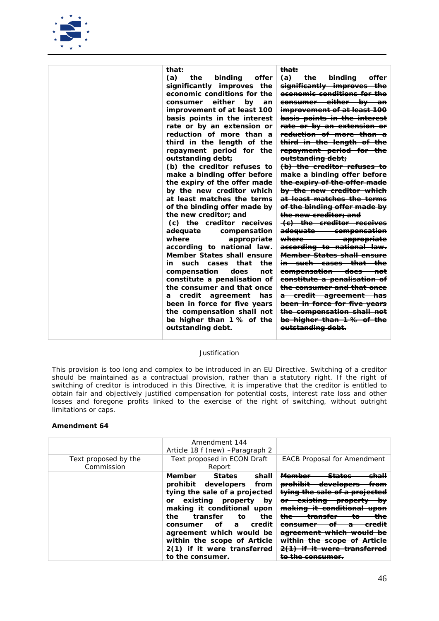

*This provision is too long and complex to be introduced in an EU Directive. Switching of a creditor should be maintained as a contractual provision, rather than a statutory right. If the right of switching of creditor is introduced in this Directive, it is imperative that the creditor is entitled to obtain fair and objectively justified compensation for potential costs, interest rate loss and other losses and foregone profits linked to the exercise of the right of switching, without outright limitations or caps.*

| Text proposed by the<br>Commission | Amendment 144<br>Article 18 f (new) - Paragraph 2<br>Text proposed in ECON Draft<br>Report                                                                                                                                                                                                                                                              | <b>EACB Proposal for Amendment</b>                                                                                                                                                                                                                                                         |
|------------------------------------|---------------------------------------------------------------------------------------------------------------------------------------------------------------------------------------------------------------------------------------------------------------------------------------------------------------------------------------------------------|--------------------------------------------------------------------------------------------------------------------------------------------------------------------------------------------------------------------------------------------------------------------------------------------|
|                                    | Member<br><b>States</b><br>shall<br>prohibit developers from<br>tying the sale of a projected<br>or existing property<br>by<br>making it conditional upon<br>transfer<br>the<br>the<br>to<br>credit<br>of<br>$\boldsymbol{a}$<br>consumer<br>agreement which would be<br>within the scope of Article<br>2(1) if it were transferred<br>to the consumer. | <del>Member</del><br>shall<br><del>prohibit</del><br>from<br>tying the sale of a projected<br><del>or existing</del><br><del>-property</del><br>₩<br>making it conditional<br><del>upon</del><br><del>the</del><br>the<br>π<br>панзісі<br><del>eredit</del><br><del>within the scope</del> |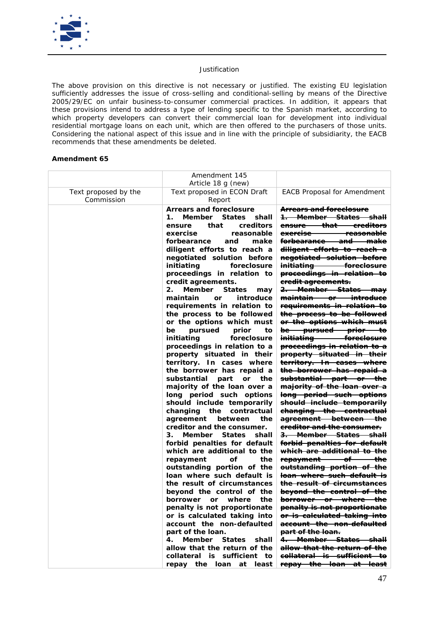

*The above provision on this directive is not necessary or justified. The existing EU legislation sufficiently addresses the issue of cross-selling and conditional-selling by means of the Directive 2005/29/EC on unfair business-to-consumer commercial practices. In addition, it appears that these provisions intend to address a type of lending specific to the Spanish market, according to*  which property developers can convert their commercial loan for development into individual *residential mortgage loans on each unit, which are then offered to the purchasers of those units. Considering the national aspect of this issue and in line with the principle of subsidiarity, the EACB recommends that these amendments be deleted.* 

|                      | Amendment 145<br>Article 18 g (new)                                                                                                                                                                                                                                                                                                                                                                                                                                                                                                                                                                                                                                                                                                                                                                                                                                                                                                                                                                                                                                                                                                                                                                                                                                                                                                                                                                                    |                                                                                                                                                                                                                                                                                                                                                                                                                                                                                                                                                                                                                                                                                                                                                                                                                                                                                                                                                                                                                                                                                                                                                                                                                                                                                                                                                                   |
|----------------------|------------------------------------------------------------------------------------------------------------------------------------------------------------------------------------------------------------------------------------------------------------------------------------------------------------------------------------------------------------------------------------------------------------------------------------------------------------------------------------------------------------------------------------------------------------------------------------------------------------------------------------------------------------------------------------------------------------------------------------------------------------------------------------------------------------------------------------------------------------------------------------------------------------------------------------------------------------------------------------------------------------------------------------------------------------------------------------------------------------------------------------------------------------------------------------------------------------------------------------------------------------------------------------------------------------------------------------------------------------------------------------------------------------------------|-------------------------------------------------------------------------------------------------------------------------------------------------------------------------------------------------------------------------------------------------------------------------------------------------------------------------------------------------------------------------------------------------------------------------------------------------------------------------------------------------------------------------------------------------------------------------------------------------------------------------------------------------------------------------------------------------------------------------------------------------------------------------------------------------------------------------------------------------------------------------------------------------------------------------------------------------------------------------------------------------------------------------------------------------------------------------------------------------------------------------------------------------------------------------------------------------------------------------------------------------------------------------------------------------------------------------------------------------------------------|
| Text proposed by the | Text proposed in ECON Draft                                                                                                                                                                                                                                                                                                                                                                                                                                                                                                                                                                                                                                                                                                                                                                                                                                                                                                                                                                                                                                                                                                                                                                                                                                                                                                                                                                                            | <b>EACB Proposal for Amendment</b>                                                                                                                                                                                                                                                                                                                                                                                                                                                                                                                                                                                                                                                                                                                                                                                                                                                                                                                                                                                                                                                                                                                                                                                                                                                                                                                                |
| Commission           | Report<br><b>Arrears and foreclosure</b><br>Member States shall<br>$\mathbf{1}$<br>creditors<br>ensure<br>that<br>exercise<br>reasonable<br>forbearance<br>and<br>make<br>diligent efforts to reach a<br>negotiated solution before<br>initiating<br>foreclosure<br>proceedings in relation to<br>credit agreements.<br>Member<br>2.<br>States<br>may<br>maintain<br>introduce<br><b>or</b><br>requirements in relation to<br>the process to be followed<br>or the options which must<br>pursued<br>prior<br>be<br>to<br>initiating<br>foreclosure<br>proceedings in relation to a<br>property situated in their<br>territory. In cases where<br>the borrower has repaid a<br>substantial part<br>or the<br>majority of the loan over a<br>long period such options<br>should include temporarily<br>changing the<br>contractual<br>the<br>agreement<br>between<br>creditor and the consumer.<br>3.<br>Member States<br>shall<br>forbid penalties for default<br>which are additional to the<br>repayment<br>οf<br>the<br>outstanding portion of the<br>loan where such default is<br>the result of circumstances<br>beyond the control of the<br>borrower or where the<br>penalty is not proportionate<br>or is calculated taking into<br>account the non-defaulted<br>part of the loan.<br>Member States<br>shall<br>4.<br>allow that the return of the<br>collateral is sufficient to<br>repay the loan<br>at least | <b>Arrears and foreclosure</b><br>1. Member States shall<br><del>ensure that creditors</del><br>exercise reasonable<br><del>forbearance and make</del><br>diligent efforts to reach a<br>negotiated solution before<br>initiating foreclosure<br>proceedings in relation to<br>eredit agreements.<br>2. Member States may<br>maintain or introduce<br>requirements in relation to<br>the process to be followed<br>or the options which must<br>be pursued prior to<br>initiating foreelosure<br>proceedings in relation to a<br>property situated in their<br>territory. In cases where<br>the borrower has repaid a<br>substantial part or the<br>majority of the loan over a<br>long period such options<br>should include temporarily<br>changing the contractual<br>agreement between the<br>ereditor and the consumer.<br>3. Member States shall<br>forbid penalties for default<br><del>which are additional to the</del><br>repayment of the<br>outstanding portion of the<br>loan where such default is<br>the result of circumstances<br>beyond the control of the<br>borrower or where the<br>penalty is not proportionate<br>or is calculated taking into<br>account the non-defaulted<br><del>part of the loan.</del><br>4. Member States shall<br>allow that the return of the<br><del>collateral is sufficient to</del><br>repay the loan at least |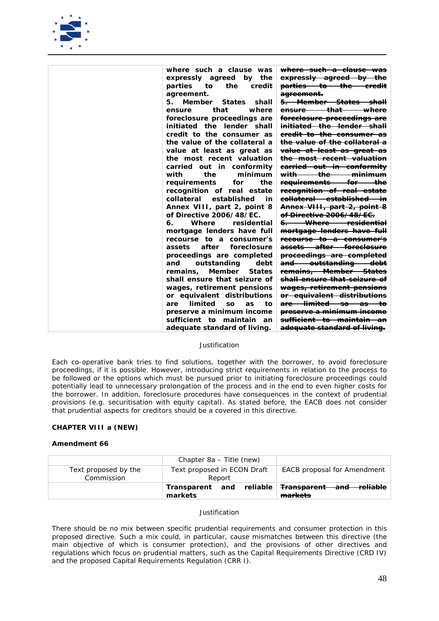

| <del>where such a clause was</del>         | where such a clause was             |
|--------------------------------------------|-------------------------------------|
| expressly agreed by the                    | expressly agreed by<br>the          |
| <del>parties to the credit</del>           | parties<br>to<br>the<br>credit      |
| <del>agreement.</del>                      | agreement.                          |
| <del>5. Member States shall</del>          | Member States<br>5.<br>shall        |
| <del>ensure that</del><br><del>where</del> | that<br>where<br>ensure             |
| <del>foreclosure proceedings are</del>     | foreclosure proceedings are         |
| <del>initiated the lender shall</del>      | initiated the lender shall          |
| eredit to the consumer as                  | credit to the consumer as           |
| <del>the value of the collateral a</del>   | the value of the collateral a       |
| value at least as great as                 | value at least as great as          |
| <del>the most recent valuation</del>       | the most recent valuation           |
| earried out in conformity                  | carried out in conformity           |
| <del>with the minimum</del>                | the<br>minimum<br>with              |
| <del>requirements for the</del>            | the<br>requirements<br>for          |
| recognition of real estate                 | recognition of real estate          |
| eollateral established in                  | collateral<br>established<br>in     |
| Annex VIII, part 2, point 8                | Annex VIII, part 2, point 8         |
| <del>of Directive 2006/48/EC.</del>        | of Directive 2006/48/EC.            |
| <del>6. Where residential</del>            | Where<br>residential<br>6.          |
| mortgage lenders have full                 | mortgage lenders have full          |
| <del>recourse to a consumer's</del>        | recourse to a consumer's            |
| <del>assets after foreclosure</del>        | after<br>foreclosure<br>assets      |
| proceedings are completed                  | proceedings are completed           |
| and outstanding debt                       | outstanding<br>and<br>debt          |
| <del>remains, Member States</del>          | Member<br><b>States</b><br>remains, |
| shall ensure that seizure of               | shall ensure that seizure of        |
| wages, retirement pensions                 | wages, retirement pensions          |
| <del>or equivalent distributions</del>     | or equivalent distributions         |
| <del>are limited so as </del><br>—tθ       | limited<br>to<br>are<br>SO.<br>as   |
| <del>preserve a minimum income</del>       | preserve a minimum income           |
| <del>sufficient to maintain an</del>       | sufficient to maintain<br>an        |
| <del>adequate standard of living.</del>    | adequate standard of living.        |

*Each co-operative bank tries to find solutions, together with the borrower, to avoid foreclosure proceedings, if it is possible. However, introducing strict requirements in relation to the process to be followed or the options which must be pursued prior to initiating foreclosure proceedings could potentially lead to unnecessary prolongation of the process and in the end to even higher costs for the borrower. In addition, foreclosure procedures have consequences in the context of prudential provisions (e.g. securitisation with equity capital). As stated before, the EACB does not consider that prudential aspects for creditors should be a covered in this directive.*

### **CHAPTER VIII a (NEW)**

### **Amendment 66**

|                                    | Chapter 8a – Title (new)              |                                                                         |
|------------------------------------|---------------------------------------|-------------------------------------------------------------------------|
| Text proposed by the<br>Commission | Text proposed in ECON Draft<br>Report | <b>EACB</b> proposal for Amendment                                      |
|                                    | markets                               | Transparent and reliable <del>Transparent and reliable</del><br>markets |

# *Justification*

*There should be no mix between specific prudential requirements and consumer protection in this proposed directive. Such a mix could, in particular, cause mismatches between this directive (the main objective of which is consumer protection), and the provisions of other directives and regulations which focus on prudential matters, such as the Capital Requirements Directive (CRD IV) and the proposed Capital Requirements Regulation (CRR I).*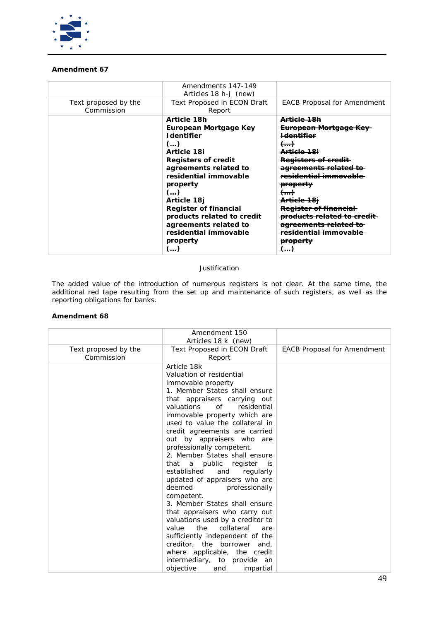

# **Amendment 67**

|                                    | Amendments 147-149<br>Articles 18 h-j (new)                                                                                                                                                                                                                                                                                        |                                                                                                                                                                                                                                                                                                                                                                                                    |
|------------------------------------|------------------------------------------------------------------------------------------------------------------------------------------------------------------------------------------------------------------------------------------------------------------------------------------------------------------------------------|----------------------------------------------------------------------------------------------------------------------------------------------------------------------------------------------------------------------------------------------------------------------------------------------------------------------------------------------------------------------------------------------------|
| Text proposed by the<br>Commission | <b>Text Proposed in ECON Draft</b><br>Report                                                                                                                                                                                                                                                                                       | <b>EACB Proposal for Amendment</b>                                                                                                                                                                                                                                                                                                                                                                 |
|                                    | Article 18h<br>European Mortgage Key<br><b>I</b> dentifier<br>$($ )<br>Article 18i<br><b>Registers of credit</b><br>agreements related to<br>residential immovable<br>property<br>$($ )<br>Article 18j<br><b>Register of financial</b><br>products related to credit<br>agreements related to<br>residential immovable<br>property | <del>Article 18h</del><br><del>European Mortgage Key</del><br><del>Identifier</del><br><del>()</del><br><del>\rticle 18i</del><br>Registers of credit<br><del>idential immova</del><br><del>property</del><br><del>Article 18i</del><br><del>Register of financial</del><br><del>products related to credit</del><br><del>agreements rela</del><br><del>dential immov</del><br><del>property</del> |

# *Justification*

*The added value of the introduction of numerous registers is not clear. At the same time, the additional red tape resulting from the set up and maintenance of such registers, as well as the reporting obligations for banks.*

|                                    | Amendment 150<br>Articles 18 k (new)                                                                                                                                                                                                                                                                                                                                                                                                                                                                                                                                                                                                                                                                                                                                                                                              |                                    |
|------------------------------------|-----------------------------------------------------------------------------------------------------------------------------------------------------------------------------------------------------------------------------------------------------------------------------------------------------------------------------------------------------------------------------------------------------------------------------------------------------------------------------------------------------------------------------------------------------------------------------------------------------------------------------------------------------------------------------------------------------------------------------------------------------------------------------------------------------------------------------------|------------------------------------|
| Text proposed by the<br>Commission | Text Proposed in ECON Draft<br>Report                                                                                                                                                                                                                                                                                                                                                                                                                                                                                                                                                                                                                                                                                                                                                                                             | <b>EACB Proposal for Amendment</b> |
|                                    | Article 18k<br>Valuation of residential<br>immovable property<br>1. Member States shall ensure<br>that appraisers carrying out<br>valuations<br>0f<br>residential<br>immovable property which are<br>used to value the collateral in<br>credit agreements are carried<br>out by appraisers who are<br>professionally competent.<br>2. Member States shall ensure<br>that a public register<br>is is<br>established<br>and<br>regularly<br>updated of appraisers who are<br>deemed<br>professionally<br>competent.<br>3. Member States shall ensure<br>that appraisers who carry out<br>valuations used by a creditor to<br>the<br>value<br>collateral<br>are<br>sufficiently independent of the<br>creditor, the borrower<br>and,<br>where applicable, the credit<br>intermediary, to provide an<br>objective<br>impartial<br>and |                                    |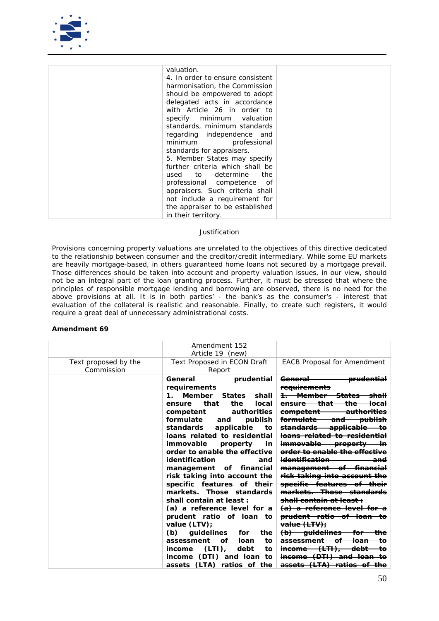

| valuation.                       |  |
|----------------------------------|--|
| 4. In order to ensure consistent |  |
| harmonisation, the Commission    |  |
| should be empowered to adopt     |  |
| delegated acts in accordance     |  |
| with Article 26 in order to      |  |
| specify minimum valuation        |  |
| standards, minimum standards     |  |
| regarding independence and       |  |
| minimum<br>professional          |  |
| standards for appraisers.        |  |
| 5. Member States may specify     |  |
| further criteria which shall be  |  |
| used to determine the            |  |
| professional competence of       |  |
| appraisers. Such criteria shall  |  |
| not include a requirement for    |  |
| the appraiser to be established  |  |
| in their territory.              |  |

*Provisions concerning property valuations are unrelated to the objectives of this directive dedicated to the relationship between consumer and the creditor/credit intermediary. While some EU markets are heavily mortgage-based, in others guaranteed home loans not secured by a mortgage prevail. Those differences should be taken into account and property valuation issues, in our view, should not be an integral part of the loan granting process. Further, it must be stressed that where the principles of responsible mortgage lending and borrowing are observed, there is no need for the above provisions at all. It is in both parties' - the bank's as the consumer's - interest that evaluation of the collateral is realistic and reasonable. Finally, to create such registers, it would require a great deal of unnecessary administrational costs.* 

|                                    | Amendment 152<br>Article 19 (new)                                                                                                                                                                                                                                                                                                                                                                                                                                                                                                                                                                                                                                                                                                                     |                                                                                                                                                                                                                                                                                                                                                                                                                                                                                                                                                                                                                                                                                                                                                                                                                                                                                                                |
|------------------------------------|-------------------------------------------------------------------------------------------------------------------------------------------------------------------------------------------------------------------------------------------------------------------------------------------------------------------------------------------------------------------------------------------------------------------------------------------------------------------------------------------------------------------------------------------------------------------------------------------------------------------------------------------------------------------------------------------------------------------------------------------------------|----------------------------------------------------------------------------------------------------------------------------------------------------------------------------------------------------------------------------------------------------------------------------------------------------------------------------------------------------------------------------------------------------------------------------------------------------------------------------------------------------------------------------------------------------------------------------------------------------------------------------------------------------------------------------------------------------------------------------------------------------------------------------------------------------------------------------------------------------------------------------------------------------------------|
| Text proposed by the<br>Commission | Text Proposed in ECON Draft<br>Report                                                                                                                                                                                                                                                                                                                                                                                                                                                                                                                                                                                                                                                                                                                 | <b>EACB Proposal for Amendment</b>                                                                                                                                                                                                                                                                                                                                                                                                                                                                                                                                                                                                                                                                                                                                                                                                                                                                             |
|                                    | General<br>prudential<br>requirements<br>Member<br>$\mathbf{1}$<br><b>States</b><br>shall<br>that<br>the<br>local<br>ensure<br>authorities<br>competent<br>formulate<br>publish<br>and<br>standards<br>applicable<br>to<br>loans related to residential<br>immovable<br>property<br>in<br>order to enable the effective<br>identification<br>and<br>management of financial<br>risk taking into account the<br>specific features of their<br>markets. Those standards<br>shall contain at least:<br>(a) a reference level for a<br>prudent ratio of loan to<br>value $(LTV)$ :<br>guidelines<br>(b)<br>for<br>the<br>to<br>assessment<br>Ωf<br>loan<br>debt<br>$(LTI)$ ,<br>income<br>to<br>(DTI) and loan to<br>income<br>assets (LTA) ratios of the | <del>General</del><br><del>prudential</del><br><del>requirements</del><br><del>1. Member</del><br><del>that</del><br><del>the</del><br>ensure<br><del>authorities</del><br><del>competent</del><br><del>formulate —</del><br><del>and publish</del><br><del>standards</del><br><del>applicable</del><br><del>loans related</del><br><del>to residential</del><br>immovable property<br>order to enable the effective<br><i>identification</i><br>management of financial<br>risk taking into account the<br>specific features of their<br>markets. Those standards<br><del>shall contain at least :</del><br><del>(a) a reference level for a</del><br>prudent ratio of loan to<br><del>value (LTV);</del><br><del>(b) quidelines</del><br>-for<br><del>loan</del><br><del>assessment</del><br>$i$ neome $(LTH)$ ,<br><del>-debt</del><br>income (DTI) and loan<br>tο<br><del>(LTA)</del><br><del>assets</del> |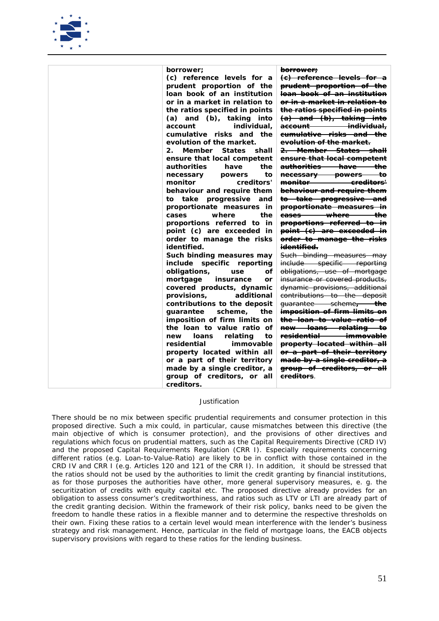

| borrower;                                   | <del>borrower;</del>                               |
|---------------------------------------------|----------------------------------------------------|
| (c) reference levels for a                  | (e) reference levels for a                         |
| prudent proportion of the                   | prudent proportion of the                          |
| loan book of an institution                 | loan book of an institution                        |
| or in a market in relation to               | <del>or in a market in relation to</del>           |
| the ratios specified in points              | the ratios specified in points                     |
| $(a)$ and $(b)$ , taking into               | (a) and (b), taking into                           |
| individual.<br>account                      | <del>individual.</del><br><del>account-</del>      |
| cumulative risks and the                    | eumulative risks and the                           |
| evolution of the market.                    | evolution of the market.                           |
| Member<br>$2_{-}$<br><b>States</b><br>shall | <del>2. Member States shall</del>                  |
| ensure that local competent                 | ensure that local competent                        |
| <i>authorities</i><br>have<br>the           | authorities have the                               |
| necessary<br>powers<br>to                   | necessary powers<br><del>to</del>                  |
| monitor<br>creditors'                       | <del>monitor —</del><br><del>ereditors'</del> —    |
| behaviour and require them                  | behaviour and require them                         |
| to take progressive<br>and                  | to take progressive and                            |
| proportionate measures in                   | proportionate measures in                          |
| the<br>where<br>cases                       | <del>-the</del><br><del>cases where</del>          |
| proportions referred to in                  | proportions referred to in                         |
| point (c) are exceeded in                   | point (e) are exceeded in                          |
| order to manage the risks                   | order to manage the risks                          |
| identified.                                 | <del>identified.</del>                             |
|                                             |                                                    |
| Such binding measures may                   | Such binding measures may                          |
| include specific reporting                  | include specific reporting                         |
| obligations,<br>οf<br>use                   | obligations, use of mortgage                       |
| mortgage<br>insurance<br>or                 | insurance or covered products,                     |
| covered products, dynamic                   | dynamic provisions, additional                     |
| additional<br>provisions,                   | contributions to the deposit                       |
| contributions to the deposit                | guarantee scheme, the                              |
| guarantee<br>scheme,<br>the                 | imposition of firm limits on                       |
| imposition of firm limits on                | the loan to value ratio of                         |
| the loan to value ratio of                  | new loans relating to                              |
| relating<br>new<br>loans<br>to              | <del>residential —</del><br><del>– immovable</del> |
| residential<br>immovable                    | property located within all                        |
| property located within all                 | or a part of their territory                       |
| or a part of their territory                | made by a single creditor, a                       |
| made by a single creditor, a                | group of creditors, or all                         |
| group of creditors, or all                  | <del>creditors</del> .                             |
| creditors.                                  |                                                    |

*There should be no mix between specific prudential requirements and consumer protection in this proposed directive. Such a mix could, in particular, cause mismatches between this directive (the main objective of which is consumer protection), and the provisions of other directives and regulations which focus on prudential matters, such as the Capital Requirements Directive (CRD IV) and the proposed Capital Requirements Regulation (CRR I). Especially requirements concerning different ratios (e.g. Loan-to-Value-Ratio) are likely to be in conflict with those contained in the CRD IV and CRR I (e.g. Articles 120 and 121 of the CRR I). In addition, it should be stressed that the ratios should not be used by the authorities to limit the credit granting by financial institutions, as for those purposes the authorities have other, more general supervisory measures, e. g. the securitization of credits with equity capital etc. The proposed directive already provides for an obligation to assess consumer's creditworthiness, and ratios such as LTV or LTI are already part of the credit granting decision. Within the framework of their risk policy, banks need to be given the freedom to handle these ratios in a flexible manner and to determine the respective thresholds on their own. Fixing these ratios to a certain level would mean interference with the lender's business strategy and risk management. Hence, particular in the field of mortgage loans, the EACB objects supervisory provisions with regard to these ratios for the lending business.*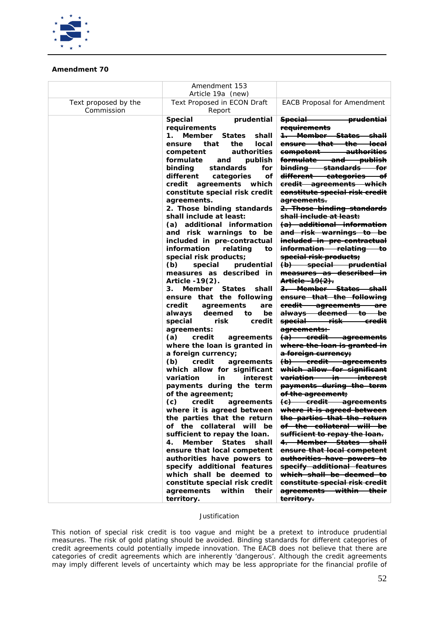

# **Amendment 70**

|                                    | Amendment 153                                                                                                                                                                                                                                                                                                                                                                                                                                                                                                                                                                                                                                                                                                                                                                                                                                                                                                                                                                                                                                                                                                                                                                                                                                                                    |                                                                                                                                                                                                                                                                                                                                                                                                                                                                                                                                                                                                                                                                                                                                                                                                                                                                                                                                                                                                                                                                                                                                                                                                                         |
|------------------------------------|----------------------------------------------------------------------------------------------------------------------------------------------------------------------------------------------------------------------------------------------------------------------------------------------------------------------------------------------------------------------------------------------------------------------------------------------------------------------------------------------------------------------------------------------------------------------------------------------------------------------------------------------------------------------------------------------------------------------------------------------------------------------------------------------------------------------------------------------------------------------------------------------------------------------------------------------------------------------------------------------------------------------------------------------------------------------------------------------------------------------------------------------------------------------------------------------------------------------------------------------------------------------------------|-------------------------------------------------------------------------------------------------------------------------------------------------------------------------------------------------------------------------------------------------------------------------------------------------------------------------------------------------------------------------------------------------------------------------------------------------------------------------------------------------------------------------------------------------------------------------------------------------------------------------------------------------------------------------------------------------------------------------------------------------------------------------------------------------------------------------------------------------------------------------------------------------------------------------------------------------------------------------------------------------------------------------------------------------------------------------------------------------------------------------------------------------------------------------------------------------------------------------|
| Text proposed by the<br>Commission | Text Proposed in ECON Draft<br>Report                                                                                                                                                                                                                                                                                                                                                                                                                                                                                                                                                                                                                                                                                                                                                                                                                                                                                                                                                                                                                                                                                                                                                                                                                                            | <b>EACB Proposal for Amendment</b>                                                                                                                                                                                                                                                                                                                                                                                                                                                                                                                                                                                                                                                                                                                                                                                                                                                                                                                                                                                                                                                                                                                                                                                      |
|                                    | Article 19a (new)<br><b>Special</b><br>prudential<br>requirements<br>1. Member<br>shall<br>States<br>that<br>the<br>ensure<br>local<br>authorities<br>competent<br>formulate<br>and publish<br>binding standards<br>for<br>different categories<br>of<br>credit agreements which<br>constitute special risk credit<br>agreements.<br>2. Those binding standards<br>shall include at least:<br>(a) additional information<br>and risk warnings to be<br>included in pre-contractual<br>information<br>relating<br>to<br>special risk products;<br>(b) special prudential<br>measures as described in<br>Article $-19(2)$ .<br>3. Member States shall<br>ensure that the following<br>credit agreements<br>are<br>always deemed<br>to<br>be<br>special<br>risk<br>credit<br>agreements:<br>(a)<br>credit<br>agreements<br>where the loan is granted in<br>a foreign currency;<br>(b)<br>credit<br>agreements<br>which allow for significant<br>interest<br>variation<br>in<br>payments during the term<br>of the agreement;<br>(c)<br>credit<br>agreements<br>where it is agreed between<br>the parties that the return<br>of the collateral will be<br>sufficient to repay the loan.<br>4.<br>Member States<br>shall<br>ensure that local competent<br>authorities have powers to | <del>Special Special</del><br><del>prudential</del><br>requirements<br>1. Member States shall<br>ensure that the local<br>competent authorities<br>formulate and publish<br>binding standards for<br>different categories of<br>eredit agreements which<br>constitute special risk credit<br><del>agreements.</del><br>2. Those binding standards<br>shall include at least:<br>(a) additional information<br>and risk warnings to be<br>ineluded in pre-contractual<br>information relating to<br>special risk products;<br>(b) special prudential<br>measures as described in<br>Article -19(2).<br>3. Member States shall<br>ensure that the following<br>credit agreements are<br>always deemed to be<br>special risk credit<br>agreements:<br>(a) credit agreements<br>where the loan is granted in<br>a foreign currency;<br>(b) eredit agreements<br>which allow for significant<br>variation in interest<br>payments during the term<br>of the agreement;<br>(e) eredit agreements<br>where it is agreed between<br>the parties that the return<br>of the collateral will be<br><del>sufficient to repay the loan.</del><br>4. Member States shall<br>ensure that local competent<br>authorities have powers to |
|                                    | specify additional features<br>which shall be deemed to<br>constitute special risk credit<br>agreements<br>within<br>their                                                                                                                                                                                                                                                                                                                                                                                                                                                                                                                                                                                                                                                                                                                                                                                                                                                                                                                                                                                                                                                                                                                                                       | specify additional features<br>which shall be deemed to<br>eonstitute special risk credit<br>agreements within their                                                                                                                                                                                                                                                                                                                                                                                                                                                                                                                                                                                                                                                                                                                                                                                                                                                                                                                                                                                                                                                                                                    |
|                                    | territory.                                                                                                                                                                                                                                                                                                                                                                                                                                                                                                                                                                                                                                                                                                                                                                                                                                                                                                                                                                                                                                                                                                                                                                                                                                                                       | territory.                                                                                                                                                                                                                                                                                                                                                                                                                                                                                                                                                                                                                                                                                                                                                                                                                                                                                                                                                                                                                                                                                                                                                                                                              |

# *Justification*

*This notion of special risk credit is too vague and might be a pretext to introduce prudential measures. The risk of gold plating should be avoided. Binding standards for different categories of credit agreements could potentially impede innovation. The EACB does not believe that there are categories of credit agreements which are inherently 'dangerous'. Although the credit agreements*  may imply different levels of uncertainty which may be less appropriate for the financial profile of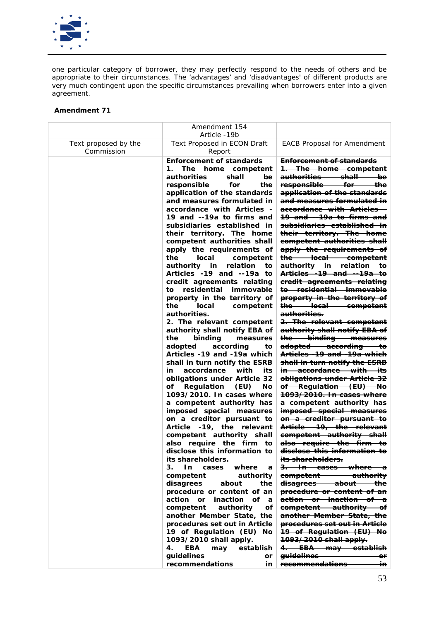

*one particular category of borrower, they may perfectly respond to the needs of others and be appropriate to their circumstances. The 'advantages' and 'disadvantages' of different products are very much contingent upon the specific circumstances prevailing when borrowers enter into a given agreement.* 

|                                    | Amendment 154<br>Article -19b                                                                                               |                                                                                                                                                                 |
|------------------------------------|-----------------------------------------------------------------------------------------------------------------------------|-----------------------------------------------------------------------------------------------------------------------------------------------------------------|
| Text proposed by the<br>Commission | <b>Text Proposed in ECON Draft</b><br>Report                                                                                | <b>EACB Proposal for Amendment</b>                                                                                                                              |
|                                    | <b>Enforcement of standards</b><br>1.<br>The home competent<br>shall<br>authorities<br>be<br>responsible<br>for<br>the      | <b>Enforcement of standards</b><br>1. The home competent<br><del>authorities shall</del><br><del>b</del> e<br>responsible<br><del>for -</del><br><del>the</del> |
|                                    | application of the standards<br>and measures formulated in<br>accordance with Articles -                                    | application of the standards<br>and measures formulated in<br>accordance with Articles -                                                                        |
|                                    | 19 and --19a to firms and<br>subsidiaries established in<br>their territory. The home<br>competent authorities shall        | 19 and --19a to firms and<br><del>subsidiaries established in</del><br>their territory. The home<br>competent authorities shall                                 |
|                                    | apply the requirements of<br>the<br>local<br>competent<br>relation<br>authority in<br>to                                    | apply the requirements of<br>the local competent<br>authority in relation to                                                                                    |
|                                    | Articles -19 and --19a to<br>credit agreements relating<br>residential<br>immovable<br>to                                   | Articles -19 and --19a to<br>eredit agreements relating<br><del>to residential immovable</del>                                                                  |
|                                    | property in the territory of<br>the<br>local<br>competent<br>authorities.                                                   | property in the territory of<br>the local competent<br><del>authorities.</del>                                                                                  |
|                                    | 2. The relevant competent<br>authority shall notify EBA of<br>the<br>binding<br>measures                                    | 2. The relevant competent<br>authority shall notify EBA of<br>the binding measures                                                                              |
|                                    | adopted<br>according<br>to<br>Articles -19 and -19a which<br>shall in turn notify the ESRB                                  | adopted according to<br>Articles -19 and -19a which<br>shall in turn notify the ESRB                                                                            |
|                                    | accordance<br>in<br>with<br>its<br>obligations under Article 32<br>of Regulation<br>Νo<br>(EU)<br>1093/2010. In cases where | <del>in accordance with its</del><br>obligations under Article 32<br><del>of Regulation (EU) No</del><br><del>1093/2010. In cases where</del>                   |
|                                    | a competent authority has<br>imposed special measures<br>on a creditor pursuant to                                          | a competent authority has<br>imposed special measures<br>on a creditor pursuant to                                                                              |
|                                    | Article -19, the relevant<br>competent authority shall<br>also require the firm to                                          | Article -19, the relevant<br>competent authority shall<br>also require the firm to                                                                              |
|                                    | disclose this information to<br>its shareholders.<br>3.                                                                     | disclose this information to<br>its shareholders.                                                                                                               |
|                                    | In<br>where<br>cases<br>a<br>authority<br>competent<br>disagrees<br>about<br>the                                            | 3. In cases where<br>eompetent authority<br>disagrees about the                                                                                                 |
|                                    | procedure or content of an<br>action or<br>inaction of a<br>competent<br>authority<br>οf                                    | procedure or content of an<br>action or inaction of<br>—a<br>competent authority of                                                                             |
|                                    | another Member State, the<br>procedures set out in Article<br>19 of Regulation (EU) No                                      | another Member State, the<br><del>procedures set out in Article</del><br><del>19 of Regulation (EU) No</del>                                                    |
|                                    | 1093/2010 shall apply.<br>EBA<br>establish<br>4.<br>may<br>guidelines<br>or                                                 | 1093/2010 shall apply.<br><del>4. EBA may establish</del><br><del>guidelines</del><br>Θr                                                                        |
|                                    | recommendations<br>in                                                                                                       | <del>recommendations</del><br>÷m                                                                                                                                |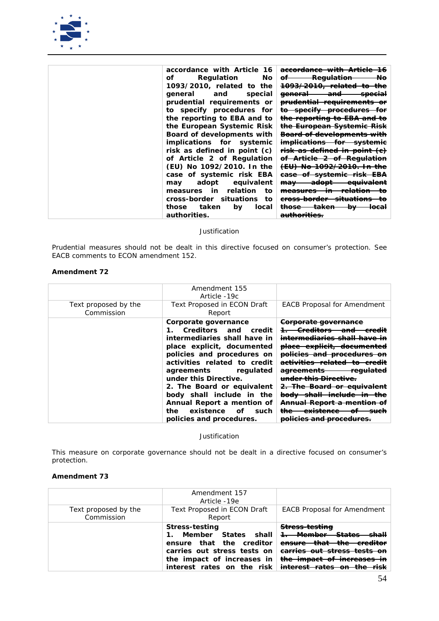

| accordance with Article<br>- 16<br>Regulation<br>of.<br>No. | accordance with Article<br>-16<br><b>Regulation</b><br>Nө<br>ΘF |
|-------------------------------------------------------------|-----------------------------------------------------------------|
|                                                             |                                                                 |
| 1093/2010, related to the                                   | <del>1093/2010, related to</del><br><del>the</del>              |
| general<br>and<br>special                                   | <del>general</del><br><del>and-</del><br><del>special</del>     |
| prudential requirements or                                  | prudential requirements                                         |
| to specify procedures for                                   | to specify procedures for                                       |
| the reporting to EBA and to                                 | the reporting to EBA and to                                     |
| the European Systemic Risk                                  | the European Systemic Risk                                      |
| <b>Board of developments with</b>                           | <del>Board of developments with</del>                           |
| <i>implications for systemic</i>                            | implications for<br><del>systemic</del>                         |
| risk as defined in point (c)                                | <del>risk as defined in point (e)</del>                         |
| of Article 2 of Regulation                                  | of Article 2 of Regulation                                      |
| (EU) No 1092/2010. In the                                   | <del>(EU) No 1092/2010. In the</del>                            |
| case of systemic risk EBA                                   | <del>of systemie risk-</del><br><del>case-</del><br>᠊ᠳ          |
| equivalent<br>adopt<br>may                                  | <del>adopt</del><br><del>equivalent</del><br>may                |
| relation<br>measures in<br>tο                               | <del>relation</del><br><del>measures</del>                      |
| cross-border situations<br>tο                               | <del>cross-border situations</del><br>tΘ                        |
| taken<br>those<br>by<br>local                               | <del>taken</del><br><del>those</del><br>łb<br><del>local</del>  |
| authorities.                                                | <del>authorities.</del>                                         |

*Prudential measures should not be dealt in this directive focused on consumer's protection. See EACB comments to ECON amendment 152.*

# **Amendment 72**

| Text proposed by the<br>Commission | Amendment 155<br>Article -19c<br><b>Text Proposed in ECON Draft</b><br>Report                                                                                                                                                                                                                                                                                                                 | <b>EACB Proposal for Amendment</b>                                                                                                                                                                                                                                                                                                                                                                                                    |
|------------------------------------|-----------------------------------------------------------------------------------------------------------------------------------------------------------------------------------------------------------------------------------------------------------------------------------------------------------------------------------------------------------------------------------------------|---------------------------------------------------------------------------------------------------------------------------------------------------------------------------------------------------------------------------------------------------------------------------------------------------------------------------------------------------------------------------------------------------------------------------------------|
|                                    | Corporate governance<br>Creditors and<br>$\mathbf{1}$<br>credit<br>intermediaries shall have in<br>place explicit, documented<br>policies and procedures on<br>activities related to credit<br>agreements regulated<br>under this Directive.<br>2. The Board or equivalent<br>body shall include in the<br>Annual Report a mention of<br>the<br>existence of such<br>policies and procedures. | <del>Corporate governance</del><br><del>intermediaries shall have</del><br><del>place explicit, documented</del><br><del>policies and procedu</del><br><del>lies related</del><br><del>agreements</del><br><del>regulated</del><br><del>this Directive</del><br><del>2. The Board or</del><br><del>cquiväi</del><br><del>bod∨</del><br>Annual Report a mention<br><del>existence</del><br>5191975<br><del>poncies and procedu</del> i |

*Justification*

This measure on corporate governance should not be dealt in a directive focused on consumer's protection.

|                                    | Amendment 157<br>Article -19e                                                                                                                                                                            |                                                                                                                                                         |
|------------------------------------|----------------------------------------------------------------------------------------------------------------------------------------------------------------------------------------------------------|---------------------------------------------------------------------------------------------------------------------------------------------------------|
| Text proposed by the<br>Commission | <b>Text Proposed in ECON Draft</b><br>Report                                                                                                                                                             | <b>EACB Proposal for Amendment</b>                                                                                                                      |
|                                    | <b>Stress-testing</b><br>Member States shall <del>1. Member States</del><br>ensure that the creditor<br>carries out stress tests on <del>earries out stress tests on</del><br>the impact of increases in | Stress-testing<br><del>ensure that the creditor</del><br><del>the impact of increases in</del><br>interest rates on the risk interest rates on the risk |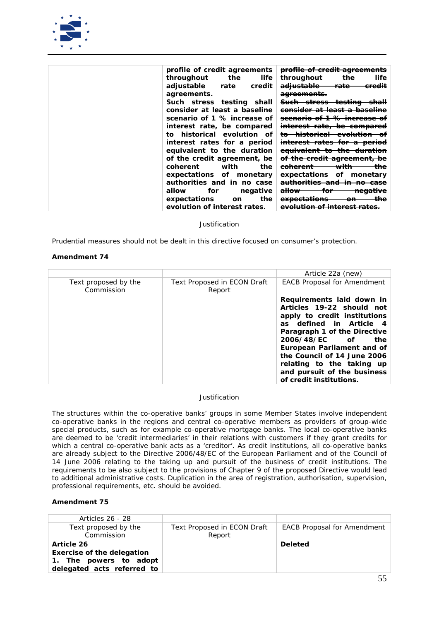

| profile of credit agreements     | profile of credit agreements                                                                             |
|----------------------------------|----------------------------------------------------------------------------------------------------------|
| throughout<br>the<br>life        | <del>life</del><br><del>throughout</del><br>ராச                                                          |
| adjustable rate<br>credit        | ملطمعسنامم<br>rato<br>e <del>redit</del><br><del>aunustapic</del><br>ranc                                |
| agreements.                      | <del>agreements.</del>                                                                                   |
| Such stress testing shall        | ctrocc<br><u>taatina</u><br><del>Such -</del><br>للمطم<br><del>icsima</del><br><del>311633</del><br>эпап |
| consider at least a baseline     | <del>eonsider at least a baseline</del>                                                                  |
| scenario of 1 % increase of      | <del>scenario of 1 % increase</del>                                                                      |
| interest rate, be compared       | <del>interest rate, be compared</del>                                                                    |
| to historical evolution of       | <del>historical evolution</del>                                                                          |
| interest rates for a period      | <del>mterest rates for a period</del>                                                                    |
| equivalent to the duration       | <del>equivalent to the duration</del>                                                                    |
| of the credit agreement, be      | <del>of the credit agreement,</del><br>Ðе                                                                |
| with<br>coherent<br>the          | <del>with</del><br><del>coherent</del>                                                                   |
| expectations of monetary         | <del>expectations</del><br><del>monetary</del><br>ㅠ                                                      |
| authorities and in no case       | <del>authorities and in-</del><br>no-<br><del>-case</del>                                                |
| allow<br>for<br>negative         | <del>allow-</del><br>for<br><del>negative</del>                                                          |
| the<br>expectations<br><b>on</b> | avnaatatiana<br><del>expeciations</del><br>ள                                                             |
| evolution of interest rates.     | <del>evolution of interest rates.</del>                                                                  |

*Prudential measures should not be dealt in this directive focused on consumer's protection.*

## **Amendment 74**

|                                    |                                              | Article 22a (new)                                                                                                                                                                                                                                                                                                             |
|------------------------------------|----------------------------------------------|-------------------------------------------------------------------------------------------------------------------------------------------------------------------------------------------------------------------------------------------------------------------------------------------------------------------------------|
| Text proposed by the<br>Commission | <b>Text Proposed in ECON Draft</b><br>Report | <b>EACB Proposal for Amendment</b>                                                                                                                                                                                                                                                                                            |
|                                    |                                              | Requirements laid down in<br>Articles 19-22 should not<br>apply to credit institutions<br>as defined in Article 4<br>Paragraph 1 of the Directive<br>2006/48/EC of<br>the<br>European Parliament and of<br>the Council of 14 June 2006<br>relating to the taking up<br>and pursuit of the business<br>of credit institutions. |

#### *Justification*

*The structures within the co-operative banks' groups in some Member States involve independent co-operative banks in the regions and central co-operative members as providers of group-wide special products, such as for example co-operative mortgage banks. The local co-operative banks are deemed to be 'credit intermediaries' in their relations with customers if they grant credits for which a central co-operative bank acts as a 'creditor'. As credit institutions, all co-operative banks are already subject to the Directive 2006/48/EC of the European Parliament and of the Council of 14 June 2006 relating to the taking up and pursuit of the business of credit institutions. The requirements to be also subject to the provisions of Chapter 9 of the proposed Directive would lead to additional administrative costs. Duplication in the area of registration, authorisation, supervision, professional requirements, etc. should be avoided.*

| Articles 26 - 28                   |                                              |                                    |
|------------------------------------|----------------------------------------------|------------------------------------|
| Text proposed by the<br>Commission | <b>Text Proposed in ECON Draft</b><br>Report | <b>EACB Proposal for Amendment</b> |
|                                    |                                              |                                    |
| <b>Article 26</b>                  |                                              | <b>Deleted</b>                     |
| <b>Exercise of the delegation</b>  |                                              |                                    |
| 1. The powers to adopt             |                                              |                                    |
| delegated acts referred to         |                                              |                                    |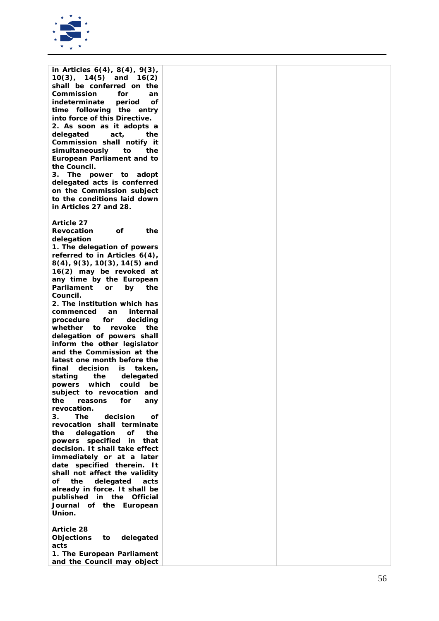

| in Articles $6(4)$ , $8(4)$ , $9(3)$ ,<br>$10(3)$ ,<br>$14(5)$ and<br>16(2) |  |
|-----------------------------------------------------------------------------|--|
| shall be conferred on the                                                   |  |
| Commission<br>for<br>an                                                     |  |
| indeterminate<br>period<br>οf                                               |  |
| time following the<br>entry                                                 |  |
| into force of this Directive.                                               |  |
| 2. As soon as it adopts a                                                   |  |
| delegated<br>act,<br>the                                                    |  |
| Commission shall notify it                                                  |  |
| simultaneously<br>to<br>the                                                 |  |
| <b>European Parliament and to</b>                                           |  |
| the Council.                                                                |  |
| 3.<br>The power to adopt                                                    |  |
| delegated acts is conferred                                                 |  |
| on the Commission subject<br>to the conditions laid down                    |  |
| in Articles 27 and 28.                                                      |  |
|                                                                             |  |
| <b>Article 27</b>                                                           |  |
| the<br>Revocation<br>οf                                                     |  |
| delegation                                                                  |  |
| 1. The delegation of powers                                                 |  |
| referred to in Articles $6(4)$ ,                                            |  |
| $8(4)$ , $9(3)$ , $10(3)$ , $14(5)$ and                                     |  |
| 16(2) may be revoked at                                                     |  |
| any time by the European                                                    |  |
| Parliament<br>by<br>the<br>or                                               |  |
| Council.<br>2. The institution which has                                    |  |
| commenced<br>internal<br>an                                                 |  |
| procedure<br>for<br>deciding                                                |  |
| whether<br>to<br>revoke<br>the                                              |  |
| delegation of powers shall                                                  |  |
| inform the other legislator                                                 |  |
| and the Commission at the                                                   |  |
| latest one month before the                                                 |  |
| decision<br>final<br>is<br>taken,                                           |  |
| stating<br>the<br>delegated                                                 |  |
| which<br>could<br>powers<br>be                                              |  |
| subject to revocation and<br>for<br>the<br>any                              |  |
| reasons<br>revocation.                                                      |  |
| 3.<br>The<br>decision<br>οf                                                 |  |
| revocation shall terminate                                                  |  |
| the<br>delegation<br>οf<br>the                                              |  |
| powers specified in<br>that                                                 |  |
| decision. It shall take effect                                              |  |
| immediately or at a later                                                   |  |
| date specified therein. It                                                  |  |
| shall not affect the validity<br>оf<br>the<br>acts                          |  |
| delegated<br>already in force. It shall be                                  |  |
| published in the Official                                                   |  |
| Journal of the European                                                     |  |
| Union.                                                                      |  |
|                                                                             |  |
| <b>Article 28</b>                                                           |  |
| delegated<br><b>Objections</b><br>to                                        |  |
| acts                                                                        |  |
| 1. The European Parliament                                                  |  |
| and the Council may object                                                  |  |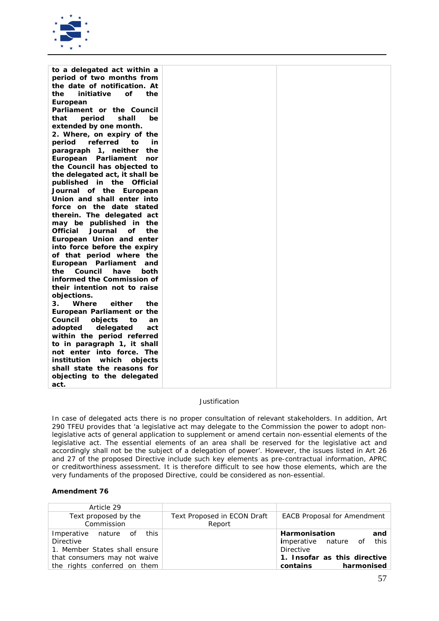

| to a delegated act within a             |  |
|-----------------------------------------|--|
| period of two months from               |  |
| the date of notification. At            |  |
| initiative<br>οf<br>the<br>the          |  |
| European                                |  |
| Parliament or the Council               |  |
| period<br>shall<br>be<br>that           |  |
| extended by one month.                  |  |
| 2. Where, on expiry of the              |  |
| referred<br>period<br>to<br>in          |  |
| 1, neither<br>the<br>paragraph          |  |
| Parliament<br>European<br>nor           |  |
| the Council has objected to             |  |
| the delegated act, it shall be          |  |
| published in the Official               |  |
| Journal of the European                 |  |
| Union and shall enter into              |  |
| force on the date stated                |  |
| therein. The delegated act              |  |
| may be published in the                 |  |
| <b>Official</b><br>Journal<br>οf<br>the |  |
| European Union and enter                |  |
| into force before the expiry            |  |
| of that period where the                |  |
| European Parliament<br>and              |  |
| Council<br>the<br>have<br>both          |  |
| informed the Commission of              |  |
| their intention not to raise            |  |
| objections.                             |  |
| either<br>Where<br>the<br>З.            |  |
| European Parliament or the              |  |
| Council<br>objects<br>to<br>an          |  |
| delegated<br>adopted<br>act             |  |
| within the period referred              |  |
| to in paragraph 1, it shall             |  |
| not enter into force. The               |  |
| which<br>institution<br>objects         |  |
| shall state the reasons for             |  |
| objecting to the delegated              |  |
| act.                                    |  |

*In case of delegated acts there is no proper consultation of relevant stakeholders. In addition, Art 290 TFEU provides that 'a legislative act may delegate to the Commission the power to adopt nonlegislative acts of general application to supplement or amend certain non-essential elements of the*  legislative act. The essential elements of an area shall be reserved for the legislative act and *accordingly shall not be the subject of a delegation of power'. However, the issues listed in Art 26 and 27 of the proposed Directive include such key elements as pre-contractual information, APRC or creditworthiness assessment. It is therefore difficult to see how those elements, which are the very fundaments of the proposed Directive, could be considered as non-essential.*

| Article 29                                                                     |                                              |                                                                                      |
|--------------------------------------------------------------------------------|----------------------------------------------|--------------------------------------------------------------------------------------|
| Text proposed by the<br>Commission                                             | <b>Text Proposed in ECON Draft</b><br>Report | <b>EACB Proposal for Amendment</b>                                                   |
| Imperative nature of this<br><b>Directive</b><br>1. Member States shall ensure |                                              | <b>Harmonisation</b><br>and<br><i>i</i> mperative nature of this<br><b>Directive</b> |
| that consumers may not waive<br>the rights conferred on them                   |                                              | 1. Insofar as this directive<br>harmonised<br>contains                               |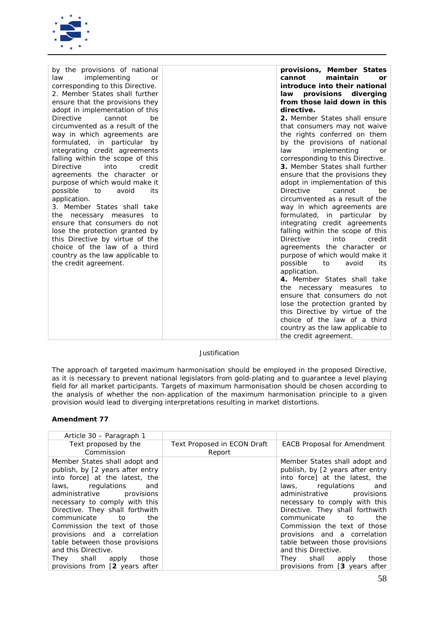

| by the provisions of national      | provisions, Member States          |
|------------------------------------|------------------------------------|
| implementing<br>law<br>or          | cannot<br>maintain<br>or           |
| corresponding to this Directive.   | introduce into their national      |
| 2. Member States shall further     | law provisions diverging           |
| ensure that the provisions they    | from those laid down in this       |
| adopt in implementation of this    | directive.                         |
| <b>Directive</b><br>cannot<br>be   | 2. Member States shall ensure      |
| circumvented as a result of the    | that consumers may not waive       |
| way in which agreements are        | the rights conferred on them       |
| formulated, in particular<br>by    | by the provisions of national      |
| integrating credit agreements      | implementing<br>law<br>or          |
| falling within the scope of this   | corresponding to this Directive.   |
| into<br><b>Directive</b><br>credit | 3. Member States shall further     |
| agreements the character or        | ensure that the provisions they    |
| purpose of which would make it     | adopt in implementation of this    |
| possible<br>avoid<br>its<br>to     | <b>Directive</b><br>cannot<br>be   |
| application.                       | circumvented as a result of the    |
| 3. Member States shall take        | way in which agreements are        |
| the<br>necessary measures to       | formulated, in particular by       |
| ensure that consumers do not       | integrating credit agreements      |
| lose the protection granted by     | falling within the scope of this   |
| this Directive by virtue of the    | <b>Directive</b><br>into<br>credit |
| choice of the law of a third       | agreements the character or        |
| country as the law applicable to   | purpose of which would make it     |
| the credit agreement.              | possible<br>to<br>avoid<br>its     |
|                                    | application.                       |
|                                    | 4. Member States shall take        |
|                                    | the necessary measures<br>to       |
|                                    | ensure that consumers do not       |
|                                    | lose the protection granted by     |
|                                    | this Directive by virtue of the    |
|                                    | choice of the law of a third       |
|                                    | country as the law applicable to   |
|                                    | the credit agreement.              |

*The approach of targeted maximum harmonisation should be employed in the proposed Directive, as it is necessary to prevent national legislators from gold-plating and to guarantee a level playing field for all market participants. Targets of maximum harmonisation should be chosen according to the analysis of whether the non-application of the maximum harmonisation principle to a given provision would lead to diverging interpretations resulting in market distortions.* 

| Article 30 – Paragraph 1                                                                                                                                                                                                                                                                                                                                                                                                                          |                                              |                                                                                                                                                                                                                                                                                                                                                                                                                                                |
|---------------------------------------------------------------------------------------------------------------------------------------------------------------------------------------------------------------------------------------------------------------------------------------------------------------------------------------------------------------------------------------------------------------------------------------------------|----------------------------------------------|------------------------------------------------------------------------------------------------------------------------------------------------------------------------------------------------------------------------------------------------------------------------------------------------------------------------------------------------------------------------------------------------------------------------------------------------|
| Text proposed by the<br>Commission                                                                                                                                                                                                                                                                                                                                                                                                                | <b>Text Proposed in ECON Draft</b><br>Report | <b>EACB Proposal for Amendment</b>                                                                                                                                                                                                                                                                                                                                                                                                             |
| Member States shall adopt and<br>publish, by [2 years after entry<br>into force) at the latest, the<br>laws, regulations<br>and<br>administrative provisions<br>necessary to comply with this<br>Directive. They shall forthwith<br>communicate to<br>the<br>Commission the text of those<br>provisions and a correlation<br>table between those provisions<br>and this Directive.<br>They shall apply<br>those<br>provisions from [2 years after |                                              | Member States shall adopt and<br>publish, by [2 years after entry<br>into force] at the latest, the<br>laws, regulations and<br>administrative provisions<br>necessary to comply with this<br>Directive. They shall forthwith<br>communicate to<br>the<br>Commission the text of those<br>provisions and a correlation<br>table between those provisions<br>and this Directive.<br>They shall apply<br>those<br>provisions from [3 years after |